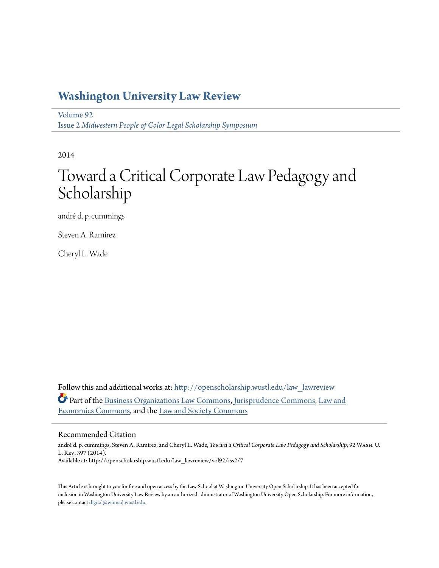## **[Washington University Law Review](http://openscholarship.wustl.edu/law_lawreview?utm_source=openscholarship.wustl.edu%2Flaw_lawreview%2Fvol92%2Fiss2%2F7&utm_medium=PDF&utm_campaign=PDFCoverPages)**

[Volume 92](http://openscholarship.wustl.edu/law_lawreview/vol92?utm_source=openscholarship.wustl.edu%2Flaw_lawreview%2Fvol92%2Fiss2%2F7&utm_medium=PDF&utm_campaign=PDFCoverPages) Issue 2 *[Midwestern People of Color Legal Scholarship Symposium](http://openscholarship.wustl.edu/law_lawreview/vol92/iss2?utm_source=openscholarship.wustl.edu%2Flaw_lawreview%2Fvol92%2Fiss2%2F7&utm_medium=PDF&utm_campaign=PDFCoverPages)*

2014

# Toward a Critical Corporate Law Pedagogy and Scholarship

andré d. p. cummings

Steven A. Ramirez

Cheryl L. Wade

Follow this and additional works at: [http://openscholarship.wustl.edu/law\\_lawreview](http://openscholarship.wustl.edu/law_lawreview?utm_source=openscholarship.wustl.edu%2Flaw_lawreview%2Fvol92%2Fiss2%2F7&utm_medium=PDF&utm_campaign=PDFCoverPages) Part of the [Business Organizations Law Commons,](http://network.bepress.com/hgg/discipline/900?utm_source=openscholarship.wustl.edu%2Flaw_lawreview%2Fvol92%2Fiss2%2F7&utm_medium=PDF&utm_campaign=PDFCoverPages) [Jurisprudence Commons,](http://network.bepress.com/hgg/discipline/610?utm_source=openscholarship.wustl.edu%2Flaw_lawreview%2Fvol92%2Fiss2%2F7&utm_medium=PDF&utm_campaign=PDFCoverPages) [Law and](http://network.bepress.com/hgg/discipline/612?utm_source=openscholarship.wustl.edu%2Flaw_lawreview%2Fvol92%2Fiss2%2F7&utm_medium=PDF&utm_campaign=PDFCoverPages) [Economics Commons](http://network.bepress.com/hgg/discipline/612?utm_source=openscholarship.wustl.edu%2Flaw_lawreview%2Fvol92%2Fiss2%2F7&utm_medium=PDF&utm_campaign=PDFCoverPages), and the [Law and Society Commons](http://network.bepress.com/hgg/discipline/853?utm_source=openscholarship.wustl.edu%2Flaw_lawreview%2Fvol92%2Fiss2%2F7&utm_medium=PDF&utm_campaign=PDFCoverPages)

#### Recommended Citation

andré d. p. cummings, Steven A. Ramirez, and Cheryl L. Wade, *Toward a Critical Corporate Law Pedagogy and Scholarship*, 92 Wash. U. L. Rev. 397 (2014). Available at: http://openscholarship.wustl.edu/law\_lawreview/vol92/iss2/7

This Article is brought to you for free and open access by the Law School at Washington University Open Scholarship. It has been accepted for inclusion in Washington University Law Review by an authorized administrator of Washington University Open Scholarship. For more information, please contact [digital@wumail.wustl.edu.](mailto:digital@wumail.wustl.edu)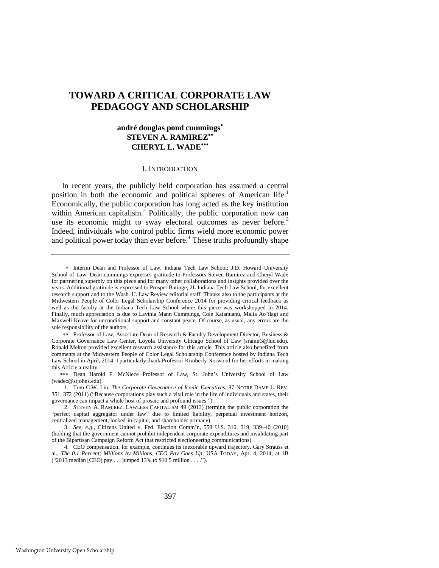### **TOWARD A CRITICAL CORPORATE LAW PEDAGOGY AND SCHOLARSHIP**

#### **andré douglas pond cummings STEVEN A. RAMIREZ CHERYL L. WADE**

#### <span id="page-1-2"></span><span id="page-1-1"></span><span id="page-1-0"></span>I. INTRODUCTION

In recent years, the publicly held corporation has assumed a central position in both the economic and political spheres of American life.<sup>1</sup> Economically, the public corporation has long acted as the key institution within American capitalism.<sup>2</sup> Politically, the public corporation now can use its economic might to sway electoral outcomes as never before.<sup>3</sup> Indeed, individuals who control public firms wield more economic power and political power today than ever before.<sup>4</sup> These truths profoundly shape

\*\* Professor of Law, Associate Dean of Research & Faculty Development Director, Business & Corporate Governance Law Center, Loyola University Chicago School of Law (sramir3@luc.edu). Ronald Melton provided excellent research assistance for this article. This article also benefited from comments at the Midwestern People of Color Legal Scholarship Conference hosted by Indiana Tech Law School in April, 2014. I particularly thank Professor Kimberly Norwood for her efforts in making this Article a reality.

Interim Dean and Professor of Law, Indiana Tech Law School; J.D. Howard University School of Law. Dean cummings expresses gratitude to Professors Steven Ramirez and Cheryl Wade for partnering superbly on this piece and for many other collaborations and insights provided over the years. Additional gratitude is expressed to Prosper Batinge, 2L Indiana Tech Law School, for excellent research support and to the Wash. U. Law Review editorial staff. Thanks also to the participants at the Midwestern People of Color Legal Scholarship Conference 2014 for providing critical feedback as well as the faculty at the Indiana Tech Law School where this piece was workshopped in 2014. Finally, much appreciation is due to Lavinia Mann Cummings, Cole Kaianuanu, Malia Ao'ilagi and Maxwell Keave for unconditional support and constant peace. Of course, as usual, any errors are the sole responsibility of the authors.

Dean Harold F. McNiece Professor of Law, St. John's University School of Law (wadec@stjohns.edu).

<sup>1.</sup> Tom C.W. Lin, *The Corporate Governance of Iconic Executives*, 87 NOTRE DAME L. REV. 351, 372 (2011) ("Because corporations play such a vital role in the life of individuals and states, their governance can impact a whole host of prosaic and profound issues.").

<sup>2.</sup> STEVEN A. RAMIREZ, LAWLESS CAPITALISM 49 (2013) (terming the public corporation the "perfect capital aggregator under law" due to limited liability, perpetual investment horizon, centralized management, locked-in capital, and shareholder primacy).

<sup>3.</sup> *See, e.g.*, Citizens United v. Fed. Election Comm'n, 558 U.S. 310, 319, 339–40 (2010) (holding that the government cannot prohibit independent corporate expenditures and invalidating part of the Bipartisan Campaign Reform Act that restricted electioneering communications).

<sup>4.</sup> CEO compensation, for example, continues its inexorable upward trajectory. Gary Strauss et al., *The 0.1 Percent; Millions by Millions, CEO Pay Goes Up*, USA TODAY, Apr. 4, 2014, at 1B ("2013 median [CEO] pay . . . jumped 13% to \$10.5 million . . . .").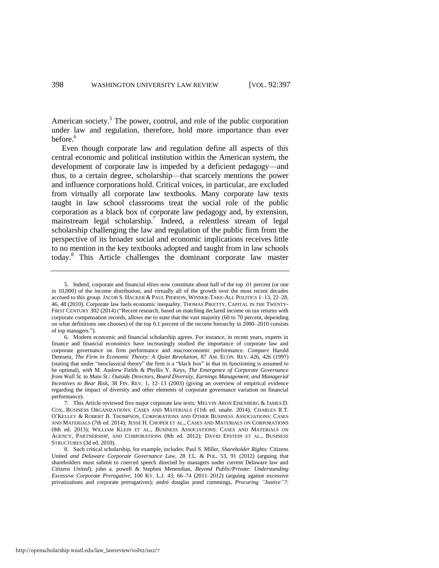<span id="page-2-0"></span>American society.<sup>5</sup> The power, control, and role of the public corporation under law and regulation, therefore, hold more importance than ever before.<sup>6</sup>

<span id="page-2-3"></span>Even though corporate law and regulation define all aspects of this central economic and political institution within the American system, the development of corporate law is impeded by a deficient pedagogy—and thus, to a certain degree, scholarship—that scarcely mentions the power and influence corporations hold. Critical voices, in particular, are excluded from virtually all corporate law textbooks. Many corporate law texts taught in law school classrooms treat the social role of the public corporation as a black box of corporate law pedagogy and, by extension, mainstream legal scholarship.<sup>7</sup> Indeed, a relentless stream of legal scholarship challenging the law and regulation of the public firm from the perspective of its broader social and economic implications receives little to no mention in the key textbooks adopted and taught from in law schools today.<sup>8</sup> This Article challenges the dominant corporate law master

<span id="page-2-2"></span><span id="page-2-1"></span><sup>5.</sup> Indeed, corporate and financial elites now constitute about half of the top .01 percent (or one in 10,000) of the income distribution, and virtually all of the growth over the most recent decades accrued to this group. JACOB S. HACKER & PAUL PIERSON, WINNER-TAKE-ALL POLITICS 1–13, 22–28, 46, 48 (2010). Corporate law fuels economic inequality. THOMAS PIKETTY, CAPITAL IN THE TWENTY-FIRST CENTURY 302 (2014) ("Recent research, based on matching declared income on tax returns with corporate compensation records, allows me to state that the vast majority (60 to 70 percent, depending on what definitions one chooses) of the top 0.1 percent of the income hierarchy in 2000–2010 consists of top managers.").

<sup>6.</sup> Modern economic and financial scholarship agrees. For instance, in recent years, experts in finance and financial economics have increasingly studied the importance of corporate law and corporate governance on firm performance and macroeconomic performance. *Compare* Harold Demsetz, *The Firm in Economic Theory: A Quiet Revolution*, 87 AM. ECON. REV. 426, 426 (1997) (stating that under "neoclassical theory" the firm is a "black box" in that its functioning is assumed to be optimal), *with* M. Andrew Fields & Phyllis Y. Keys, *The Emergence of Corporate Governance from Wall St. to Main St.: Outside Directors, Board Diversity, Earnings Management, and Managerial Incentives to Bear Risk*, 38 FIN. REV. 1, 12–13 (2003) (giving an overview of empirical evidence regarding the impact of diversity and other elements of corporate governance variation on financial performance).

<sup>7.</sup> This Article reviewed five major corporate law texts: MELVIN ARON EISENBERG & JAMES D. COX, BUSINESS ORGANIZATIONS: CASES AND MATERIALS (11th ed. unabr. 2014); CHARLES R.T. O'KELLEY & ROBERT B. THOMPSON, CORPORATIONS AND OTHER BUSINESS ASSOCIATIONS: CASES AND MATERIALS (7th ed. 2014); JESSE H. CHOPER ET AL., CASES AND MATERIALS ON CORPORATIONS (8th ed. 2013); WILLIAM KLEIN ET AL., BUSINESS ASSOCIATIONS: CASES AND MATERIALS ON AGENCY, PARTNERSHIP, AND CORPORATIONS (8th ed. 2012); DAVID EPSTEIN ET AL., BUSINESS STRUCTURES (3d ed. 2010).

<sup>8.</sup> Such critical scholarship, for example, includes: Paul S. Miller, *Shareholder Rights:* Citizens United *and Delaware Corporate Governance Law*, 28 J.L. & POL. 53, 91 (2012) (arguing that shareholders must submit to coerced speech directed by managers under current Delaware law and *Citizens United*); john a. powell & Stephen Menendian, *Beyond Public/Private: Understanding Excessive Corporate Prerogative*, 100 KY. L.J. 43, 66–74 (2011–2012) (arguing against excessive privatizations and corporate prerogatives); andré douglas pond cummings, *Procuring "Justice"?:*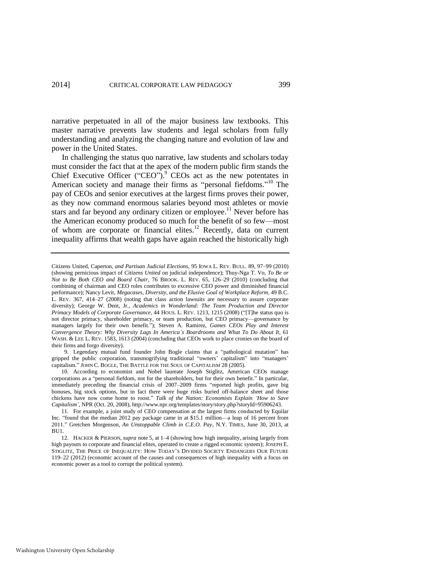narrative perpetuated in all of the major business law textbooks. This master narrative prevents law students and legal scholars from fully understanding and analyzing the changing nature and evolution of law and power in the United States.

<span id="page-3-3"></span><span id="page-3-2"></span><span id="page-3-1"></span>In challenging the status quo narrative, law students and scholars today must consider the fact that at the apex of the modern public firm stands the Chief Executive Officer ("CEO"). $9$  CEOs act as the new potentates in American society and manage their firms as "personal fiefdoms."<sup>10</sup> The pay of CEOs and senior executives at the largest firms proves their power, as they now command enormous salaries beyond most athletes or movie stars and far beyond any ordinary citizen or employee.<sup>11</sup> Never before has the American economy produced so much for the benefit of so few—most of whom are corporate or financial elites.<sup>12</sup> Recently, data on current inequality affirms that wealth gaps have again reached the historically high

9. Legendary mutual fund founder John Bogle claims that a "pathological mutation" has gripped the public corporation, transmogrifying traditional "owners' capitalism" into "managers' capitalism." JOHN C. BOGLE, THE BATTLE FOR THE SOUL OF CAPITALISM 28 (2005).

10. According to economist and Nobel laureate Joseph Stiglitz, American CEOs manage corporations as a "personal fiefdom, not for the shareholders, but for their own benefit." In particular, immediately preceding the financial crisis of 2007–2009 firms "reported high profits, gave big bonuses, big stock options, but in fact there were huge risks buried off-balance sheet and those chickens have now come home to roost." *Talk of the Nation: Economists Explain 'How to Save Capitalism'*, NPR (Oct. 20, 2008)[, http://www.npr.org/templates/story/story.php?storyId=95906243.](http://www.npr.org/templates/story/story.php?storyId=95906243)

<span id="page-3-0"></span>Citizens United*,* Caperton*, and Partisan Judicial Elections*, 95 IOWA L. REV. BULL. 89, 97–99 (2010) (showing pernicious impact of *Citizens United* on judicial independence); Thuy-Nga T. Vo, *To Be or Not to Be Both CEO and Board Chair*, 76 BROOK. L. REV. 65, 126–29 (2010) (concluding that combining of chairman and CEO roles contributes to excessive CEO power and diminished financial performance); Nancy Levit, *Megacases, Diversity, and the Elusive Goal of Workplace Reform*, 49 B.C. L. REV. 367, 414–27 (2008) (noting that class action lawsuits are necessary to assure corporate diversity); George W. Dent, Jr., *Academics in Wonderland: The Team Production and Director Primacy Models of Corporate Governance*, 44 HOUS. L. REV. 1213, 1215 (2008) ("[T]he status quo is not director primacy, shareholder primacy, or team production, but CEO primacy—governance by managers largely for their own benefit."); Steven A. Ramirez, *Games CEOs Play and Interest*  Convergence Theory: Why Diversity Lags In America's Boardrooms and What To Do About It, 61 WASH. & LEE L. REV. 1583, 1613 (2004) (concluding that CEOs work to place cronies on the board of their firms and forgo diversity).

<sup>11.</sup> For example, a joint study of CEO compensation at the largest firms conducted by Equilar Inc. "found that the median 2012 pay package came in at \$15.1 million—a leap of 16 percent from 2011." Gretchen Morgenson, *An Unstoppable Climb in C.E.O. Pay*, N.Y. TIMES, June 30, 2013, at BU1.

<sup>12.</sup> HACKER & PIERSON, *supra* note [5,](#page-2-0) at 1–4 (showing how high inequality, arising largely from high payouts to corporate and financial elites, operated to create a rigged economic system); JOSEPH E. STIGLITZ, THE PRICE OF INEQUALITY: HOW TODAY'S DIVIDED SOCIETY ENDANGERS OUR FUTURE 119–22 (2012) (economic account of the causes and consequences of high inequality with a focus on economic power as a tool to corrupt the political system).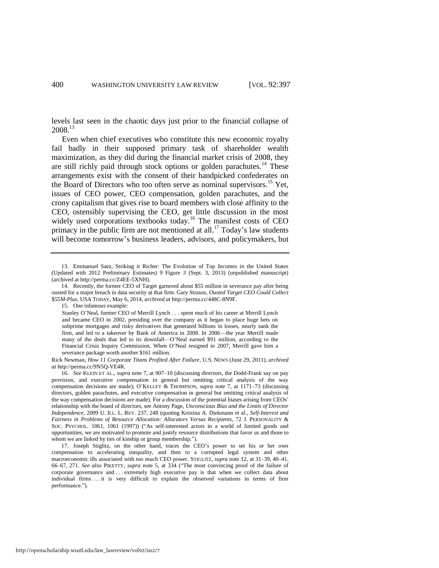levels last seen in the chaotic days just prior to the financial collapse of 2008.<sup>13</sup>

Even when chief executives who constitute this new economic royalty fail badly in their supposed primary task of shareholder wealth maximization, as they did during the financial market crisis of 2008, they are still richly paid through stock options or golden parachutes.<sup>14</sup> These arrangements exist with the consent of their handpicked confederates on the Board of Directors who too often serve as nominal supervisors.<sup>15</sup> Yet, issues of CEO power, CEO compensation, golden parachutes, and the crony capitalism that gives rise to board members with close affinity to the CEO, ostensibly supervising the CEO, get little discussion in the most widely used corporations textbooks today.<sup>16</sup> The manifest costs of CEO primacy in the public firm are not mentioned at all.<sup>17</sup> Today's law students will become tomorrow's business leaders, advisors, and policymakers, but

15. One infamous example:

Rick Newman, *How 11 Corporate Titans Profited After Failure*, U.S. NEWS (June 29, 2011), *archived at* [http://perma.cc/9N5Q-VE4R.](http://perma.cc/9N5Q-VE4R) 

<span id="page-4-0"></span><sup>13.</sup> Emmanuel Saez, Striking it Richer: The Evolution of Top Incomes in the United States (Updated with 2012 Preliminary Estimates) 9 Figure 3 (Sept. 3, 2013) (unpublished manuscript) (archived at [http://perma.cc/Z4EE-5XNH\)](http://perma.cc/Z4EE-5XNH).

<sup>14.</sup> Recently, the former CEO of Target garnered about \$55 million in severance pay after being ousted for a major breach in data security at that firm. Gary Strauss, *Ousted Target CEO Could Collect \$55M-Plus,* USA TODAY, May 6, 2014, *archived at* [http://perma.cc/448C-8N9F.](file:///C:/Users/dent/AppData/Local/Microsoft/Windows/Temporary%20Internet%20Files/Content.Outlook/7KBFMQ1C/archived%20at%20http:/perma.cc/448C-8N9F) 

Stanley O'Neal, former CEO of Merrill Lynch . . . spent much of his career at Merrill Lynch and became CEO in 2002, presiding over the company as it began to place huge bets on subprime mortgages and risky derivatives that generated billions in losses, nearly sank the firm, and led to a takeover by Bank of America in 2008. In 2006—the year Merrill made many of the deals that led to its downfall—O'Neal earned \$91 million, according to the Financial Crisis Inquiry Commission. When O'Neal resigned in 2007, Merrill gave him a severance package worth another \$161 million.

<sup>16.</sup> *See* KLEIN ET AL., *supra* note [7,](#page-2-1) at 907–10 (discussing directors, the Dodd-Frank say on pay provision, and executive compensation in general but omitting critical analysis of the way compensation decisions are made); O'KELLEY & THOMPSON, *supra* note [7,](#page-2-1) at 1171–73 (discussing directors, golden parachutes, and executive compensation in general but omitting critical analysis of the way compensation decisions are made). For a discussion of the potential biases arising from CEOs' relationship with the board of directors, see Antony Page, *Unconscious Bias and the Limits of Director Independence*, 2009 U. ILL. L. REV. 237, 248 (quoting Kristina A. Diekmann et al., *Self-Interest and Fairness in Problems of Resource Allocation: Allocators Versus Recipients*, 72 J. PERSONALITY & SOC. PSYCHOL. 1061, 1061 (1997)) ("As self-interested actors in a world of limited goods and opportunities, we are motivated to promote and justify resource distributions that favor us and those to whom we are linked by ties of kinship or group membership.")

<sup>17.</sup> Joseph Stiglitz, on the other hand, traces the CEO's power to set his or her own compensation to accelerating inequality, and then to a corrupted legal system and other macroeconomic ills associated with too much CEO power. STIGLITZ, *supra* note [12,](#page-3-0) at 31–39, 40–41, 66–67, 271. *See also* PIKETTY, *supra* note [5,](#page-2-0) at 334 ("The most convincing proof of the failure of corporate governance and . . . extremely high executive pay is that when we collect data about individual firms . . . it is very difficult to explain the observed variations in terms of firm performance.").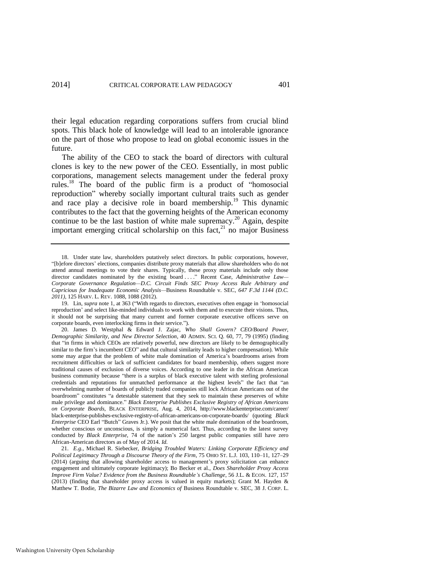their legal education regarding corporations suffers from crucial blind spots. This black hole of knowledge will lead to an intolerable ignorance on the part of those who propose to lead on global economic issues in the future.

<span id="page-5-0"></span>The ability of the CEO to stack the board of directors with cultural clones is key to the new power of the CEO. Essentially, in most public corporations, management selects management under the federal proxy rules.<sup>18</sup> The board of the public firm is a product of "homosocial reproduction" whereby socially important cultural traits such as gender and race play a decisive role in board membership.<sup>19</sup> This dynamic contributes to the fact that the governing heights of the American economy continue to be the last bastion of white male supremacy.<sup>20</sup> Again, despite important emerging critical scholarship on this  $fact.^{21}$  no major Business

19. Lin, *supra* note [1,](#page-1-0) at 363 ("With regards to directors, executives often engage in 'homosocial reproduction' and select like-minded individuals to work with them and to execute their visions. Thus, it should not be surprising that many current and former corporate executive officers serve on corporate boards, even interlocking firms in their service.").

20. James D. Westphal & Edward J. Zajac, *Who Shall Govern? CEO/Board Power, Demographic Similarity, and New Director Selection*, 40 ADMIN. SCI. Q. 60, 77, 79 (1995) (finding that "in firms in which CEOs are relatively powerful, new directors are likely to be demographically similar to the firm's incumbent CEO" and that cultural similarity leads to higher compensation). While some may argue that the problem of white male domination of America's boardrooms arises from recruitment difficulties or lack of sufficient candidates for board membership, others suggest more traditional causes of exclusion of diverse voices. According to one leader in the African American business community because "there is a surplus of black executive talent with sterling professional credentials and reputations for unmatched performance at the highest levels" the fact that "an overwhelming number of boards of publicly traded companies still lock African Americans out of the boardroom" constitutes "a detestable statement that they seek to maintain these preserves of white male privilege and dominance." *Black Enterprise Publishes Exclusive Registry of African Americans on Corporate Boards*, BLACK ENTERPRISE, Aug. 4, 2014, [http://www.blackenterprise.com/career/](http://www.blackenterprise.com/career/black-enterprise-publishes-exclusive-registry-of-african-americans-on-corporate-boards/)  [black-enterprise-publishes-exclusive-registry-of-african-americans-on-corporate-boards/](http://www.blackenterprise.com/career/black-enterprise-publishes-exclusive-registry-of-african-americans-on-corporate-boards/) (quoting *Black Enterprise* CEO Earl "Butch" Graves Jr.). We posit that the white male domination of the boardroom, whether conscious or unconscious, is simply a numerical fact. Thus, according to the latest survey conducted by *Black Enterprise*, 74 of the nation's 250 largest public companies still have zero African-American directors as of May of 2014. *Id.* 

21. *E.g.*, Michael R. Siebecker, *Bridging Troubled Waters: Linking Corporate Efficiency and Political Legitimacy Through a Discourse Theory of the Firm*, 75 OHIO ST. L.J. 103, 110–11, 127–29 (2014) (arguing that allowing shareholder access to management's proxy solicitation can enhance engagement and ultimately corporate legitimacy); Bo Becker et al., *Does Shareholder Proxy Access Improve Firm Value? Evidence from the Business Roundtable's Challenge*, 56 J.L. & ECON. 127, 157 (2013) (finding that shareholder proxy access is valued in equity markets); Grant M. Hayden & Matthew T. Bodie, *The Bizarre Law and Economics of* Business Roundtable v. SEC, 38 J. CORP. L.

Washington University Open Scholarship

<span id="page-5-1"></span><sup>18.</sup> Under state law, shareholders putatively select directors. In public corporations, however, "[b]efore directors' elections, companies distribute proxy materials that allow shareholders who do not attend annual meetings to vote their shares. Typically, these proxy materials include only those director candidates nominated by the existing board . . . ." Recent Case*, Administrative Law— Corporate Governance Regulation—D.C. Circuit Finds SEC Proxy Access Rule Arbitrary and Capricious for Inadequate Economic Analysis—*Business Roundtable v. SEC*, 647 F.3d 1144 (D.C. 2011)*, 125 HARV. L. REV. 1088, 1088 (2012).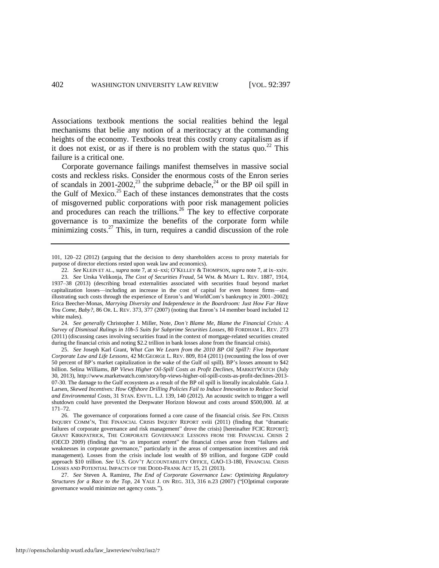Associations textbook mentions the social realities behind the legal mechanisms that belie any notion of a meritocracy at the commanding heights of the economy. Textbooks treat this costly crony capitalism as if it does not exist, or as if there is no problem with the status quo.<sup>22</sup> This failure is a critical one.

<span id="page-6-0"></span>Corporate governance failings manifest themselves in massive social costs and reckless risks. Consider the enormous costs of the Enron series of scandals in 2001-2002,<sup>23</sup> the subprime debacle,<sup>24</sup> or the BP oil spill in the Gulf of Mexico. $25$  Each of these instances demonstrates that the costs of misgoverned public corporations with poor risk management policies and procedures can reach the trillions.<sup>26</sup> The key to effective corporate governance is to maximize the benefits of the corporate form while minimizing costs.<sup>27</sup> This, in turn, requires a candid discussion of the role

24. *See generally* Christopher J. Miller, Note, *Don't Blame Me, Blame the Financial Crisis: A Survey of Dismissal Rulings in 10b-5 Suits for Subprime Securities Losses*, 80 FORDHAM L. REV. 273 (2011) (discussing cases involving securities fraud in the context of mortgage-related securities created during the financial crisis and noting \$2.2 trillion in bank losses alone from the financial crisis).

25. *See* Joseph Karl Grant, *What Can We Learn from the 2010 BP Oil Spill?: Five Important Corporate Law and Life Lessons*, 42 MCGEORGE L. REV. 809, 814 (2011) (recounting the loss of over 50 percent of BP's market capitalization in the wake of the Gulf oil spill). BP's losses amount to \$42 billion. Selina Williams, *BP Views Higher Oil-Spill Costs as Profit Declines*, MARKETWATCH (July 30, 2013), http://www.marketwatch.com/story/bp-views-higher-oil-spill-costs-as-profit-declines-2013- 07-30. The damage to the Gulf ecosystem as a result of the BP oil spill is literally incalculable. Gaia J. Larsen, *Skewed Incentives: How Offshore Drilling Policies Fail to Induce Innovation to Reduce Social and Environmental Costs*, 31 STAN. ENVTL. L.J. 139, 140 (2012). An acoustic switch to trigger a well shutdown could have prevented the Deepwater Horizon blowout and costs around \$500,000. *Id.* at 171–72.

26. The governance of corporations formed a core cause of the financial crisis. *See* FIN. CRISIS INQUIRY COMM'N, THE FINANCIAL CRISIS INQUIRY REPORT xviii (2011) (finding that "dramatic failures of corporate governance and risk management" drove the crisis) [hereinafter FCIC REPORT]; GRANT KIRKPATRICK, THE CORPORATE GOVERNANCE LESSONS FROM THE FINANCIAL CRISIS 2 (OECD 2009) (finding that "to an important extent" the financial crises arose from "failures and weaknesses in corporate governance," particularly in the areas of compensation incentives and risk management). Losses from the crisis include lost wealth of \$9 trillion, and forgone GDP could approach \$10 trillion. *See* U.S. GOV'T ACCOUNTABILITY OFFICE, GAO-13-180, FINANCIAL CRISIS LOSSES AND POTENTIAL IMPACTS OF THE DODD-FRANK ACT 15, 21 (2013).

27. *See* Steven A. Ramirez, *The End of Corporate Governance Law: Optimizing Regulatory Structures for a Race to the Top*, 24 YALE J. ON REG. 313, 316 n.23 (2007) ("[O]ptimal corporate governance would minimize net agency costs.").

<sup>101, 120–22 (2012) (</sup>arguing that the decision to deny shareholders access to proxy materials for purpose of director elections rested upon weak law and economics).

 <sup>22.</sup> *See* KLEIN ET AL., *supra* note [7,](#page-2-1) at xi–xxi; O'KELLEY & THOMPSON, *supra* not[e 7,](#page-2-1) at ix–xxiv. 23. *See* Urska Velikonja, *The Cost of Securities Fraud*, 54 WM. & MARY L. REV. 1887, 1914, 1937–38 (2013) (describing broad externalities associated with securities fraud beyond market capitalization losses—including an increase in the cost of capital for even honest firms—and illustrating such costs through the experience of Enron's and WorldCom's bankruptcy in 2001–2002); Erica Beecher-Monas, *Marrying Diversity and Independence in the Boardroom: Just How Far Have You Come, Baby?*, 86 OR. L. REV. 373, 377 (2007) (noting that Enron's 14 member board included 12 white males).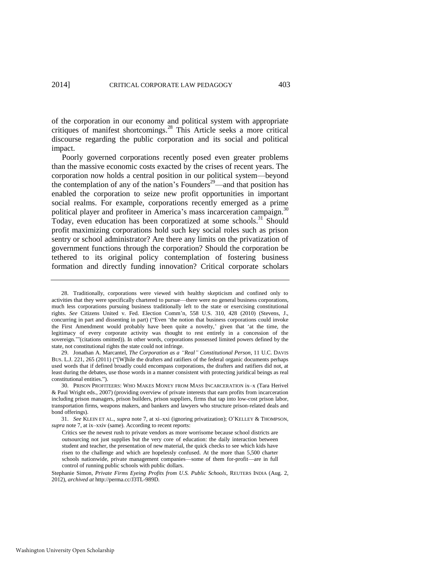of the corporation in our economy and political system with appropriate critiques of manifest shortcomings.<sup>28</sup> This Article seeks a more critical discourse regarding the public corporation and its social and political impact.

Poorly governed corporations recently posed even greater problems than the massive economic costs exacted by the crises of recent years. The corporation now holds a central position in our political system—beyond the contemplation of any of the nation's Founders<sup>29</sup>—and that position has enabled the corporation to seize new profit opportunities in important social realms. For example, corporations recently emerged as a prime political player and profiteer in America's mass incarceration campaign.<sup>30</sup> Today, even education has been corporatized at some schools.<sup>31</sup> Should profit maximizing corporations hold such key social roles such as prison sentry or school administrator? Are there any limits on the privatization of government functions through the corporation? Should the corporation be tethered to its original policy contemplation of fostering business formation and directly funding innovation? Critical corporate scholars

29. Jonathan A. Marcantel, *The Corporation as a "Real" Constitutional Person*, 11 U.C. DAVIS BUS. L.J. 221, 265 (2011) ("[W]hile the drafters and ratifiers of the federal organic documents perhaps used words that if defined broadly could encompass corporations, the drafters and ratifiers did not, at least during the debates, use those words in a manner consistent with protecting juridical beings as real constitutional entities.").

<sup>28.</sup> Traditionally, corporations were viewed with healthy skepticism and confined only to activities that they were specifically chartered to pursue—there were no general business corporations, much less corporations pursuing business traditionally left to the state or exercising constitutional rights. *See* Citizens United v. Fed. Election Comm'n, 558 U.S. 310, 428 (2010) (Stevens, J., concurring in part and dissenting in part) ("Even 'the notion that business corporations could invoke the First Amendment would probably have been quite a novelty,' given that 'at the time, the legitimacy of every corporate activity was thought to rest entirely in a concession of the sovereign.'"(citations omitted)). In other words, corporations possessed limited powers defined by the state, not constitutional rights the state could not infringe.

<sup>30.</sup> PRISON PROFITEERS: WHO MAKES MONEY FROM MASS INCARCERATION ix–x (Tara Herivel & Paul Wright eds., 2007) (providing overview of private interests that earn profits from incarceration including prison managers, prison builders, prison suppliers, firms that tap into low-cost prison labor, transportation firms, weapons makers, and bankers and lawyers who structure prison-related deals and bond offerings).

<sup>31.</sup> *See* KLEIN ET AL., *supra* note [7,](#page-2-1) at xi–xxi (ignoring privatization); O'KELLEY & THOMPSON, *supra* not[e 7,](#page-2-1) at ix–xxiv (same). According to recent reports:

Critics see the newest rush to private vendors as more worrisome because school districts are outsourcing not just supplies but the very core of education: the daily interaction between student and teacher, the presentation of new material, the quick checks to see which kids have risen to the challenge and which are hopelessly confused. At the more than 5,500 charter schools nationwide, private management companies—some of them for-profit—are in full control of running public schools with public dollars.

Stephanie Simon, *Private Firms Eyeing Profits from U.S. Public Schools*, REUTERS INDIA (Aug. 2, 2012), *archived at* http://perma.cc/J3TL-989D.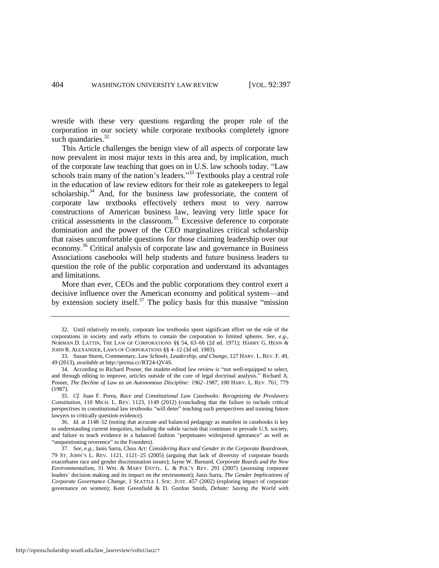wrestle with these very questions regarding the proper role of the corporation in our society while corporate textbooks completely ignore such quandaries.<sup>32</sup>

<span id="page-8-1"></span>This Article challenges the benign view of all aspects of corporate law now prevalent in most major texts in this area and, by implication, much of the corporate law teaching that goes on in U.S. law schools today. "Law schools train many of the nation's leaders."<sup>33</sup> Textbooks play a central role in the education of law review editors for their role as gatekeepers to legal scholarship. $34$  And, for the business law professoriate, the content of corporate law textbooks effectively tethers most to very narrow constructions of American business law, leaving very little space for critical assessments in the classroom.<sup>35</sup> Excessive deference to corporate domination and the power of the CEO marginalizes critical scholarship that raises uncomfortable questions for those claiming leadership over our economy.<sup>36</sup> Critical analysis of corporate law and governance in Business Associations casebooks will help students and future business leaders to question the role of the public corporation and understand its advantages and limitations.

<span id="page-8-0"></span>More than ever, CEOs and the public corporations they control exert a decisive influence over the American economy and political system—and by extension society itself.<sup>37</sup> The policy basis for this massive "mission"

<sup>32.</sup> Until relatively recently, corporate law textbooks spent significant effort on the role of the corporations in society and early efforts to contain the corporation to limited spheres. *See, e.g.*, NORMAN D. LATTIN, THE LAW OF CORPORATIONS §§ 54, 63–66 (2d ed. 1971); HARRY G. HENN & JOHN R. ALEXANDER, LAWS OF CORPORATIONS §§ 4–12 (3d ed. 1983).

<sup>33.</sup> Susan Sturm, Commentary, *Law Schools, Leadership, and Change*, 127 HARV. L. REV. F. 49, 49 (2013), *available at* http://perma.cc/RT24-QV4S.

<sup>34.</sup> According to Richard Posner, the student-edited law review is "not well-equipped to select, and through editing to improve, articles outside of the core of legal doctrinal analysis." Richard A. Posner, *The Decline of Law as an Autonomous Discipline: 1962–1987*, 100 HARV. L. REV. 761, 779 (1987).

<sup>35.</sup> *Cf.* Juan F. Perea, *Race and Constitutional Law Casebooks: Recognizing the Proslavery Constitution*, 110 MICH. L. REV. 1123, 1149 (2012) (concluding that the failure to include critical perspectives in constitutional law textbooks "will deter" teaching such perspectives and training future lawyers to critically question evidence).

<sup>36.</sup> *Id.* at 1148–52 (noting that accurate and balanced pedagogy as manifest in casebooks is key to understanding current inequities, including the subtle racism that continues to pervade U.S. society, and failure to teach evidence in a balanced fashion "perpetuates widespread ignorance" as well as "unquestioning reverence" to the Founders).

<sup>37.</sup> *See, e.g.*, Janis Sarra, *Class Act: Considering Race and Gender in the Corporate Boardroom*, 79 ST. JOHN'S L. REV. 1121, 1121–25 (2005) (arguing that lack of diversity of corporate boards exacerbates race and gender discrimination issues); Jayne W. Barnard, *Corporate Boards and the New Environmentalism*, 31 WM. & MARY ENVTL. L. & POL'Y REV. 291 (2007) (assessing corporate leaders' decision making and its impact on the environment); Janis Sarra, *The Gender Implications of Corporate Governance Change*, 1 SEATTLE J. SOC. JUST. 457 (2002) (exploring impact of corporate governance on women); Kent Greenfield & D. Gordon Smith, *Debate: Saving the World with*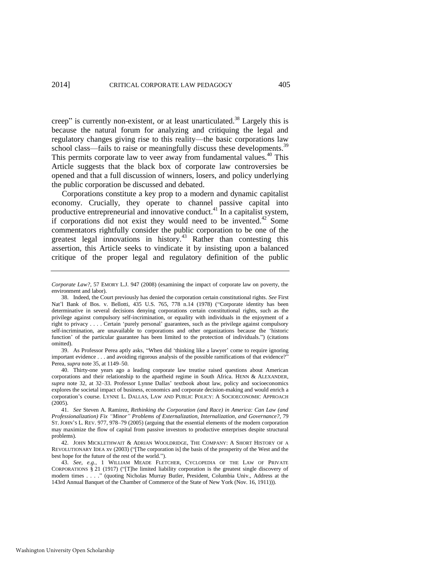creep" is currently non-existent, or at least unarticulated.<sup>38</sup> Largely this is because the natural forum for analyzing and critiquing the legal and regulatory changes giving rise to this reality—the basic corporations law school class—fails to raise or meaningfully discuss these developments.<sup>39</sup> This permits corporate law to veer away from fundamental values.<sup>40</sup> This Article suggests that the black box of corporate law controversies be opened and that a full discussion of winners, losers, and policy underlying the public corporation be discussed and debated.

Corporations constitute a key prop to a modern and dynamic capitalist economy. Crucially, they operate to channel passive capital into productive entrepreneurial and innovative conduct.<sup>41</sup> In a capitalist system, if corporations did not exist they would need to be invented.<sup>42</sup> Some commentators rightfully consider the public corporation to be one of the greatest legal innovations in history.<sup>43</sup> Rather than contesting this assertion, this Article seeks to vindicate it by insisting upon a balanced critique of the proper legal and regulatory definition of the public

39. As Professor Perea aptly asks, "When did 'thinking like a lawyer' come to require ignoring important evidence . . . and avoiding rigorous analysis of the possible ramifications of that evidence?" Perea, *supra* note [35,](#page-8-0) at 1149–50.

40. Thirty-one years ago a leading corporate law treatise raised questions about American corporations and their relationship to the apartheid regime in South Africa. HENN & ALEXANDER, *supra* note [32,](#page-8-1) at 32–33. Professor Lynne Dallas' textbook about law, policy and socioeconomics explores the societal impact of business, economics and corporate decision-making and would enrich a corporation's course. LYNNE L. DALLAS, LAW AND PUBLIC POLICY: A SOCIOECONOMIC APPROACH  $(2005)$ 

*Corporate Law?*, 57 EMORY L.J. 947 (2008) (examining the impact of corporate law on poverty, the environment and labor).

<sup>38.</sup> Indeed, the Court previously has denied the corporation certain constitutional rights. *See* First Nat'l Bank of Bos. v. Bellotti, 435 U.S. 765, 778 n.14 (1978) ("Corporate identity has been determinative in several decisions denying corporations certain constitutional rights, such as the privilege against compulsory self-incrimination, or equality with individuals in the enjoyment of a right to privacy . . . . Certain 'purely personal' guarantees, such as the privilege against compulsory self-incrimination, are unavailable to corporations and other organizations because the 'historic function' of the particular guarantee has been limited to the protection of individuals.") (citations omitted).

<sup>41.</sup> *See* Steven A. Ramirez, *Rethinking the Corporation (and Race) in America: Can Law (and Professionalization) Fix "Minor" Problems of Externalization, Internalization, and Governance?*, 79 ST. JOHN'S L. REV. 977, 978–79 (2005) (arguing that the essential elements of the modern corporation may maximize the flow of capital from passive investors to productive enterprises despite structural problems).

<sup>42.</sup> JOHN MICKLETHWAIT & ADRIAN WOOLDRIDGE, THE COMPANY: A SHORT HISTORY OF A REVOLUTIONARY IDEA xv (2003) ("[The corporation is] the basis of the prosperity of the West and the best hope for the future of the rest of the world.").

<sup>43.</sup> *See, e.g.*, 1 WILLIAM MEADE FLETCHER, CYCLOPEDIA OF THE LAW OF PRIVATE CORPORATIONS § 21 (1917) ("[T]he limited liability corporation is the greatest single discovery of modern times . . . ." (quoting Nicholas Murray Butler, President, Columbia Univ., Address at the 143rd Annual Banquet of the Chamber of Commerce of the State of New York (Nov. 16, 1911))).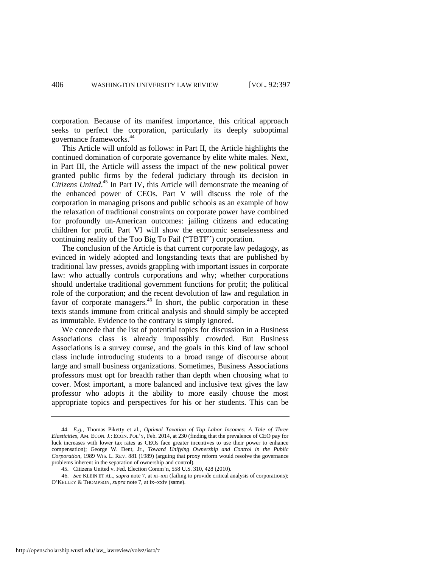corporation. Because of its manifest importance, this critical approach seeks to perfect the corporation, particularly its deeply suboptimal governance frameworks.<sup>44</sup>

<span id="page-10-0"></span>This Article will unfold as follows: in Part II, the Article highlights the continued domination of corporate governance by elite white males. Next, in Part III, the Article will assess the impact of the new political power granted public firms by the federal judiciary through its decision in *Citizens United*. <sup>45</sup> In Part IV, this Article will demonstrate the meaning of the enhanced power of CEOs. Part V will discuss the role of the corporation in managing prisons and public schools as an example of how the relaxation of traditional constraints on corporate power have combined for profoundly un-American outcomes: jailing citizens and educating children for profit. Part VI will show the economic senselessness and continuing reality of the Too Big To Fail ("TBTF") corporation.

The conclusion of the Article is that current corporate law pedagogy, as evinced in widely adopted and longstanding texts that are published by traditional law presses, avoids grappling with important issues in corporate law: who actually controls corporations and why; whether corporations should undertake traditional government functions for profit; the political role of the corporation; and the recent devolution of law and regulation in favor of corporate managers. $46$  In short, the public corporation in these texts stands immune from critical analysis and should simply be accepted as immutable. Evidence to the contrary is simply ignored.

We concede that the list of potential topics for discussion in a Business Associations class is already impossibly crowded. But Business Associations is a survey course, and the goals in this kind of law school class include introducing students to a broad range of discourse about large and small business organizations. Sometimes, Business Associations professors must opt for breadth rather than depth when choosing what to cover. Most important, a more balanced and inclusive text gives the law professor who adopts it the ability to more easily choose the most appropriate topics and perspectives for his or her students. This can be

<sup>44.</sup> *E.g.*, Thomas Piketty et al., *Optimal Taxation of Top Labor Incomes: A Tale of Three Elasticities*, AM. ECON. J.: ECON. POL'Y, Feb. 2014, at 230 (finding that the prevalence of CEO pay for luck increases with lower tax rates as CEOs face greater incentives to use their power to enhance compensation); George W. Dent, Jr., *Toward Unifying Ownership and Control in the Public Corporation*, 1989 WIS. L. REV. 881 (1989) (arguing that proxy reform would resolve the governance problems inherent in the separation of ownership and control).

<sup>45.</sup> Citizens United v. Fed. Election Comm'n, 558 U.S. 310, 428 (2010).

 <sup>46.</sup> *See* KLEIN ET AL., *supra* not[e 7,](#page-2-1) at xi–xxi (failing to provide critical analysis of corporations); O'KELLEY & THOMPSON, *supra* not[e 7,](#page-2-1) at ix–xxiv (same).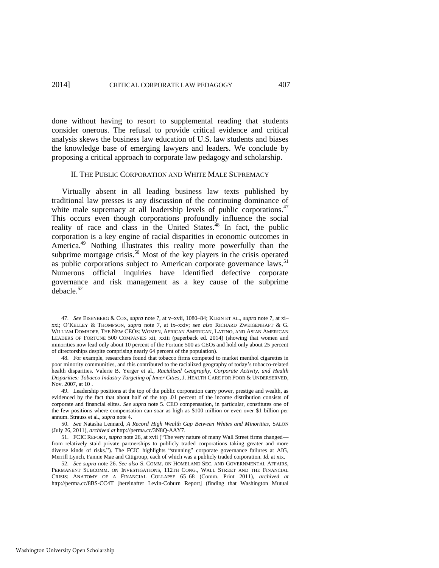done without having to resort to supplemental reading that students consider onerous. The refusal to provide critical evidence and critical analysis skews the business law education of U.S. law students and biases the knowledge base of emerging lawyers and leaders. We conclude by proposing a critical approach to corporate law pedagogy and scholarship.

#### <span id="page-11-0"></span>II. THE PUBLIC CORPORATION AND WHITE MALE SUPREMACY

Virtually absent in all leading business law texts published by traditional law presses is any discussion of the continuing dominance of white male supremacy at all leadership levels of public corporations.<sup>47</sup> This occurs even though corporations profoundly influence the social reality of race and class in the United States.<sup> $48$ </sup> In fact, the public corporation is a key engine of racial disparities in economic outcomes in America.<sup>49</sup> Nothing illustrates this reality more powerfully than the subprime mortgage crisis.<sup>50</sup> Most of the key players in the crisis operated as public corporations subject to American corporate governance laws.<sup>51</sup> Numerous official inquiries have identified defective corporate governance and risk management as a key cause of the subprime debacle.<sup>52</sup>

<sup>47.</sup> *See* EISENBERG & COX, *supra* note 7, at v–xvii, 1080–84; KLEIN ET AL., *supra* note [7,](#page-2-1) at xi– xxi; O'KELLEY & THOMPSON, *supra* note [7,](#page-2-1) at ix–xxiv; *see also* RICHARD ZWEIGENHAFT & G. WILLIAM DOMHOFF, THE NEW CEOS: WOMEN, AFRICAN AMERICAN, LATINO, AND ASIAN AMERICAN LEADERS OF FORTUNE 500 COMPANIES xii, xxiii (paperback ed. 2014) (showing that women and minorities now lead only about 10 percent of the Fortune 500 as CEOs and hold only about 25 percent of directorships despite comprising nearly 64 percent of the population).

<sup>48.</sup> For example, researchers found that tobacco firms competed to market menthol cigarettes in poor minority communities, and this contributed to the racialized geography of today's tobacco-related health disparities. Valerie B. Yerger et al., *Racialized Geography, Corporate Activity, and Health Disparities: Tobacco Industry Targeting of Inner Cities*, J. HEALTH CARE FOR POOR & UNDERSERVED, Nov. 2007, at 10 .

<sup>49.</sup> Leadership positions at the top of the public corporation carry power, prestige and wealth, as evidenced by the fact that about half of the top .01 percent of the income distribution consists of corporate and financial elites. *See supra* note [5.](#page-2-0) CEO compensation, in particular, constitutes one of the few positions where compensation can soar as high as \$100 million or even over \$1 billion per annum. Strauss et al., *supra* not[e 4.](#page-1-1) 

<sup>50.</sup> *See* Natasha Lennard, *A Record High Wealth Gap Between Whites and Minorities*, SALON (July 26, 2011), *archived at* [http://perma.cc/3N8Q-AAY7.](http://perma.cc/3N8Q-AAY7) 

<sup>51.</sup> FCIC REPORT, *supra* not[e 26,](#page-6-0) at xvii ("The very nature of many Wall Street firms changed from relatively staid private partnerships to publicly traded corporations taking greater and more diverse kinds of risks."). The FCIC highlights "stunning" corporate governance failures at AIG, Merrill Lynch, Fannie Mae and Citigroup, each of which was a publicly traded corporation. *Id.* at xix.

<sup>52.</sup> *See supra* note [26.](#page-6-0) *See also* S. COMM. ON HOMELAND SEC. AND GOVERNMENTAL AFFAIRS, PERMANENT SUBCOMM. ON INVESTIGATIONS, 112TH CONG., WALL STREET AND THE FINANCIAL CRISIS: ANATOMY OF A FINANCIAL COLLAPSE 65–68 (Comm. Print 2011), *archived at* <http://perma.cc/8BS-CC4T>[hereinafter Levin-Coburn Report] (finding that Washington Mutual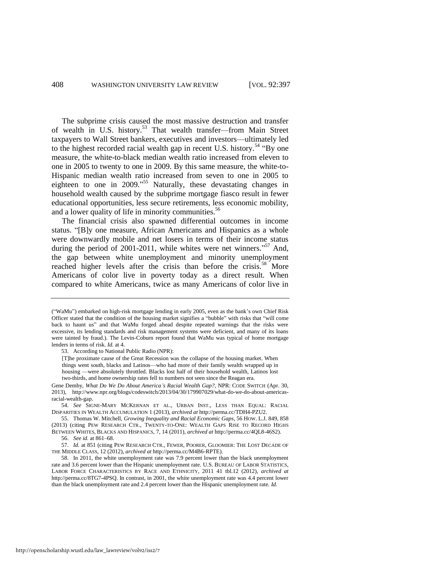The subprime crisis caused the most massive destruction and transfer of wealth in U.S. history.<sup>53</sup> That wealth transfer—from Main Street taxpayers to Wall Street bankers, executives and investors—ultimately led to the highest recorded racial wealth gap in recent U.S. history.<sup>54</sup> "By one" measure, the white-to-black median wealth ratio increased from eleven to one in 2005 to twenty to one in 2009. By this same measure, the white-to-Hispanic median wealth ratio increased from seven to one in 2005 to eighteen to one in 2009."<sup>55</sup> Naturally, these devastating changes in household wealth caused by the subprime mortgage fiasco result in fewer educational opportunities, less secure retirements, less economic mobility, and a lower quality of life in minority communities.<sup>56</sup>

The financial crisis also spawned differential outcomes in income status. "[B]y one measure, African Americans and Hispanics as a whole were downwardly mobile and net losers in terms of their income status during the period of 2001-2011, while whites were net winners."<sup>57</sup> And, the gap between white unemployment and minority unemployment reached higher levels after the crisis than before the crisis.<sup>58</sup> More Americans of color live in poverty today as a direct result. When compared to white Americans, twice as many Americans of color live in

56. *See id.* at 861–68.

<sup>(&</sup>quot;WaMu") embarked on high-risk mortgage lending in early 2005, even as the bank's own Chief Risk Officer stated that the condition of the housing market signifies a "bubble" with risks that "will come back to haunt us" and that WaMu forged ahead despite repeated warnings that the risks were excessive, its lending standards and risk management systems were deficient, and many of its loans were tainted by fraud.). The Levin-Coburn report found that WaMu was typical of home mortgage lenders in terms of risk. *Id.* at 4.

<sup>53.</sup> According to National Public Radio (NPR):

<sup>[</sup>T]he proximate cause of the Great Recession was the collapse of the housing market. When things went south, blacks and Latinos—who had more of their family wealth wrapped up in housing —were absolutely throttled. Blacks lost half of their household wealth, Latinos lost two-thirds, and home ownership rates fell to numbers not seen since the Reagan era.

Gene Demby, *What Do We Do About America's Racial Wealth Gap?*, NPR: CODE SWITCH (Apr. 30, 2013), [http://www.npr.org/blogs/codeswitch/2013/04/30/179907029/what-do-we-do-about-americas](http://www.npr.org/blogs/codeswitch/2013/04/30/179907029/what-do-we-do-about-americas-racial-wealth-gap)[racial-wealth-gap.](http://www.npr.org/blogs/codeswitch/2013/04/30/179907029/what-do-we-do-about-americas-racial-wealth-gap)

<sup>54.</sup> *See* SIGNE-MARY MCKERNAN ET AL., URBAN INST., LESS THAN EQUAL: RACIAL DISPARITIES IN WEALTH ACCUMULATION 1 (2013), *archived at* [http://perma.cc/TDH4-PZU2.](http://perma.cc/TDH4-PZU2) 

<sup>55.</sup> Thomas W. Mitchell, *Growing Inequality and Racial Economic Gaps*, 56 HOW. L.J. 849, 858 (2013) (citing PEW RESEARCH CTR., TWENTY-TO-ONE: WEALTH GAPS RISE TO RECORD HIGHS BETWEEN WHITES, BLACKS AND HISPANICS, 7, 14 (2011), *archived at* [http://perma.cc/4QL8-46S2\)](http://perma.cc/4QL8-46S2).

<sup>57.</sup> *Id.* at 851 (citing PEW RESEARCH CTR., FEWER, POORER, GLOOMIER: THE LOST DECADE OF THE MIDDLE CLASS, 12 (2012), *archived at* [http://perma.cc/M4B6-RPTE\)](http://perma.cc/M4B6-RPTE).

<sup>58.</sup> In 2011, the white unemployment rate was 7.9 percent lower than the black unemployment rate and 3.6 percent lower than the Hispanic unemployment rate. U.S. BUREAU OF LABOR STATISTICS, LABOR FORCE CHARACTERISTICS BY RACE AND ETHNICITY, 2011 41 tbl.12 (2012), *archived at* [http://perma.cc/8TG7-4PSQ.](http://perma.cc/8TG7-4PSQ) In contrast, in 2001, the white unemployment rate was 4.4 percent lower than the black unemployment rate and 2.4 percent lower than the Hispanic unemployment rate. *Id.*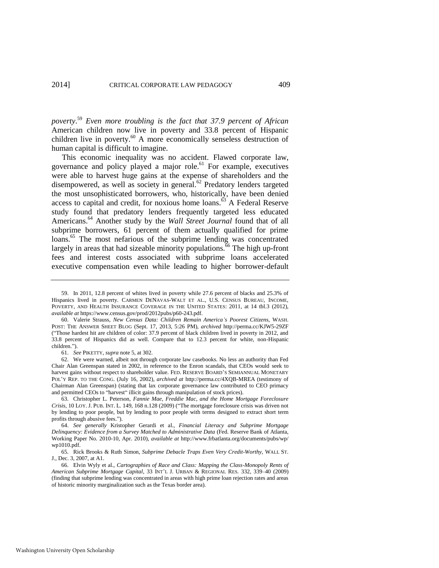*poverty*. <sup>59</sup> *Even more troubling is the fact that 37.9 percent of African* American children now live in poverty and 33.8 percent of Hispanic children live in poverty.<sup>60</sup> A more economically senseless destruction of human capital is difficult to imagine.

This economic inequality was no accident. Flawed corporate law, governance and policy played a major role.<sup>61</sup> For example, executives were able to harvest huge gains at the expense of shareholders and the disempowered, as well as society in general. $62$  Predatory lenders targeted the most unsophisticated borrowers, who, historically, have been denied access to capital and credit, for noxious home loans. $63$  A Federal Reserve study found that predatory lenders frequently targeted less educated Americans.<sup>64</sup> Another study by the *Wall Street Journal* found that of all subprime borrowers, 61 percent of them actually qualified for prime loans.<sup>65</sup> The most nefarious of the subprime lending was concentrated largely in areas that had sizeable minority populations.<sup> $\overline{66}$ </sup> The high up-front fees and interest costs associated with subprime loans accelerated executive compensation even while leading to higher borrower-default

61. *See* PIKETTY, *supra* not[e 5,](#page-2-0) at 302.

62. We were warned, albeit not through corporate law casebooks. No less an authority than Fed Chair Alan Greenspan stated in 2002, in reference to the Enron scandals, that CEOs would seek to harvest gains without respect to shareholder value. FED. RESERVE BOARD'S SEMIANNUAL MONETARY POL'Y REP. TO THE CONG. (July 16, 2002), *archived at* <http://perma.cc/4XQB-MREA>(testimony of Chairman Alan Greenspan) (stating that lax corporate governance law contributed to CEO primacy and permitted CEOs to ["harvest"](http://web2.westlaw.com/result/result.aspx?fmqv=c&strparmarrowtype=asnext&vr=2.0&mt=LawSchool&referenceposition=SR%3b17425&scxt=WL&rlti=1&strparmnavnewdoc=yes&sv=Split&rlt=CLID_QRYRLT5770242715114&cfid=3&referencepositiontype=T&method=TNC&sri=76&lquery=harvest&origin=Search&service=Search&tnprpdd=None&tnprpds=TaxNewsFIT&query=STEVE%21+%2f3+RAMIREZ+%26+GREENSPAN+%26+HARVEST&fn=_top&docaction=term&sskey=CLID_SSLA695991515114&rp=%2fWelcome%2fLawSchool%2fdefault.wl&direction=Next&cnt=DOC&db=JLR&utid=1&n=5&eq=Welcome%2fLawSchool&rs=WLW14.01&ss=CNT&rltdb=CLID_DB918841715114) illicit gains through manipulation of stock prices).

63. Christopher L. Peterson, *Fannie Mae, Freddie Mac, and the Home Mortgage Foreclosure Crisis*, 10 LOY. J. PUB. INT. L. 149, 168 n.128 (2009) ("The mortgage foreclosure crisis was driven not by lending to poor people, but by lending to poor people with terms designed to extract short term profits through abusive fees.").

64. *See generally* Kristopher Gerardi et al., *Financial Literacy and Subprime Mortgage Delinquency: Evidence from a Survey Matched to Administrative Data* (Fed. Reserve Bank of Atlanta, Working Paper No. 2010-10, Apr. 2010), *available at* [http://www.frbatlanta.org/documents/pubs/wp/](http://www.frbatlanta.org/documents/pubs/wp/wp1010.pdf)  [wp1010.pdf.](http://www.frbatlanta.org/documents/pubs/wp/wp1010.pdf) 

65. Rick Brooks & Ruth Simon, *Subprime Debacle Traps Even Very Credit-Worthy*, WALL ST. J., Dec. 3, 2007, at A1.

66. Elvin Wyly et al., *Cartographies of Race and Class: Mapping the Class-Monopoly Rents of American Subprime Mortgage Capital*, 33 INT'L J. URBAN & REGIONAL RES. 332, 339–40 (2009) (finding that subprime lending was concentrated in areas with high prime loan rejection rates and areas of historic minority marginalization such as the Texas border area).

<sup>59.</sup> In 2011, 12.8 percent of whites lived in poverty while 27.6 percent of blacks and 25.3% of Hispanics lived in poverty. CARMEN DENAVAS-WALT ET AL., U.S. CENSUS BUREAU, INCOME, POVERTY, AND HEALTH INSURANCE COVERAGE IN THE UNITED STATES: 2011, at 14 tbl.3 (2012), *available at* [https://www.census.gov/prod/2012pubs/p60-243.pdf.](https://www.census.gov/prod/2012pubs/p60-243.pdf) 

<sup>60.</sup> Valerie Strauss, *New Census Data: Children Remain America's Poorest Citizens*, WASH. POST: THE ANSWER SHEET BLOG (Sept. 17, 2013, 5:26 PM), *archived* <http://perma.cc/KJW5-29ZF> ("Those hardest hit are children of color: 37.9 percent of black children lived in poverty in 2012, and 33.8 percent of Hispanics did as well. Compare that to 12.3 percent for white, non-Hispanic children.").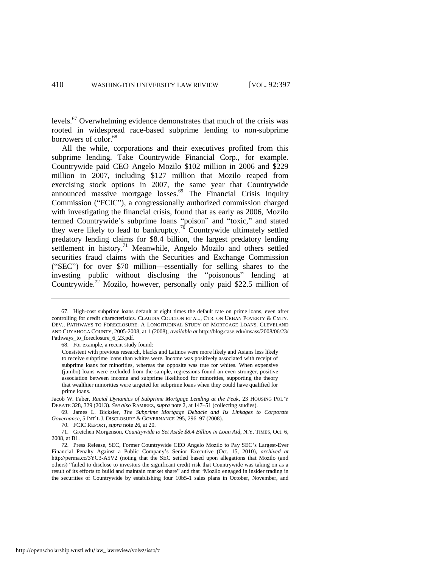levels.<sup>67</sup> Overwhelming evidence demonstrates that much of the crisis was rooted in widespread race-based subprime lending to non-subprime borrowers of color.<sup>68</sup>

All the while, corporations and their executives profited from this subprime lending. Take Countrywide Financial Corp., for example. Countrywide paid CEO Angelo Mozilo \$102 million in 2006 and \$229 million in 2007, including \$127 million that Mozilo reaped from exercising stock options in 2007, the same year that Countrywide announced massive mortgage losses.<sup>69</sup> The Financial Crisis Inquiry Commission ("FCIC"), a congressionally authorized commission charged with investigating the financial crisis, found that as early as 2006, Mozilo termed Countrywide's subprime loans "poison" and "toxic," and stated they were likely to lead to bankruptcy.<sup>70</sup> Countrywide ultimately settled predatory lending claims for \$8.4 billion, the largest predatory lending settlement in history.<sup>71</sup> Meanwhile, Angelo Mozilo and others settled securities fraud claims with the Securities and Exchange Commission ("SEC") for over \$70 million—essentially for selling shares to the investing public without disclosing the "poisonous" lending at Countrywide.<sup>72</sup> Mozilo, however, personally only paid \$22.5 million of

68. For example, a recent study found:

Consistent with previous research, blacks and Latinos were more likely and Asians less likely to receive subprime loans than whites were. Income was positively associated with receipt of subprime loans for minorities, whereas the opposite was true for whites. When expensive (jumbo) loans were excluded from the sample, regressions found an even stronger, positive association between income and subprime likelihood for minorities, supporting the theory that wealthier minorities were targeted for subprime loans when they could have qualified for prime loans.

Jacob W. Faber, *Racial Dynamics of Subprime Mortgage Lending at the Peak*, 23 HOUSING POL'Y DEBATE 328, 329 (2013). *See also* RAMIREZ, *supra* not[e 2,](#page-1-2) at 147–51 (collecting studies).

69. James L. Bicksler, *The Subprime Mortgage Debacle and Its Linkages to Corporate Governance*, 5 INT'L J. DISCLOSURE & GOVERNANCE 295, 296–97 (2008).

70. FCIC REPORT*, supra* not[e 26,](#page-6-0) at 20.

71. Gretchen Morgenson, *Countrywide to Set Aside \$8.4 Billion in Loan Aid*, N.Y. TIMES, Oct. 6, 2008, at B1.

<sup>67.</sup> High-cost subprime loans default at eight times the default rate on prime loans, even after controlling for credit characteristics. CLAUDIA COULTON ET AL., CTR. ON URBAN POVERTY & CMTY. DEV., PATHWAYS TO FORECLOSURE: A LONGITUDINAL STUDY OF MORTGAGE LOANS, CLEVELAND AND CUYAHOGA COUNTY, 2005-2008, at 1 (2008), *available at* [http://blog.case.edu/msass/2008/06/23/](http://blog.case.edu/msass/2008/06/23/Pathways_to_foreclosure_6_23.pdf)  [Pathways\\_to\\_foreclosure\\_6\\_23.pdf.](http://blog.case.edu/msass/2008/06/23/Pathways_to_foreclosure_6_23.pdf) 

<sup>72.</sup> Press Release, SEC, Former Countrywide CEO Angelo Mozilo to Pay SEC's Largest-Ever Financial Penalty Against a Public Company's Senior Executive (Oct. 15, 2010), *archived at*  <http://perma.cc/3YC3-A5V2>(noting that the SEC settled based upon allegations that Mozilo (and others) "failed to disclose to investors the significant credit risk that Countrywide was taking on as a result of its efforts to build and maintain market share" and that "Mozilo engaged in insider trading in the securities of Countrywide by establishing four 10b5-1 sales plans in October, November, and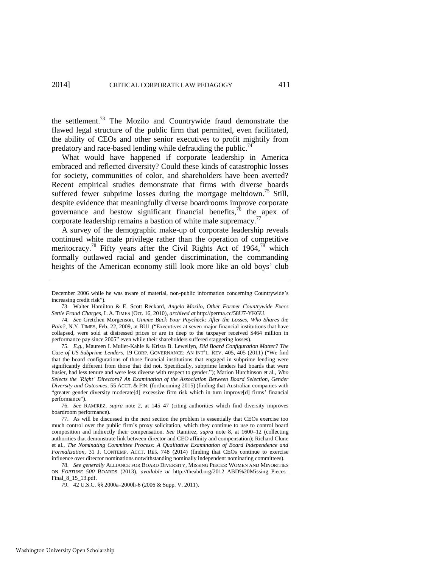the settlement.<sup>73</sup> The Mozilo and Countrywide fraud demonstrate the flawed legal structure of the public firm that permitted, even facilitated, the ability of CEOs and other senior executives to profit mightily from predatory and race-based lending while defrauding the public.<sup>74</sup>

<span id="page-15-1"></span>What would have happened if corporate leadership in America embraced and reflected diversity? Could these kinds of catastrophic losses for society, communities of color, and shareholders have been averted? Recent empirical studies demonstrate that firms with diverse boards suffered fewer subprime losses during the mortgage meltdown.<sup>75</sup> Still, despite evidence that meaningfully diverse boardrooms improve corporate governance and bestow significant financial benefits,  $\frac{76}{6}$  the apex of corporate leadership remains a bastion of white male supremacy.<sup>77</sup>

<span id="page-15-0"></span>A survey of the demographic make-up of corporate leadership reveals continued white male privilege rather than the operation of competitive meritocracy.<sup>78</sup> Fifty years after the Civil Rights Act of 1964,<sup>79</sup> which formally outlawed racial and gender discrimination, the commanding heights of the American economy still look more like an old boys' club

75. *E.g.*, Maureen I. Muller-Kahle & Krista B. Lewellyn, *Did Board Configuration Matter? The Case of US Subprime Lenders*, 19 CORP. GOVERNANCE: AN INT'L. REV. 405, 405 (2011) ("We find that the board configurations of those financial institutions that engaged in subprime lending were significantly different from those that did not. Specifically, subprime lenders had boards that were busier, had less tenure and were less diverse with respect to gender."); Marion Hutchinson et al., *Who Selects the 'Right' Directors? An Examination of the Association Between Board Selection, Gender Diversity and Outcomes*, 55 ACCT. & FIN. (forthcoming 2015) (finding that Australian companies with "greater gender diversity moderate[d] excessive firm risk which in turn improve[d] firms' financial performance").

 76. *See* RAMIREZ, *supra* note [2,](#page-1-2) at 145–47 (citing authorities which find diversity improves boardroom performance).

77. As will be discussed in the next section the problem is essentially that CEOs exercise too much control over the public firm's proxy solicitation, which they continue to use to control board composition and indirectly their compensation. *See* Ramirez, *supra* note [8,](#page-2-2) at 1600–12 (collecting authorities that demonstrate link between director and CEO affinity and compensation); Richard Clune et al., *The Nominating Committee Process: A Qualitative Examination of Board Independence and Formalization,* 31 J. CONTEMP. ACCT. RES. 748 (2014) (finding that CEOs continue to exercise influence over director nominations notwithstanding nominally independent nominating committees).

78. *See generally* ALLIANCE FOR BOARD DIVERSITY, MISSING PIECES: WOMEN AND MINORITIES ON *FORTUNE 500* BOARDS (2013), *available at* [http://theabd.org/2012\\_ABD%20Missing\\_Pieces\\_](http://theabd.org/2012_ABD%20Missing_Pieces_Final_8_15_13.pdf)  [Final\\_8\\_15\\_13.pdf.](http://theabd.org/2012_ABD%20Missing_Pieces_Final_8_15_13.pdf)

79. 42 U.S.C. §§ 2000a–2000h-6 (2006 & Supp. V. 2011).

December 2006 while he was aware of material, non-public information concerning Countrywide's increasing credit risk").

<sup>73.</sup> Walter Hamilton & E. Scott Reckard, *Angelo Mozilo, Other Former Countrywide Execs Settle Fraud Charges*, L.A. TIMES (Oct. 16, 2010), *archived at* [http://perma.cc/58U7-YKGU.](http://perma.cc/58U7-YKGU) 

<sup>74.</sup> *See* Gretchen Morgenson, *Gimme Back Your Paycheck: After the Losses, Who Shares the*  Pain?, N.Y. TIMES, Feb. 22, 2009, at BU1 ("Executives at seven major financial institutions that have collapsed, were sold at distressed prices or are in deep to the taxpayer received \$464 million in performance pay since 2005" even while their shareholders suffered staggering losses).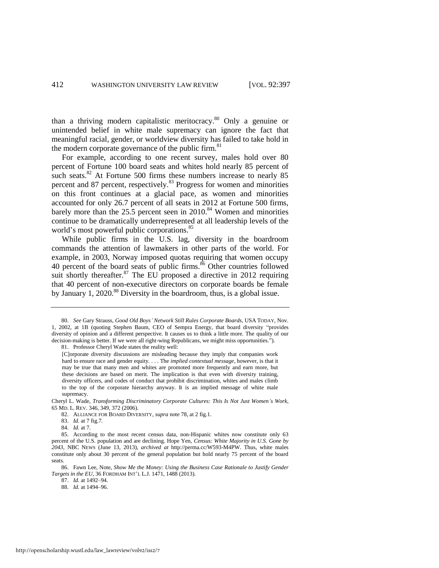than a thriving modern capitalistic meritocracy.<sup>80</sup> Only a genuine or unintended belief in white male supremacy can ignore the fact that meaningful racial, gender, or worldview diversity has failed to take hold in the modern corporate governance of the public firm.<sup>81</sup>

For example, according to one recent survey, males hold over 80 percent of Fortune 100 board seats and whites hold nearly 85 percent of such seats. $82$  At Fortune 500 firms these numbers increase to nearly 85 percent and 87 percent, respectively.<sup>83</sup> Progress for women and minorities on this front continues at a glacial pace, as women and minorities accounted for only 26.7 percent of all seats in 2012 at Fortune 500 firms, barely more than the  $25.5$  percent seen in  $2010$ .<sup>84</sup> Women and minorities continue to be dramatically underrepresented at all leadership levels of the world's most powerful public corporations.<sup>85</sup>

While public firms in the U.S. lag, diversity in the boardroom commands the attention of lawmakers in other parts of the world. For example, in 2003, Norway imposed quotas requiring that women occupy 40 percent of the board seats of public firms.<sup>86</sup> Other countries followed suit shortly thereafter. $87$  The EU proposed a directive in 2012 requiring that 40 percent of non-executive directors on corporate boards be female by January 1, 2020.<sup>88</sup> Diversity in the boardroom, thus, is a global issue.

Cheryl L. Wade, *Transforming Discriminatory Corporate Cultures: This Is Not Just Women's Work*, 65 MD. L. REV. 346, 349, 372 (2006).

<sup>80.</sup> *See* Gary Strauss, *Good Old Boys' Network Still Rules Corporate Boards*, USA TODAY, Nov. 1, 2002, at 1B (quoting Stephen Baum, CEO of Sempra Energy, that board diversity "provides diversity of opinion and a different perspective. It causes us to think a little more. The quality of our decision-making is better. If we were all right-wing Republicans, we might miss opportunities."). 81. Professor Cheryl Wade states the reality well:

<sup>[</sup>C]orporate diversity discussions are misleading because they imply that companies work hard to ensure race and gender equity. . . . The *implied contextual message*, however, is that it may be true that many men and whites are promoted more frequently and earn more, but these decisions are based on merit. The implication is that even with diversity training, diversity officers, and codes of conduct that prohibit discrimination, whites and males climb to the top of the corporate hierarchy anyway. It is an implied message of white male supremacy.

<sup>82.</sup> ALLIANCE FOR BOARD DIVERSITY, *supra* not[e 78,](#page-15-0) at 2 fig.1.

<sup>83.</sup> *Id.* at 7 fig.7*.*

<sup>84.</sup> *Id.* at 7*.*

<sup>85.</sup> According to the most recent census data, non-Hispanic whites now constitute only 63 percent of the U.S. population and are declining. Hope Yen, *Census: White Majority in U.S. Gone by 2043*, NBC NEWS (June 13, 2013), *archived at* [http://perma.cc/W593-M4PW.](http://perma.cc/W593-M4PW) Thus, white males constitute only about 30 percent of the general population but hold nearly 75 percent of the board seats.

<sup>86.</sup> Fawn Lee, Note, *Show Me the Money: Using the Business Case Rationale to Justify Gender Targets in the EU*, 36 FORDHAM INT'L L.J. 1471, 1488 (2013).

<sup>87.</sup> *Id.* at 1492–94.

<sup>88.</sup> *Id.* at 1494–96.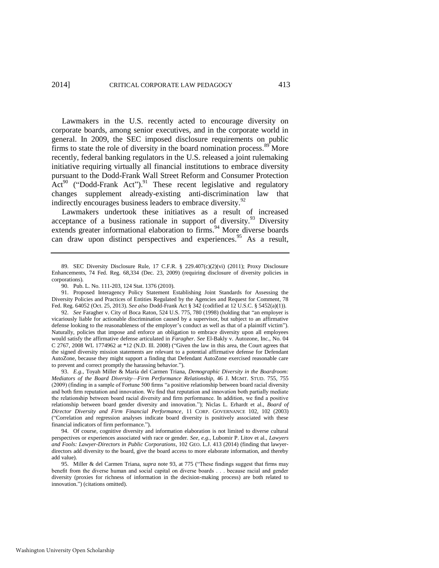<span id="page-17-1"></span>Lawmakers in the U.S. recently acted to encourage diversity on corporate boards, among senior executives, and in the corporate world in general. In 2009, the SEC imposed disclosure requirements on public firms to state the role of diversity in the board nomination process.<sup>89</sup> More recently, federal banking regulators in the U.S. released a joint rulemaking initiative requiring virtually all financial institutions to embrace diversity pursuant to the Dodd-Frank Wall Street Reform and Consumer Protection  $Act^{90}$  ("Dodd-Frank Act").<sup>91</sup> These recent legislative and regulatory changes supplement already-existing anti-discrimination law that indirectly encourages business leaders to embrace diversity.<sup>92</sup>

<span id="page-17-2"></span><span id="page-17-0"></span>Lawmakers undertook these initiatives as a result of increased acceptance of a business rationale in support of diversity.<sup>93</sup> Diversity extends greater informational elaboration to firms.<sup>94</sup> More diverse boards can draw upon distinct perspectives and experiences.  $95$  As a result,

<sup>89.</sup> SEC Diversity Disclosure Rule, 17 C.F.R. § 229.407(c)(2)(vi) (2011); Proxy Disclosure Enhancements, 74 Fed. Reg. 68,334 (Dec. 23, 2009) (requiring disclosure of diversity policies in corporations).

<sup>90.</sup> Pub. L. No. 111-203, 124 Stat. 1376 (2010).

<sup>91.</sup> Proposed Interagency Policy Statement Establishing Joint Standards for Assessing the Diversity Policies and Practices of Entities Regulated by the Agencies and Request for Comment, 78 Fed. Reg. 64052 (Oct. 25, 2013). *See also* Dodd-Frank Act § 342 (codified at 12 U.S.C. § 5452(a)(1)).

<sup>92.</sup> *See* Faragher v. City of Boca Raton, 524 U.S. 775, 780 (1998) (holding that "an employer is vicariously liable for actionable discrimination caused by a supervisor, but subject to an affirmative defense looking to the reasonableness of the employer's conduct as well as that of a plaintiff victim"). Naturally, policies that impose and enforce an obligation to embrace diversity upon all employees would satisfy the affirmative defense articulated in *Faragher*. *See* El-Bakly v. Autozone, Inc., No. 04 C 2767, 2008 WL 1774962 at \*12 (N.D. Ill. 2008) ("Given the law in this area, the Court agrees that the signed diversity mission statements are relevant to a potential affirmative defense for Defendant AutoZone, because they might support a finding that Defendant AutoZone exercised reasonable care to prevent and correct promptly the harassing behavior.").

<sup>93.</sup> *E.g.*, Toyah Miller & María del Carmen Triana, *Demographic Diversity in the Boardroom: Mediators of the Board Diversity—Firm Performance Relationship*, 46 J. MGMT. STUD. 755, 755 (2009) (finding in a sample of Fortune 500 firms "a positive relationship between board racial diversity and both firm reputation and innovation. We find that reputation and innovation both partially mediate the relationship between board racial diversity and firm performance. In addition, we find a positive relationship between board gender diversity and innovation."); Niclas L. Erhardt et al., *Board of Director Diversity and Firm Financial Performance*, 11 CORP. GOVERNANCE 102, 102 (2003) ("Correlation and regression analyses indicate board diversity is positively associated with these financial indicators of firm performance.").

<sup>94.</sup> Of course, cognitive diversity and information elaboration is not limited to diverse cultural perspectives or experiences associated with race or gender. *See, e.g.*, Lubomir P. Litov et al., *Lawyers and Fools: Lawyer-Directors in Public Corporations*, 102 GEO. L.J. 413 (2014) (finding that lawyerdirectors add diversity to the board, give the board access to more elaborate information, and thereby add value).

<sup>95.</sup> Miller & del Carmen Triana, *supra* not[e 93,](#page-17-0) at 775 ("These findings suggest that firms may benefit from the diverse human and social capital on diverse boards . . . because racial and gender diversity (proxies for richness of information in the decision-making process) are both related to innovation.") (citations omitted).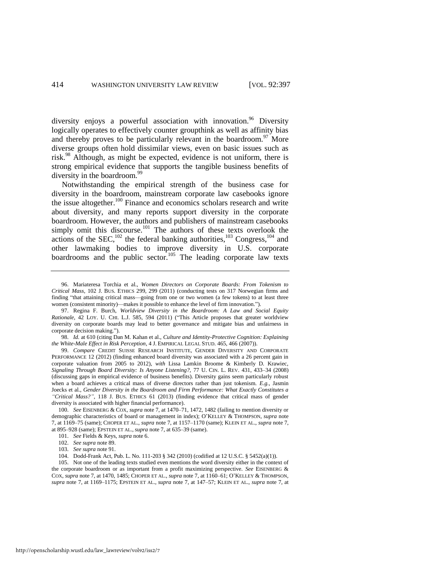<span id="page-18-2"></span>diversity enjoys a powerful association with innovation.<sup>96</sup> Diversity logically operates to effectively counter groupthink as well as affinity bias and thereby proves to be particularly relevant in the boardroom. $\frac{97}{7}$  More diverse groups often hold dissimilar views, even on basic issues such as risk.<sup>98</sup> Although, as might be expected, evidence is not uniform, there is strong empirical evidence that supports the tangible business benefits of diversity in the boardroom.<sup>99</sup>

<span id="page-18-1"></span><span id="page-18-0"></span>Notwithstanding the empirical strength of the business case for diversity in the boardroom, mainstream corporate law casebooks ignore the issue altogether.<sup>100</sup> Finance and economics scholars research and write about diversity, and many reports support diversity in the corporate boardroom. However, the authors and publishers of mainstream casebooks simply omit this discourse.<sup>101</sup> The authors of these texts overlook the actions of the SEC,<sup>102</sup> the federal banking authorities,<sup>103</sup> Congress,<sup>104</sup> and other lawmaking bodies to improve diversity in U.S. corporate boardrooms and the public sector.<sup>105</sup> The leading corporate law texts

<sup>96.</sup> Mariateresa Torchia et al., *Women Directors on Corporate Boards: From Tokenism to Critical Mass*, 102 J. BUS. ETHICS 299, 299 (2011) (conducting tests on 317 Norwegian firms and finding "that attaining critical mass—going from one or two women (a few tokens) to at least three women (consistent minority)—makes it possible to enhance the level of firm innovation.").

<sup>97.</sup> Regina F. Burch, *Worldview Diversity in the Boardroom: A Law and Social Equity Rationale*, 42 LOY. U. CHI. L.J. 585, 594 (2011) ("This Article proposes that greater worldview diversity on corporate boards may lead to better governance and mitigate bias and unfairness in corporate decision making.").

<sup>98.</sup> *Id.* at 610 (citing Dan M. Kahan et al., *Culture and Identity-Protective Cognition: Explaining the White-Male Effect in Risk Perception*, 4 J. EMPIRICAL LEGAL STUD. 465, 466 (2007)).

<sup>99.</sup> *Compare* CREDIT SUISSE RESEARCH INSTITUTE, GENDER DIVERSITY AND CORPORATE PERFORMANCE 12 (2012) (finding enhanced board diversity was associated with a 26 percent gain in corporate valuation from 2005 to 2012), *with* Lissa Lamkin Broome & Kimberly D. Krawiec, *Signaling Through Board Diversity: Is Anyone Listening?,* 77 U. CIN. L. REV. 431, 433–34 (2008) (discussing gaps in empirical evidence of business benefits). Diversity gains seem particularly robust when a board achieves a critical mass of diverse directors rather than just tokenism. *E.g.*, Jasmin Joecks et al., *Gender Diversity in the Boardroom and Firm Performance: What Exactly Constitutes a "Critical Mass?"*, 118 J. BUS. ETHICS 61 (2013) (finding evidence that critical mass of gender diversity is associated with higher financial performance).

<sup>100.</sup> *See* EISENBERG & COX, *supra* not[e 7,](#page-2-1) at 1470–71, 1472, 1482 (failing to mention diversity or demographic characteristics of board or management in index); O'KELLEY & THOMPSON, *supra* note [7,](#page-2-1) at 1169–75 (same); CHOPER ET AL., *supra* not[e 7,](#page-2-1) at 1157–1170 (same); KLEIN ET AL., *supra* not[e 7,](#page-2-1)  at 895–928 (same); EPSTEIN ET AL., *supra* not[e 7,](#page-2-1) at 635–39 (same).

<sup>101.</sup> *See* Fields & Keys, *supra* not[e 6.](#page-2-3) 

<sup>102.</sup> *See supra* not[e 89.](#page-17-1) 

<sup>103.</sup> *See supra* not[e 91.](#page-17-2) 

<sup>104.</sup> Dodd-Frank Act, Pub. L. No. 111-203 § 342 (2010) (codified at 12 U.S.C. § 5452(a)(1)).

<sup>105.</sup> Not one of the leading texts studied even mentions the word diversity either in the context of the corporate boardroom or as important from a profit maximizing perspective. *See* EISENBERG & COX, *supra* note [7,](#page-2-1) at 1470, 1485; CHOPER ET AL., *supra* not[e 7,](#page-2-1) at 1160–61; O'KELLEY & THOMPSON, *supra* note [7,](#page-2-1) at 1169–1175; EPSTEIN ET AL., *supra* not[e 7,](#page-2-1) at 147–57; KLEIN ET AL., *supra* note [7,](#page-2-1) at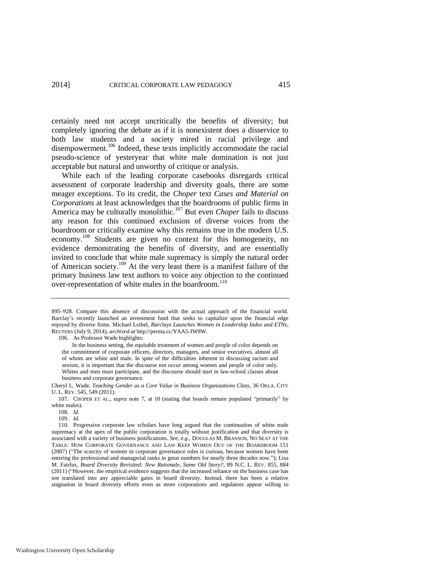certainly need not accept uncritically the benefits of diversity; but completely ignoring the debate as if it is nonexistent does a disservice to both law students and a society mired in racial privilege and disempowerment.<sup>106</sup> Indeed, these texts implicitly accommodate the racial pseudo-science of yesteryear that white male domination is not just acceptable but natural and unworthy of critique or analysis.

While each of the leading corporate casebooks disregards critical assessment of corporate leadership and diversity goals, there are some meager exceptions. To its credit, the *Choper* text *Cases and Material on Corporations* at least acknowledges that the boardrooms of public firms in America may be culturally monolithic.<sup>107</sup> But even *Choper* fails to discuss any reason for this continued exclusion of diverse voices from the boardroom or critically examine why this remains true in the modern U.S. economy.<sup>108</sup> Students are given no context for this homogeneity, no evidence demonstrating the benefits of diversity, and are essentially invited to conclude that white male supremacy is simply the natural order of American society.<sup>109</sup> At the very least there is a manifest failure of the primary business law text authors to voice any objection to the continued over-representation of white males in the boardroom.<sup>110</sup>

895–928. Compare this absence of discussion with the actual approach of the financial world. Barclay's recently launched an investment fund that seeks to capitalize upon the financial edge enjoyed by diverse firms. Michael Leibel, *Barclays Launches Women in Leadership Index and ETNs*, REUTERS (July 9, 2014), *archived at* [http://perma.cc/YAA5-JW9W.](http://perma.cc/YAA5-JW9W) 

106. As Professor Wade highlights:

 In the business setting, the equitable treatment of women and people of color depends on the commitment of corporate officers, directors, managers, and senior executives, almost all of whom are white and male. In spite of the difficulties inherent in discussing racism and sexism, it is important that the discourse not occur among women and people of color only. Whites and men must participate, and the discourse should start in law-school classes about business and corporate governance.

Cheryl L. Wade, *Teaching Gender as a Core Value in Business Organizations Class*, 36 OKLA. CITY U. L. REV. 545, 549 (2011).

107. CHOPER ET AL., *supra* note [7,](#page-2-1) at 10 (stating that boards remain populated "primarily" by white males).

108. *Id.*

109. *Id.*

110. Progressive corporate law scholars have long argued that the continuation of white male supremacy at the apex of the public corporation is totally without justification and that diversity is associated with a variety of business justifications. *See, e.g.*, DOUGLAS M. BRANSON, NO SEAT AT THE TABLE: HOW CORPORATE GOVERNANCE AND LAW KEEP WOMEN OUT OF THE BOARDROOM 151 (2007) ("The scarcity of women in corporate governance roles is curious, because women have been entering the professional and managerial ranks in great numbers for nearly three decades now."); Lisa M. Fairfax, *Board Diversity Revisited: New Rationale, Same Old Story?*, 89 N.C. L. REV. 855, 884 (2011) ("However, the empirical evidence suggests that the increased reliance on the business case has not translated into any appreciable gains in board diversity. Instead, there has been a relative stagnation in board diversity efforts even as more corporations and regulators appear willing to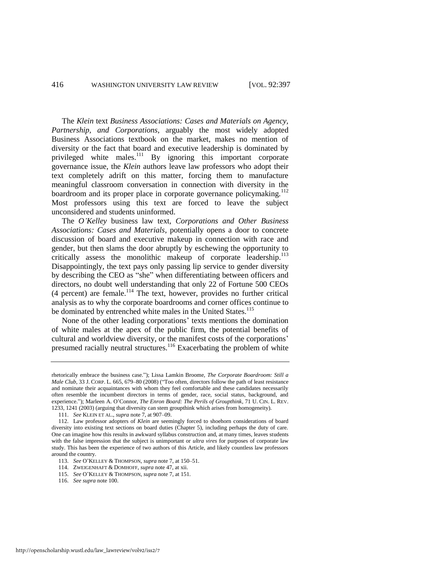#### 416 WASHINGTON UNIVERSITY LAW REVIEW [VOL. 92:397

The *Klein* text *Business Associations: Cases and Materials on Agency, Partnership, and Corporations*, arguably the most widely adopted Business Associations textbook on the market, makes no mention of diversity or the fact that board and executive leadership is dominated by privileged white males.<sup>111</sup> By ignoring this important corporate governance issue, the *Klein* authors leave law professors who adopt their text completely adrift on this matter, forcing them to manufacture meaningful classroom conversation in connection with diversity in the boardroom and its proper place in corporate governance policymaking.<sup>112</sup> Most professors using this text are forced to leave the subject unconsidered and students uninformed.

The *O'Kelley* business law text, *Corporations and Other Business Associations: Cases and Materials*, potentially opens a door to concrete discussion of board and executive makeup in connection with race and gender, but then slams the door abruptly by eschewing the opportunity to critically assess the monolithic makeup of corporate leadership.<sup>113</sup> Disappointingly, the text pays only passing lip service to gender diversity by describing the CEO as "she" when differentiating between officers and directors, no doubt well understanding that only 22 of Fortune 500 CEOs  $(4$  percent) are female.<sup>114</sup> The text, however, provides no further critical analysis as to why the corporate boardrooms and corner offices continue to be dominated by entrenched white males in the United States.<sup>115</sup>

None of the other leading corporations' texts mentions the domination of white males at the apex of the public firm, the potential benefits of cultural and worldview diversity, or the manifest costs of the corporations' presumed racially neutral structures.<sup>116</sup> Exacerbating the problem of white

rhetorically embrace the business case."); Lissa Lamkin Broome, *The Corporate Boardroom: Still a Male Club*, 33 J. CORP. L. 665, 679–80 (2008) ("Too often, directors follow the path of least resistance and nominate their acquaintances with whom they feel comfortable and these candidates necessarily often resemble the incumbent directors in terms of gender, race, social status, background, and experience."); Marleen A. O'Connor, *The Enron Board: The Perils of Groupthink*, 71 U. CIN. L. REV. 1233, 1241 (2003) (arguing that diversity can stem groupthink which arises from homogeneity).

<sup>111.</sup> *See* KLEIN ET AL., *supra* note [7,](#page-2-1) at 907–09.

<sup>112.</sup> Law professor adopters of *Klein* are seemingly forced to shoehorn considerations of board diversity into existing text sections on board duties (Chapter 5), including perhaps the duty of care. One can imagine how this results in awkward syllabus construction and, at many times, leaves students with the false impression that the subject is unimportant or *ultra vires* for purposes of corporate law study. This has been the experience of two authors of this Article, and likely countless law professors around the country.

<sup>113.</sup> *See* O'KELLEY & THOMPSON, *supra* not[e 7,](#page-2-1) at 150–51.

<sup>114.</sup> ZWEIGENHAFT & DOMHOFF, *supra* not[e 47,](#page-11-0) at xii.

<sup>115.</sup> *See* O'KELLEY & THOMPSON, *supra* not[e 7,](#page-2-1) at 151.

<sup>116.</sup> *See supra* not[e 100.](#page-18-0)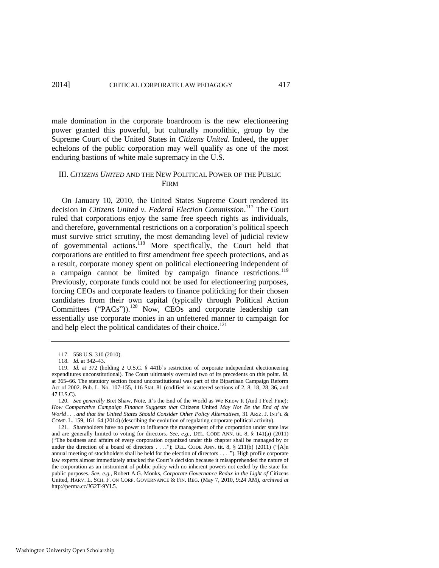male domination in the corporate boardroom is the new electioneering power granted this powerful, but culturally monolithic, group by the Supreme Court of the United States in *Citizens United*. Indeed, the upper echelons of the public corporation may well qualify as one of the most enduring bastions of white male supremacy in the U.S.

#### III. *CITIZENS UNITED* AND THE NEW POLITICAL POWER OF THE PUBLIC FIRM

On January 10, 2010, the United States Supreme Court rendered its decision in *Citizens United v. Federal Election Commission*. <sup>117</sup> The Court ruled that corporations enjoy the same free speech rights as individuals, and therefore, governmental restrictions on a corporation's political speech must survive strict scrutiny, the most demanding level of judicial review of governmental actions.<sup>118</sup> More specifically, the Court held that corporations are entitled to first amendment free speech protections, and as a result, corporate money spent on political electioneering independent of a campaign cannot be limited by campaign finance restrictions.<sup>119</sup> Previously, corporate funds could not be used for electioneering purposes, forcing CEOs and corporate leaders to finance politicking for their chosen candidates from their own capital (typically through Political Action Committees ("PACs")).<sup>120</sup> Now, CEOs and corporate leadership can essentially use corporate monies in an unfettered manner to campaign for and help elect the political candidates of their choice.<sup>121</sup>

<sup>117. 558</sup> U.S. 310 (2010).

<sup>118.</sup> *Id.* at 342–43.

<sup>119.</sup> *Id.* at 372 (holding 2 U.S.C. § 441b's restriction of corporate independent electioneering expenditures unconstitutional). The Court ultimately overruled two of its precedents on this point. *Id.* at 365–66. The statutory section found unconstitutional was part of the Bipartisan Campaign Reform Act of 2002. Pub. L. No. 107-155, 116 Stat. 81 (codified in scattered sections of 2, 8, 18, 28, 36, and 47 U.S.C).

<sup>120.</sup> *See generally* Bret Shaw, Note, It's the End of the World as We Know It (And I Feel Fine)*: How Comparative Campaign Finance Suggests that* Citizens United *May Not Be the End of the World . . . and that the United States Should Consider Other Policy Alternatives*, 31 ARIZ. J. INT'L & COMP. L. 159, 161–64 (2014) (describing the evolution of regulating corporate political activity).

<sup>121.</sup> Shareholders have no power to influence the management of the corporation under state law and are generally limited to voting for directors. *See, e.g.*, DEL. CODE ANN. tit. 8, § 141(a) (2011) ("The business and affairs of every corporation organized under this chapter shall be managed by or under the direction of a board of directors . . . ."); DEL. CODE ANN. tit. 8, § 211(b) (2011) ("[A]n annual meeting of stockholders shall be held for the election of directors . . . ."). High profile corporate law experts almost immediately attacked the Court's decision because it misapprehended the nature of the corporation as an instrument of public policy with no inherent powers not ceded by the state for public purposes. *See, e.g.*, Robert A.G. Monks, *Corporate Governance Redux in the Light of* Citizens United, HARV. L. SCH. F. ON CORP. GOVERNANCE & FIN. REG. (May 7, 2010, 9:24 AM), *archived at*  [http://perma.cc/JG2T-9YL5.](http://perma.cc/JG2T-9YL5)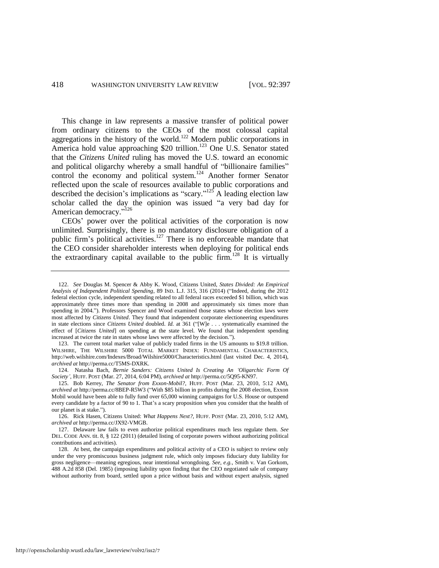This change in law represents a massive transfer of political power from ordinary citizens to the CEOs of the most colossal capital aggregations in the history of the world.<sup>122</sup> Modern public corporations in America hold value approaching \$20 trillion.<sup>123</sup> One U.S. Senator stated that the *Citizens United* ruling has moved the U.S. toward an economic and political oligarchy whereby a small handful of "billionaire families" control the economy and political system.<sup>124</sup> Another former Senator reflected upon the scale of resources available to public corporations and described the decision's implications as "scary."<sup>125</sup> A leading election law scholar called the day the opinion was issued "a very bad day for American democracy."<sup>126</sup>

CEOs' power over the political activities of the corporation is now unlimited. Surprisingly, there is no mandatory disclosure obligation of a public firm's political activities.<sup>127</sup> There is no enforceable mandate that the CEO consider shareholder interests when deploying for political ends the extraordinary capital available to the public firm.<sup>128</sup> It is virtually

123. The current total market value of publicly traded firms in the US amounts to \$19.8 trillion. WILSHIRE, THE WILSHIRE 5000 TOTAL MARKET INDEX: FUNDAMENTAL CHARACTERISTICS, <http://web.wilshire.com/Indexes/Broad/Wilshire5000/Characteristics.html> (last visited Dec. 4, 2014), *archived at* [http://perma.cc/T5MS-DXRK.](http://perma.cc/T5MS-DXRK) 

124. Natasha Bach, *Bernie Sanders: Citizens United Is Creating An 'Oligarchic Form Of Society'*, HUFF. POST (Mar. 27, 2014, 6:04 PM), *archived at* [http://perma.cc/5Q95-KN97.](http://perma.cc/5Q95-KN97) 

<sup>122.</sup> *See* Douglas M. Spencer & Abby K. Wood, Citizens United, *States Divided: An Empirical Analysis of Independent Political Spending*, 89 IND. L.J. 315, 316 (2014) ("Indeed, during the 2012 federal election cycle, independent spending related to all federal races exceeded \$1 billion, which was approximately three times more than spending in 2008 and approximately six times more than spending in 2004."). Professors Spencer and Wood examined those states whose election laws were most affected by *Citizens United*. They found that independent corporate electioneering expenditures in state elections since *Citizens United* doubled. *Id.* at 361 ("[W]e . . . systematically examined the effect of [*Citizens United*] on spending at the state level. We found that independent spending increased at twice the rate in states whose laws were affected by the decision.").

<sup>125.</sup> Bob Kerrey, *The Senator from Exxon-Mobil?*, HUFF. POST (Mar. 23, 2010, 5:12 AM), *archived at* [http://perma.cc/8BEP-R5W3 \(](http://perma.cc/8BEP-R5W3)"With \$85 billion in profits during the 2008 election, Exxon Mobil would have been able to fully fund over 65,000 winning campaigns for U.S. House or outspend every candidate by a factor of 90 to 1. That's a scary proposition when you consider that the health of our planet is at stake.").

<sup>126.</sup> Rick Hasen, Citizens United: *What Happens Next?*, HUFF. POST (Mar. 23, 2010, 5:12 AM), *archived at* [http://perma.cc/JX92-VMGB.](http://perma.cc/JX92-VMGB)

<sup>127.</sup> Delaware law fails to even authorize political expenditures much less regulate them. *See* DEL. CODE ANN. tit. 8, § 122 (2011) (detailed listing of corporate powers without authorizing political contributions and activities).

<sup>128.</sup> At best, the campaign expenditures and political activity of a CEO is subject to review only under the very promiscuous business judgment rule, which only imposes fiduciary duty liability for gross negligence—meaning egregious, near intentional wrongdoing. *See, e.g.*, Smith v. Van Gorkom, 488 A.2d 858 (Del. 1985) (imposing liability upon finding that the CEO negotiated sale of company without authority from board, settled upon a price without basis and without expert analysis, signed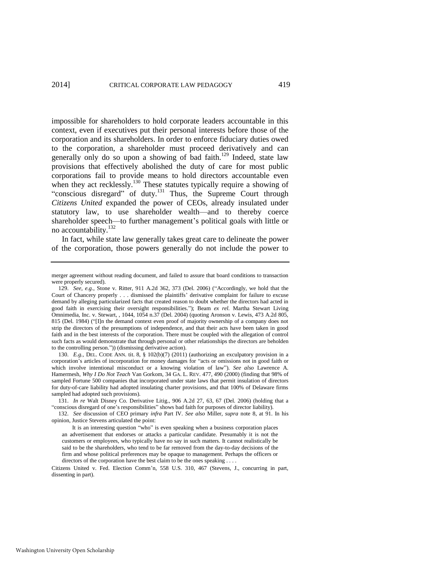impossible for shareholders to hold corporate leaders accountable in this context, even if executives put their personal interests before those of the corporation and its shareholders. In order to enforce fiduciary duties owed to the corporation, a shareholder must proceed derivatively and can generally only do so upon a showing of bad faith.<sup>129</sup> Indeed, state law provisions that effectively abolished the duty of care for most public corporations fail to provide means to hold directors accountable even when they act recklessly.<sup>130</sup> These statutes typically require a showing of "conscious disregard" of duty.<sup>131</sup> Thus, the Supreme Court through *Citizens United* expanded the power of CEOs, already insulated under statutory law, to use shareholder wealth—and to thereby coerce shareholder speech—to further management's political goals with little or no accountability.<sup>132</sup>

In fact, while state law generally takes great care to delineate the power of the corporation, those powers generally do not include the power to

130. *E.g.*, DEL. CODE ANN. tit. 8, § 102(b)(7) (2011) (authorizing an exculpatory provision in a corporation's articles of incorporation for money damages for "acts or omissions not in good faith or which involve intentional misconduct or a knowing violation of law"). *See also* Lawrence A. Hamermesh, *Why I Do Not Teach* Van Gorkom, 34 GA. L. REV. 477, 490 (2000) (finding that 98% of sampled Fortune 500 companies that incorporated under state laws that permit insulation of directors for duty-of-care liability had adopted insulating charter provisions, and that 100% of Delaware firms sampled had adopted such provisions).

131. *In re* Walt Disney Co. Derivative Litig., 906 A.2d 27, 63, 67 (Del. 2006) (holding that a "conscious disregard of one's responsibilities" shows bad faith for purposes of director liability).

132. *See* discussion of CEO primary *infra* Part IV. *See also* Miller, *supra* note [8,](#page-2-2) at 91. In his opinion, Justice Stevens articulated the point:

 It is an interesting question "who" is even speaking when a business corporation places an advertisement that endorses or attacks a particular candidate. Presumably it is not the customers or employees, who typically have no say in such matters. It cannot realistically be said to be the shareholders, who tend to be far removed from the day-to-day decisions of the firm and whose political preferences may be opaque to management. Perhaps the officers or directors of the corporation have the best claim to be the ones speaking . . . .

Citizens United v. Fed. Election Comm'n, 558 U.S. 310, 467 (Stevens, J., concurring in part, dissenting in part).

merger agreement without reading document, and failed to assure that board conditions to transaction were properly secured).

<sup>129.</sup> *See, e.g.*, Stone v. Ritter, 911 A.2d 362, 373 (Del. 2006) ("Accordingly, we hold that the Court of Chancery properly . . . dismissed the plaintiffs' derivative complaint for failure to excuse demand by alleging particularized facts that created reason to doubt whether the directors had acted in good faith in exercising their oversight responsibilities."); Beam *ex rel.* Martha Stewart Living Omnimedia, Inc. v. Stewart, , 1044, 1054 n.37 (Del. 2004) (quoting Aronson v. Lewis, 473 A.2d 805, 815 (Del. 1984) ("[I]n the demand context even proof of majority ownership of a company does not strip the directors of the presumptions of independence, and that their acts have been taken in good faith and in the best interests of the corporation. There must be coupled with the allegation of control such facts as would demonstrate that through personal or other relationships the directors are beholden to the controlling person.")) (dismissing derivative action).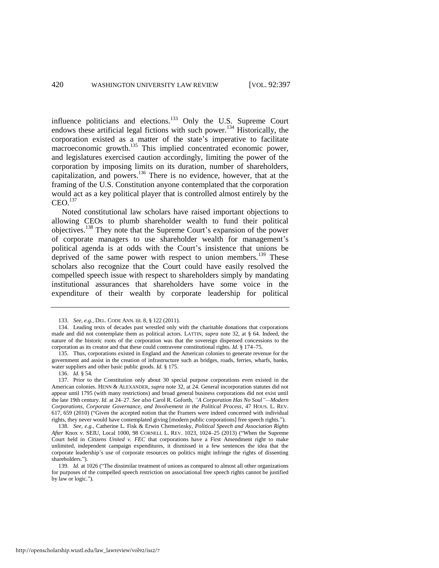influence politicians and elections.<sup>133</sup> Only the U.S. Supreme Court endows these artificial legal fictions with such power.<sup>134</sup> Historically, the corporation existed as a matter of the state's imperative to facilitate macroeconomic growth.<sup>135</sup> This implied concentrated economic power, and legislatures exercised caution accordingly, limiting the power of the corporation by imposing limits on its duration, number of shareholders, capitalization, and powers.<sup>136</sup> There is no evidence, however, that at the framing of the U.S. Constitution anyone contemplated that the corporation would act as a key political player that is controlled almost entirely by the  $CEO<sup>137</sup>$ 

Noted constitutional law scholars have raised important objections to allowing CEOs to plumb shareholder wealth to fund their political objectives.<sup>138</sup> They note that the Supreme Court's expansion of the power of corporate managers to use shareholder wealth for management's political agenda is at odds with the Court's insistence that unions be deprived of the same power with respect to union members.<sup>139</sup> These scholars also recognize that the Court could have easily resolved the compelled speech issue with respect to shareholders simply by mandating institutional assurances that shareholders have some voice in the expenditure of their wealth by corporate leadership for political

<sup>133.</sup> *See, e.g.*, DEL. CODE ANN. tit. 8, § 122 (2011).

<sup>134.</sup> Leading texts of decades past wrestled only with the charitable donations that corporations made and did not contemplate them as political actors. LATTIN, *supra* note [32,](#page-8-1) at § 64. Indeed, the nature of the historic roots of the corporation was that the sovereign dispensed concessions to the corporation as its creator and that these could contravene constitutional rights. *Id.* § 174–75.

<sup>135.</sup> Thus, corporations existed in England and the American colonies to generate revenue for the government and assist in the creation of infrastructure such as bridges, roads, ferries, wharfs, banks, water suppliers and other basic public goods. *Id.* § 175.

<sup>136.</sup> *Id.* § 54.

<sup>137.</sup> Prior to the Constitution only about 30 special purpose corporations even existed in the American colonies. HENN & ALEXANDER, *supra* not[e 32,](#page-8-1) at 24. General incorporation statutes did not appear until 1795 (with many restrictions) and broad general business corporations did not exist until the late 19th century. *Id.* at 24–27. *See also* Carol R. Goforth, *"A Corporation Has No Soul"—Modern Corporations, Corporate Governance, and Involvement in the Political Process*, 47 HOUS. L. REV. 617, 659 (2010) ("Given the accepted notion that the Framers were indeed concerned with individual rights, they never would have contemplated giving [modern public corporations] free speech rights.").

<sup>138.</sup> *See, e.g.*, Catherine L. Fisk & Erwin Chemerinsky, *Political Speech and Association Rights After* Knox v. SEIU, Local 1000, 98 CORNELL L. REV. 1023, 1024–25 (2013) ("When the Supreme Court held in *Citizens United v. FEC* that corporations have a First Amendment right to make unlimited, independent campaign expenditures, it dismissed in a few sentences the idea that the corporate leadership's use of corporate resources on politics might infringe the rights of dissenting shareholders.").

<sup>139.</sup> *Id.* at 1026 ("The dissimilar treatment of unions as compared to almost all other organizations for purposes of the compelled speech restriction on associational free speech rights cannot be justified by law or logic.").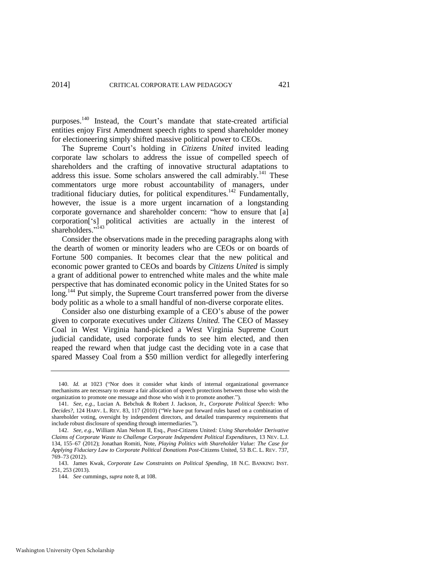purposes.<sup>140</sup> Instead, the Court's mandate that state-created artificial entities enjoy First Amendment speech rights to spend shareholder money for electioneering simply shifted massive political power to CEOs.

The Supreme Court's holding in *Citizens United* invited leading corporate law scholars to address the issue of compelled speech of shareholders and the crafting of innovative structural adaptations to address this issue. Some scholars answered the call admirably.<sup>141</sup> These commentators urge more robust accountability of managers, under traditional fiduciary duties, for political expenditures.<sup>142</sup> Fundamentally, however, the issue is a more urgent incarnation of a longstanding corporate governance and shareholder concern: "how to ensure that [a] corporation['s] political activities are actually in the interest of shareholders."<sup>143</sup>

Consider the observations made in the preceding paragraphs along with the dearth of women or minority leaders who are CEOs or on boards of Fortune 500 companies. It becomes clear that the new political and economic power granted to CEOs and boards by *Citizens United* is simply a grant of additional power to entrenched white males and the white male perspective that has dominated economic policy in the United States for so long.<sup>144</sup> Put simply, the Supreme Court transferred power from the diverse body politic as a whole to a small handful of non-diverse corporate elites.

Consider also one disturbing example of a CEO's abuse of the power given to corporate executives under *Citizens United.* The CEO of Massey Coal in West Virginia hand-picked a West Virginia Supreme Court judicial candidate, used corporate funds to see him elected, and then reaped the reward when that judge cast the deciding vote in a case that spared Massey Coal from a \$50 million verdict for allegedly interfering

<sup>140.</sup> *Id.* at 1023 ("Nor does it consider what kinds of internal organizational governance mechanisms are necessary to ensure a fair allocation of speech protections between those who wish the organization to promote one message and those who wish it to promote another.").

<sup>141.</sup> *See, e.g.*, Lucian A. Bebchuk & Robert J. Jackson, Jr., *Corporate Political Speech: Who Decides?*, 124 HARV. L. REV. 83, 117 (2010) ("We have put forward rules based on a combination of shareholder voting, oversight by independent directors, and detailed transparency requirements that include robust disclosure of spending through intermediaries.").

<sup>142.</sup> *See, e.g.*, William Alan Nelson II, Esq., *Post-*Citizens United*: Using Shareholder Derivative Claims of Corporate Waste to Challenge Corporate Independent Political Expenditures*, 13 NEV. L.J. 134, 155–67 (2012); Jonathan Romiti, Note, *Playing Politics with Shareholder Value: The Case for Applying Fiduciary Law to Corporate Political Donations Post-*Citizens United, 53 B.C. L. REV. 737, 769–73 (2012).

<sup>143.</sup> James Kwak, *Corporate Law Constraints on Political Spending*, 18 N.C. BANKING INST. 251, 253 (2013).

<sup>144.</sup> *See* cummings, *supra* not[e 8,](#page-2-2) at 108.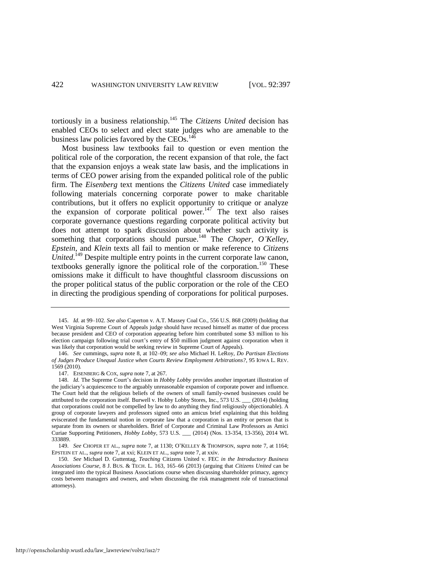tortiously in a business relationship.<sup>145</sup> The *Citizens United* decision has enabled CEOs to select and elect state judges who are amenable to the business law policies favored by the CEOs. $14\overline{6}$ 

Most business law textbooks fail to question or even mention the political role of the corporation, the recent expansion of that role, the fact that the expansion enjoys a weak state law basis, and the implications in terms of CEO power arising from the expanded political role of the public firm. The *Eisenberg* text mentions the *Citizens United* case immediately following materials concerning corporate power to make charitable contributions, but it offers no explicit opportunity to critique or analyze the expansion of corporate political power. $147$  The text also raises corporate governance questions regarding corporate political activity but does not attempt to spark discussion about whether such activity is something that corporations should pursue.<sup>148</sup> The *Choper*, *O'Kelley*, *Epstein*, and *Klein* texts all fail to mention or make reference to *Citizens*  United.<sup>149</sup> Despite multiple entry points in the current corporate law canon, textbooks generally ignore the political role of the corporation.<sup>150</sup> These omissions make it difficult to have thoughtful classroom discussions on the proper political status of the public corporation or the role of the CEO in directing the prodigious spending of corporations for political purposes.

<sup>145.</sup> *Id.* at 99–102. *See also* Caperton v. A.T. Massey Coal Co., 556 U.S. 868 (2009) (holding that West Virginia Supreme Court of Appeals judge should have recused himself as matter of due process because president and CEO of corporation appearing before him contributed some \$3 million to his election campaign following trial court's entry of \$50 million judgment against corporation when it was likely that corporation would be seeking review in Supreme Court of Appeals).

<sup>146.</sup> *See* cummings, *supra* note [8,](#page-2-2) at 102–09; *see also* Michael H. LeRoy, *Do Partisan Elections of Judges Produce Unequal Justice when Courts Review Employment Arbitrations?*, 95 IOWA L. REV. 1569 (2010).

<sup>147.</sup> EISENBERG & COX, *supra* not[e 7,](#page-2-1) at 267.

<sup>148.</sup> *Id.* The Supreme Court's decision in *Hobby Lobby* provides another important illustration of the judiciary's acquiescence to the arguably unreasonable expansion of corporate power and influence. The Court held that the religious beliefs of the owners of small family-owned businesses could be attributed to the corporation itself. Burwell v. Hobby Lobby Stores, Inc., 573 U.S. \_\_\_ (2014) (holding that corporations could not be compelled by law to do anything they find religiously objectionable). A group of corporate lawyers and professors signed onto an amicus brief explaining that this holding eviscerated the fundamental notion in corporate law that a corporation is an entity or person that is separate from its owners or shareholders. Brief of Corporate and Criminal Law Professors as Amici Curiae Supporting Petitioners, *Hobby Lobby*, 573 U.S. \_\_\_ (2014) (Nos. 13-354, 13-356), 2014 WL 333889.

<sup>149.</sup> *See* CHOPER ET AL., *supra* not[e 7,](#page-2-1) at 1130; O'KELLEY & THOMPSON, *supra* not[e 7,](#page-2-1) at 1164; EPSTEIN ET AL., *supra* note [7,](#page-2-1) at xxi; KLEIN ET AL., *supra* not[e 7,](#page-2-1) at xxiv.

<sup>150.</sup> *See* Michael D. Guttentag, *Teaching* Citizens United v. FEC *in the Introductory Business Associations Course*, 8 J. BUS. & TECH. L. 163, 165–66 (2013) (arguing that *Citizens United* can be integrated into the typical Business Associations course when discussing shareholder primacy, agency costs between managers and owners, and when discussing the risk management role of transactional attorneys).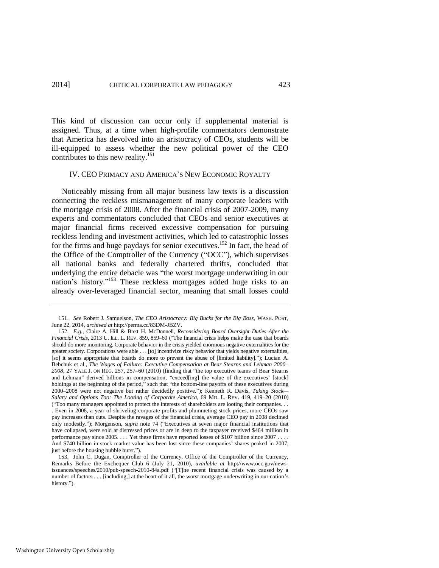This kind of discussion can occur only if supplemental material is assigned. Thus, at a time when high-profile commentators demonstrate that America has devolved into an aristocracy of CEOs, students will be ill-equipped to assess whether the new political power of the CEO contributes to this new reality.<sup>151</sup>

#### <span id="page-27-0"></span>IV. CEO PRIMACY AND AMERICA'S NEW ECONOMIC ROYALTY

Noticeably missing from all major business law texts is a discussion connecting the reckless mismanagement of many corporate leaders with the mortgage crisis of 2008. After the financial crisis of 2007-2009, many experts and commentators concluded that CEOs and senior executives at major financial firms received excessive compensation for pursuing reckless lending and investment activities, which led to catastrophic losses for the firms and huge paydays for senior executives.<sup>152</sup> In fact, the head of the Office of the Comptroller of the Currency ("OCC"), which supervises all national banks and federally chartered thrifts, concluded that underlying the entire debacle was "the worst mortgage underwriting in our nation's history." <sup>153</sup> These reckless mortgages added huge risks to an already over-leveraged financial sector, meaning that small losses could

<sup>151.</sup> *See* Robert J. Samuelson, *The CEO Aristocracy: Big Bucks for the Big Boss,* WASH. POST, June 22, 2014, *archived at* [http://perma.cc/83DM-JBZV.](http://perma.cc/83DM-JBZV)

<sup>152.</sup> *E.g.*, Claire A. Hill & Brett H. McDonnell, *Reconsidering Board Oversight Duties After the Financial Crisis,* 2013 U. ILL. L. REV. 859, 859–60 ("The financial crisis helps make the case that boards should do more monitoring. Corporate behavior in the crisis yielded enormous negative externalities for the greater society. Corporations were able . . . [to] incentivize risky behavior that yields negative externalities, [so] it seems appropriate that boards do more to prevent the abuse of [limited liability]."); Lucian A. Bebchuk et al., *The Wages of Failure: Executive Compensation at Bear Stearns and Lehman 2000– 2008,* 27 YALE J. ON REG. 257, 257–60 (2010) (finding that "the top executive teams of Bear Stearns and Lehman" derived billions in compensation, "exceed[ing] the value of the executives' [stock] holdings at the beginning of the period," such that "the bottom-line payoffs of these executives during 2000–2008 were not negative but rather decidedly positive."); Kenneth R. Davis, *Taking Stock— Salary and Options Too: The Looting of Corporate America*, 69 MD. L. REV. 419, 419–20 (2010) ("Too many managers appointed to protect the interests of shareholders are looting their companies. . . . Even in 2008, a year of shriveling corporate profits and plummeting stock prices, more CEOs saw pay increases than cuts. Despite the ravages of the financial crisis, average CEO pay in 2008 declined only modestly."); Morgenson, *supra* note [74](#page-15-1) ("Executives at seven major financial institutions that have collapsed, were sold at distressed prices or are in deep to the taxpayer received \$464 million in performance pay since 2005. . . . Yet these firms have reported losses of \$107 billion since 2007 . . . . And \$740 billion in stock market value has been lost since these companies' shares peaked in 2007, just before the housing bubble burst.").

<sup>153.</sup> John C. Dugan, Comptroller of the Currency, Office of the Comptroller of the Currency, Remarks Before the Exchequer Club 6 (July 21, 2010), *available at* [http://www.occ.gov/news](http://www.occ.gov/news-issuances/speeches/2010/pub-speech-2010-84a.pdf)[issuances/speeches/2010/pub-speech-2010-84a.pdf](http://www.occ.gov/news-issuances/speeches/2010/pub-speech-2010-84a.pdf) ("[T]he recent financial crisis was caused by a number of factors . . . [including,] at the heart of it all, the worst mortgage underwriting in our nation's history.").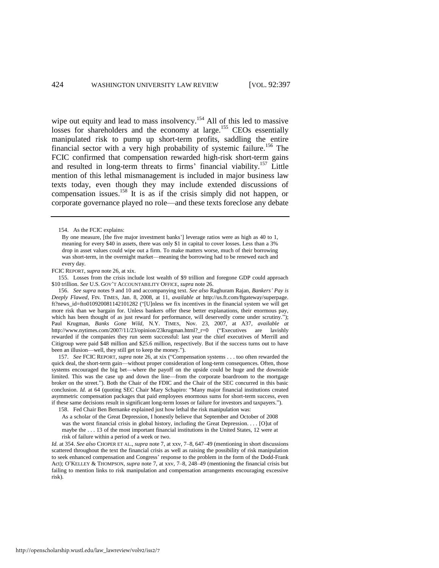<span id="page-28-0"></span>wipe out equity and lead to mass insolvency.<sup>154</sup> All of this led to massive losses for shareholders and the economy at large.<sup>155</sup> CEOs essentially manipulated risk to pump up short-term profits, saddling the entire financial sector with a very high probability of systemic failure.<sup>156</sup> The FCIC confirmed that compensation rewarded high-risk short-term gains and resulted in long-term threats to firms' financial viability.<sup>157</sup> Little mention of this lethal mismanagement is included in major business law texts today, even though they may include extended discussions of compensation issues.<sup>158</sup> It is as if the crisis simply did not happen, or corporate governance played no role—and these texts foreclose any debate

155. Losses from the crisis include lost wealth of \$9 trillion and foregone GDP could approach \$10 trillion. *See* U.S. GOV'T ACCOUNTABILITY OFFICE, *supra* note [26.](#page-6-0) 

156. *See supra* note[s 9](#page-3-1) and [10](#page-3-2) and accompanying text. *See also* Raghuram Rajan, *Bankers' Pay is Deeply Flawed*, FIN. TIMES, Jan. 8, 2008, at 11, *available at* [http://us.ft.com/ftgateway/superpage.](http://us.ft.com/ftgateway/superpage.ft?news_id=fto010920081142101282)  [ft?news\\_id=fto010920081142101282](http://us.ft.com/ftgateway/superpage.ft?news_id=fto010920081142101282) ("[U]nless we fix incentives in the financial system we will get more risk than we bargain for. Unless bankers offer these better explanations, their enormous pay, which has been thought of as just reward for performance, will deservedly come under scrutiny."); Paul Krugman, *Banks Gone Wild*, N.Y. TIMES, Nov. 23, 2007, at A37, *available at*  [http://www.nytimes.com/2007/11/23/opinion/23krugman.html?\\_r=0](http://www.nytimes.com/2007/11/23/opinion/23krugman.html?_r=0) ("Executives are lavishly rewarded if the companies they run seem successful: last year the chief executives of Merrill and Citigroup were paid \$48 million and \$25.6 million, respectively. But if the success turns out to have been an illusion—well, they still get to keep the money.").

157. *See* FCIC REPORT, *supra* note [26,](#page-6-0) at xix ("Compensation systems . . . too often rewarded the quick deal, the short-term gain—without proper consideration of long-term consequences. Often, those systems encouraged the big bet—where the payoff on the upside could be huge and the downside limited. This was the case up and down the line—from the corporate boardroom to the mortgage broker on the street."). Both the Chair of the FDIC and the Chair of the SEC concurred in this basic conclusion. *Id.* at 64 (quoting SEC Chair Mary Schapiro: "Many major financial institutions created asymmetric compensation packages that paid employees enormous sums for short-term success, even if these same decisions result in significant long-term losses or failure for investors and taxpayers."). 158. Fed Chair Ben Bernanke explained just how lethal the risk manipulation was:

As a scholar of the Great Depression, I honestly believe that September and October of 2008 was the worst financial crisis in global history, including the Great Depression. . . . [O]ut of maybe the . . . 13 of the most important financial institutions in the United States, 12 were at risk of failure within a period of a week or two.

*Id.* at 354. *See also* CHOPER ET AL., *supra* not[e 7,](#page-2-1) at xxv, 7–8, 647–49 (mentioning in short discussions scattered throughout the text the financial crisis as well as raising the possibility of risk manipulation to seek enhanced compensation and Congress' response to the problem in the form of the Dodd-Frank Act); O'KELLEY & THOMPSON, *supra* not[e 7,](#page-2-1) at xxv, 7–8, 248–49 (mentioning the financial crisis but failing to mention links to risk manipulation and compensation arrangements encouraging excessive risk).

http://openscholarship.wustl.edu/law\_lawreview/vol92/iss2/7

<span id="page-28-1"></span><sup>154.</sup> As the FCIC explains:

By one measure, [the five major investment banks'] leverage ratios were as high as 40 to 1, meaning for every \$40 in assets, there was only \$1 in capital to cover losses. Less than a 3% drop in asset values could wipe out a firm. To make matters worse, much of their borrowing was short-term, in the overnight market—meaning the borrowing had to be renewed each and every day.

FCIC REPORT, *supra* not[e 26,](#page-6-0) at xix.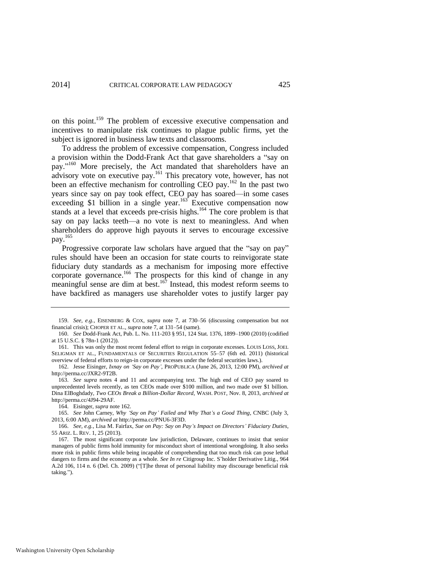on this point.<sup>159</sup> The problem of excessive executive compensation and incentives to manipulate risk continues to plague public firms, yet the subject is ignored in business law texts and classrooms.

<span id="page-29-0"></span>To address the problem of excessive compensation, Congress included a provision within the Dodd-Frank Act that gave shareholders a "say on pay."<sup>160</sup> More precisely, the Act mandated that shareholders have an advisory vote on executive pay.<sup>161</sup> This precatory vote, however, has not been an effective mechanism for controlling CEO pay.<sup>162</sup> In the past two years since say on pay took effect, CEO pay has soared—in some cases exceeding \$1 billion in a single year.<sup>163</sup> Executive compensation now stands at a level that exceeds pre-crisis highs.<sup>164</sup> The core problem is that say on pay lacks teeth—a no vote is next to meaningless. And when shareholders do approve high payouts it serves to encourage excessive pay.<sup>165</sup>

Progressive corporate law scholars have argued that the "say on pay" rules should have been an occasion for state courts to reinvigorate state fiduciary duty standards as a mechanism for imposing more effective corporate governance.<sup>166</sup> The prospects for this kind of change in any meaningful sense are dim at best.<sup>167</sup> Instead, this modest reform seems to have backfired as managers use shareholder votes to justify larger pay

<sup>159.</sup> *See, e.g.*, EISENBERG & COX, *supra* note [7,](#page-2-1) at 730–56 (discussing compensation but not financial crisis); CHOPER ET AL., *supra* not[e 7,](#page-2-1) at 131–54 (same).

<sup>160.</sup> *See* Dodd-Frank Act, Pub. L. No. 111-203 § 951, 124 Stat. 1376, 1899–1900 (2010) (codified at 15 U.S.C. § 78n-1 (2012)).

<sup>161.</sup> This was only the most recent federal effort to reign in corporate excesses. LOUIS LOSS, JOEL SELIGMAN ET AL., FUNDAMENTALS OF SECURITIES REGULATION 55–57 (6th ed. 2011) (historical overview of federal efforts to reign-in corporate excesses under the federal securities laws.).

<sup>162.</sup> Jesse Eisinger, *Ixnay on 'Say on Pay'*, PROPUBLICA (June 26, 2013, 12:00 PM), *archived at*  [http://perma.cc/JXR2-9T2B.](http://perma.cc/JXR2-9T2B) 

<sup>163.</sup> *See supra* notes [4](#page-1-1) and [11](#page-3-3) and accompanying text. The high end of CEO pay soared to unprecedented levels recently, as ten CEOs made over \$100 million, and two made over \$1 billion. Dina ElBoghdady, *Two CEOs Break a Billion-Dollar Record*, WASH. POST, Nov. 8, 2013, *archived at* [http://perma.cc/4J94-29AF.](http://perma.cc/4J94-29AF) 

<sup>164.</sup> Eisinger, *supra* not[e 162.](#page-29-0) 

<sup>165.</sup> *See* John Carney, *Why 'Say on Pay' Failed and Why That's a Good Thing*, CNBC (July 3, 2013, 6:00 AM), *archived at* [http://perma.cc/PNU6-3F3D.](http://perma.cc/PNU6-3F3D) 

<sup>166.</sup> *See, e.g.*, Lisa M. Fairfax, *Sue on Pay: Say on Pay's Impact on Directors' Fiduciary Duties*, 55 ARIZ. L. REV. 1, 25 (2013).

<sup>167.</sup> The most significant corporate law jurisdiction, Delaware, continues to insist that senior managers of public firms hold immunity for misconduct short of intentional wrongdoing. It also seeks more risk in public firms while being incapable of comprehending that too much risk can pose lethal dangers to firms and the economy as a whole. *See In re* Citigroup Inc. S'holder Derivative Litig., 964 A.2d 106, 114 n. 6 (Del. Ch. 2009) ("[T]he threat of personal liability may discourage beneficial risk taking.").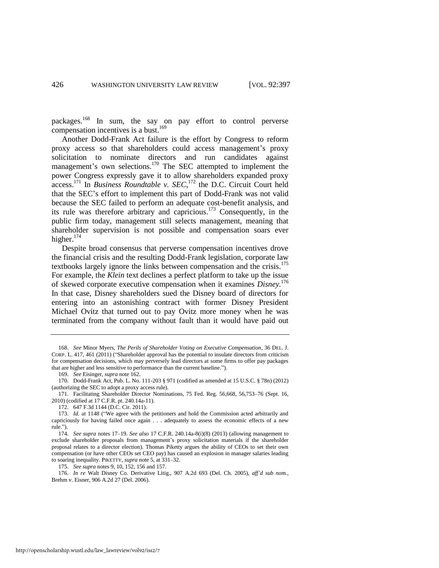packages.<sup>168</sup> In sum, the say on pay effort to control perverse compensation incentives is a bust.<sup>169</sup>

Another Dodd-Frank Act failure is the effort by Congress to reform proxy access so that shareholders could access management's proxy solicitation to nominate directors and run candidates against management's own selections.<sup>170</sup> The SEC attempted to implement the power Congress expressly gave it to allow shareholders expanded proxy access.<sup>171</sup> In *Business Roundtable v. SEC*,<sup>172</sup> the D.C. Circuit Court held that the SEC's effort to implement this part of Dodd-Frank was not valid because the SEC failed to perform an adequate cost-benefit analysis, and its rule was therefore arbitrary and capricious.<sup>173</sup> Consequently, in the public firm today, management still selects management, meaning that shareholder supervision is not possible and compensation soars ever higher.<sup>174</sup>

Despite broad consensus that perverse compensation incentives drove the financial crisis and the resulting Dodd-Frank legislation, corporate law textbooks largely ignore the links between compensation and the crisis.<sup>175</sup> For example, the *Klein* text declines a perfect platform to take up the issue of skewed corporate executive compensation when it examines *Disney.*<sup>176</sup> In that case, Disney shareholders sued the Disney board of directors for entering into an astonishing contract with former Disney President Michael Ovitz that turned out to pay Ovitz more money when he was terminated from the company without fault than it would have paid out

175. *See supra* note[s 9,](#page-3-1) [10,](#page-3-2) [152,](#page-27-0) [156 a](#page-28-0)n[d 157.](#page-28-1)

176. *In re* Walt Disney Co. Derivative Litig., 907 A.2d 693 (Del. Ch. 2005), *aff'd sub nom.*, Brehm v. Eisner, 906 A.2d 27 (Del. 2006).

<sup>168.</sup> *See* Minor Myers, *The Perils of Shareholder Voting on Executive Compensation*, 36 DEL. J. CORP. L. 417, 461 (2011) ("Shareholder approval has the potential to insulate directors from criticism for compensation decisions, which may perversely lead directors at some firms to offer pay packages that are higher and less sensitive to performance than the current baseline.").

<sup>169.</sup> *See* Eisinger, *supra* not[e 162.](#page-29-0) 

<sup>170.</sup> Dodd-Frank Act, Pub. L. No. 111-203 § 971 (codified as amended at 15 U.S.C. § 78n) (2012) (authorizing the SEC to adopt a proxy access rule).

<sup>171.</sup> Facilitating Shareholder Director Nominations, 75 Fed. Reg. 56,668, 56,753–76 (Sept. 16, 2010) (codified at 17 C.F.R. pt. 240.14a-11).

<sup>172. 647</sup> F.3d 1144 (D.C. Cir. 2011).

<sup>173.</sup> *Id.* at 1148 ("We agree with the petitioners and hold the Commission acted arbitrarily and capriciously for having failed once again . . . adequately to assess the economic effects of a new rule.").

<sup>174.</sup> *See supra* notes [17](#page-4-0)[–19.](#page-5-0) *See also* 17 C.F.R. 240.14a-8(i)(8) (2013) (allowing management to exclude shareholder proposals from management's proxy solicitation materials if the shareholder proposal relates to a director election). Thomas Piketty argues the ability of CEOs to set their own compensation (or have other CEOs set CEO pay) has caused an explosion in manager salaries leading to soaring inequality. PIKETTY, *supra* not[e 5,](#page-2-0) at 331–32.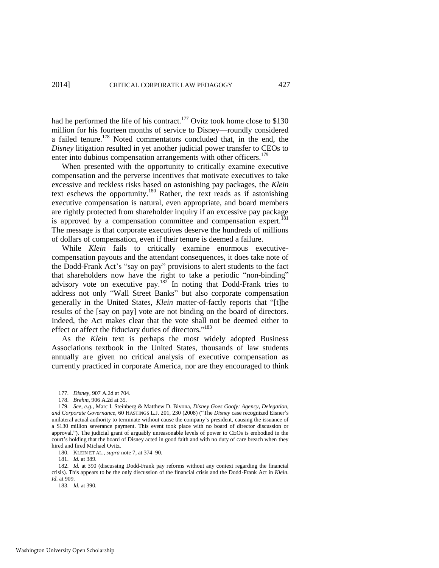had he performed the life of his contract.<sup>177</sup> Ovitz took home close to \$130 million for his fourteen months of service to Disney—roundly considered a failed tenure.<sup>178</sup> Noted commentators concluded that, in the end, the *Disney* litigation resulted in yet another judicial power transfer to CEOs to enter into dubious compensation arrangements with other officers.<sup>179</sup>

When presented with the opportunity to critically examine executive compensation and the perverse incentives that motivate executives to take excessive and reckless risks based on astonishing pay packages, the *Klein* text eschews the opportunity.<sup>180</sup> Rather, the text reads as if astonishing executive compensation is natural, even appropriate, and board members are rightly protected from shareholder inquiry if an excessive pay package is approved by a compensation committee and compensation expert.<sup>18</sup> The message is that corporate executives deserve the hundreds of millions of dollars of compensation, even if their tenure is deemed a failure.

<span id="page-31-0"></span>While *Klein* fails to critically examine enormous executivecompensation payouts and the attendant consequences, it does take note of the Dodd-Frank Act's "say on pay" provisions to alert students to the fact that shareholders now have the right to take a periodic "non-binding" advisory vote on executive pay.<sup>182</sup> In noting that Dodd-Frank tries to address not only "Wall Street Banks" but also corporate compensation generally in the United States, *Klein* matter-of-factly reports that "[t]he results of the [say on pay] vote are not binding on the board of directors. Indeed, the Act makes clear that the vote shall not be deemed either to effect or affect the fiduciary duties of directors."<sup>183</sup>

As the *Klein* text is perhaps the most widely adopted Business Associations textbook in the United States, thousands of law students annually are given no critical analysis of executive compensation as currently practiced in corporate America, nor are they encouraged to think

180. KLEIN ET AL., *supra* not[e 7,](#page-2-1) at 374–90.

181. *Id.* at 389.

182. *Id.* at 390 (discussing Dodd-Frank pay reforms without any context regarding the financial crisis). This appears to be the only discussion of the financial crisis and the Dodd-Frank Act in *Klein*. *Id.* at 909.

183. *Id.* at 390.

<sup>177.</sup> *Disney*, 907 A.2d at 704.

<sup>178.</sup> *Brehm*, 906 A.2d at 35.

<sup>179.</sup> *See, e.g.*, Marc I. Steinberg & Matthew D. Bivona, *Disney Goes Goofy: Agency, Delegation, and Corporate Governance,* 60 HASTINGS L.J. 201, 230 (2008) ("The *Disney* case recognized Eisner's unilateral actual authority to terminate without cause the company's president, causing the issuance of a \$130 million severance payment. This event took place with no board of director discussion or approval."). The judicial grant of arguably unreasonable levels of power to CEOs is embodied in the court's holding that the board of Disney acted in good faith and with no duty of care breach when they hired and fired Michael Ovitz.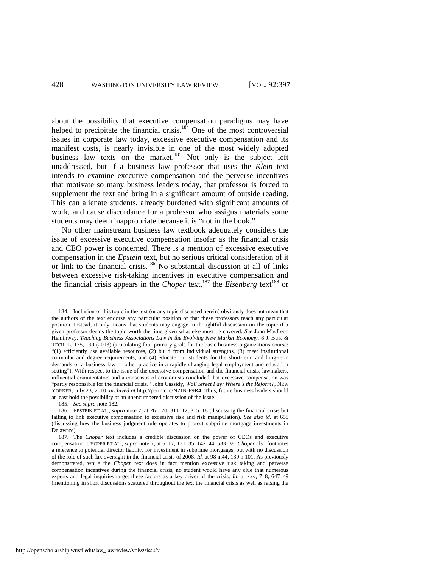about the possibility that executive compensation paradigms may have helped to precipitate the financial crisis.<sup>184</sup> One of the most controversial issues in corporate law today, excessive executive compensation and its manifest costs, is nearly invisible in one of the most widely adopted business law texts on the market.<sup>185</sup> Not only is the subject left unaddressed, but if a business law professor that uses the *Klein* text intends to examine executive compensation and the perverse incentives that motivate so many business leaders today, that professor is forced to supplement the text and bring in a significant amount of outside reading. This can alienate students, already burdened with significant amounts of work, and cause discordance for a professor who assigns materials some students may deem inappropriate because it is "not in the book."

No other mainstream business law textbook adequately considers the issue of excessive executive compensation insofar as the financial crisis and CEO power is concerned. There is a mention of excessive executive compensation in the *Epstein* text, but no serious critical consideration of it or link to the financial crisis.<sup>186</sup> No substantial discussion at all of links between excessive risk-taking incentives in executive compensation and the financial crisis appears in the *Choper* text,<sup>187</sup> the *Eisenberg* text<sup>188</sup> or

185. *See supra* not[e 182.](#page-31-0) 

<sup>184.</sup> Inclusion of this topic in the text (or any topic discussed herein) obviously does not mean that the authors of the text endorse any particular position or that these professors teach any particular position. Instead, it only means that students may engage in thoughtful discussion on the topic if a given professor deems the topic worth the time given what else must be covered. *See* Joan MacLeod Heminway, *Teaching Business Associations Law in the Evolving New Market Economy,* 8 J. BUS. & TECH. L. 175, 190 (2013) (articulating four primary goals for the basic business organizations course: "(1) efficiently use available resources, (2) build from individual strengths, (3) meet institutional curricular and degree requirements, and (4) educate our students for the short-term and long-term demands of a business law or other practice in a rapidly changing legal employment and education setting"). With respect to the issue of the excessive compensation and the financial crisis, lawmakers, influential commentators and a consensus of economists concluded that excessive compensation was "partly responsible for the financial crisis." John Cassidy, *Wall Street Pay: Where's the Reform?*, NEW YORKER, July 23, 2010, *archived at* [http://perma.cc/N2JN-F9R4.](http://perma.cc/N2JN-F9R4) Thus, future business leaders should at least hold the possibility of an unencumbered discussion of the issue.

<sup>186.</sup> EPSTEIN ET AL., *supra* not[e 7,](#page-2-1) at 261–70, 311–12, 315–18 (discussing the financial crisis but failing to link executive compensation to excessive risk and risk manipulation). *See also id.* at 658 (discussing how the business judgment rule operates to protect subprime mortgage investments in Delaware).

<sup>187.</sup> The *Choper* text includes a credible discussion on the power of CEOs and executive compensation. CHOPER ET AL., *supra* not[e 7,](#page-2-1) at 5–17, 131–35, 142–44, 533–38. *Choper* also footnotes a reference to potential director liability for investment in subprime mortgages, but with no discussion of the role of such lax oversight in the financial crisis of 2008. *Id.* at 98 n.44, 139 n.101. As previously demonstrated, while the *Choper* text does in fact mention excessive risk taking and perverse compensation incentives during the financial crisis, no student would have any clue that numerous experts and legal inquiries target these factors as a key driver of the crisis. *Id.* at xxv, 7–8, 647–49 (mentioning in short discussions scattered throughout the text the financial crisis as well as raising the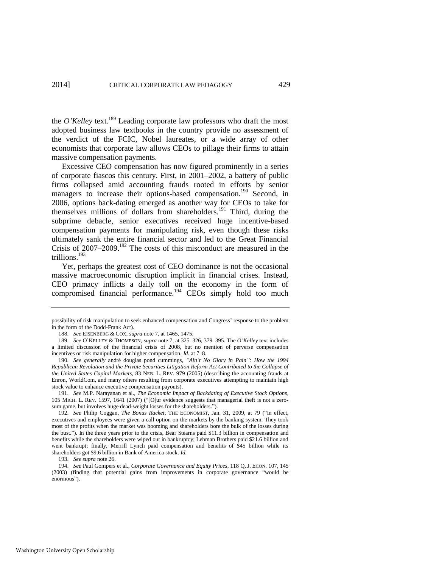the *O'Kelley* text.<sup>189</sup> Leading corporate law professors who draft the most adopted business law textbooks in the country provide no assessment of the verdict of the FCIC, Nobel laureates, or a wide array of other economists that corporate law allows CEOs to pillage their firms to attain massive compensation payments.

Excessive CEO compensation has now figured prominently in a series of corporate fiascos this century. First, in 2001–2002, a battery of public firms collapsed amid accounting frauds rooted in efforts by senior managers to increase their options-based compensation.<sup>190</sup> Second, in 2006, options back-dating emerged as another way for CEOs to take for themselves millions of dollars from shareholders.<sup>191</sup> Third, during the subprime debacle, senior executives received huge incentive-based compensation payments for manipulating risk, even though these risks ultimately sank the entire financial sector and led to the Great Financial Crisis of  $2007-2009$ <sup>192</sup>. The costs of this misconduct are measured in the trillions.<sup>193</sup>

Yet, perhaps the greatest cost of CEO dominance is not the occasional massive macroeconomic disruption implicit in financial crises. Instead, CEO primacy inflicts a daily toll on the economy in the form of compromised financial performance.<sup>194</sup> CEOs simply hold too much

possibility of risk manipulation to seek enhanced compensation and Congress' response to the problem in the form of the Dodd-Frank Act).

<sup>188.</sup> *See* EISENBERG & COX, *supra* not[e 7,](#page-2-1) at 1465, 1475.

<sup>189.</sup> *See* O'KELLEY & THOMPSON, *supra* not[e 7,](#page-2-1) at 325–326, 379–395. The *O'Kelley* text includes a limited discussion of the financial crisis of 2008, but no mention of perverse compensation incentives or risk manipulation for higher compensation*. Id.* at 7–8.

<sup>190.</sup> *See generally* andré douglas pond cummings, *"Ain't No Glory in Pain": How the 1994 Republican Revolution and the Private Securities Litigation Reform Act Contributed to the Collapse of the United States Capital Markets*, 83 NEB. L. REV. 979 (2005) (describing the accounting frauds at Enron, WorldCom, and many others resulting from corporate executives attempting to maintain high stock value to enhance executive compensation payouts).

<sup>191.</sup> *See* M.P. Narayanan et al., *The Economic Impact of Backdating of Executive Stock Options*, 105 MICH. L. REV. 1597, 1641 (2007) ("[O]ur evidence suggests that managerial theft is not a zerosum game, but involves huge dead-weight losses for the shareholders.").

<sup>192.</sup> *See* Philip Coggan, *The Bonus Racket*, THE ECONOMIST, Jan. 31, 2009, at 79 ("In effect, executives and employees were given a call option on the markets by the banking system. They took most of the profits when the market was booming and shareholders bore the bulk of the losses during the bust."). In the three years prior to the crisis, Bear Stearns paid \$11.3 billion in compensation and benefits while the shareholders were wiped out in bankruptcy; Lehman Brothers paid \$21.6 billion and went bankrupt; finally, Merrill Lynch paid compensation and benefits of \$45 billion while its shareholders got \$9.6 billion in Bank of America stock. *Id.*

<sup>193.</sup> *See supra* not[e 26.](#page-6-0) 

<sup>194.</sup> *See* Paul Gompers et al., *Corporate Governance and Equity Prices*, 118 Q. J. ECON. 107, 145 (2003) (finding that potential gains from improvements in corporate governance "would be enormous").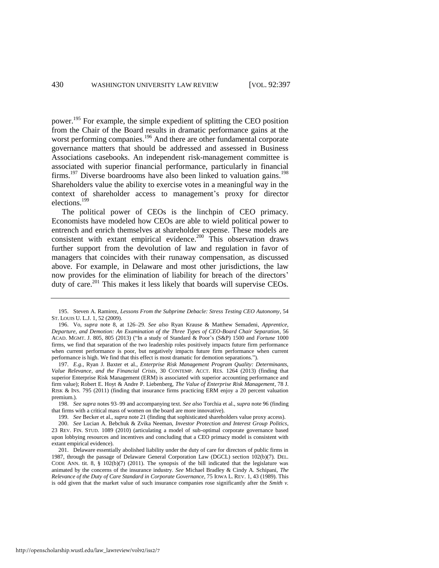power.<sup>195</sup> For example, the simple expedient of splitting the CEO position from the Chair of the Board results in dramatic performance gains at the worst performing companies.<sup>196</sup> And there are other fundamental corporate governance matters that should be addressed and assessed in Business Associations casebooks. An independent risk-management committee is associated with superior financial performance, particularly in financial firms.<sup>197</sup> Diverse boardrooms have also been linked to valuation gains.<sup>198</sup> Shareholders value the ability to exercise votes in a meaningful way in the context of shareholder access to management's proxy for director elections.<sup>199</sup>

The political power of CEOs is the linchpin of CEO primacy. Economists have modeled how CEOs are able to wield political power to entrench and enrich themselves at shareholder expense. These models are consistent with extant empirical evidence.<sup>200</sup> This observation draws further support from the devolution of law and regulation in favor of managers that coincides with their runaway compensation, as discussed above. For example, in Delaware and most other jurisdictions, the law now provides for the elimination of liability for breach of the directors' duty of care.<sup>201</sup> This makes it less likely that boards will supervise CEOs.

<sup>195.</sup> Steven A. Ramirez, *Lessons From the Subprime Debacle: Stress Testing CEO Autonomy*, 54 ST. LOUIS U. L.J. 1, 52 (2009).

<sup>196.</sup> Vo, *supra* note [8,](#page-2-2) at 126–29. *See also* Ryan Krause & Matthew Semadeni, *Apprentice, Departure, and Demotion: An Examination of the Three Types of CEO-Board Chair Separation*, 56 ACAD. MGMT. J. 805, 805 (2013) ("In a study of Standard & Poor's (S&P) 1500 and *Fortune* 1000 firms, we find that separation of the two leadership roles positively impacts future firm performance when current performance is poor, but negatively impacts future firm performance when current performance is high. We find that this effect is most dramatic for demotion separations.").

<sup>197.</sup> *E.g.*, Ryan J. Baxter et al., *Enterprise Risk Management Program Quality: Determinants, Value Relevance, and the Financial Crisis*, 30 CONTEMP. ACCT. RES. 1264 (2013) (finding that superior Enterprise Risk Management (ERM) is associated with superior accounting performance and firm value); Robert E. Hoyt & Andre P. Liebenberg, *The Value of Enterprise Risk Management*, 78 J. RISK & INS. 795 (2011) (finding that insurance firms practicing ERM enjoy a 20 percent valuation premium.).

<sup>198.</sup> *See supra* note[s 93](#page-17-0)[–99 a](#page-18-1)nd accompanying text. *See also* Torchia et al., *supra* not[e 96 \(](#page-18-2)finding that firms with a critical mass of women on the board are more innovative).

<sup>199.</sup> *See* Becker et al., *supra* not[e 21 \(](#page-5-1)finding that sophisticated shareholders value proxy access).

<sup>200.</sup> *See* Lucian A. Bebchuk & Zvika Neeman, *Investor Protection and Interest Group Politics*, 23 REV. FIN. STUD. 1089 (2010) (articulating a model of sub-optimal corporate governance based upon lobbying resources and incentives and concluding that a CEO primacy model is consistent with extant empirical evidence).

<sup>201.</sup> Delaware essentially abolished liability under the duty of care for directors of public firms in 1987, through the passage of Delaware General Corporation Law (DGCL) section 102(b)(7). DEL. CODE ANN. tit. 8,  $\S$  102(b)(7) (2011). The synopsis of the bill indicated that the legislature was animated by the concerns of the insurance industry. *See* Michael Bradley & Cindy A. Schipani, *The Relevance of the Duty of Care Standard in Corporate Governance*, 75 IOWA L. REV. 1, 43 (1989). This is odd given that the market value of such insurance companies rose significantly after the *Smith v.*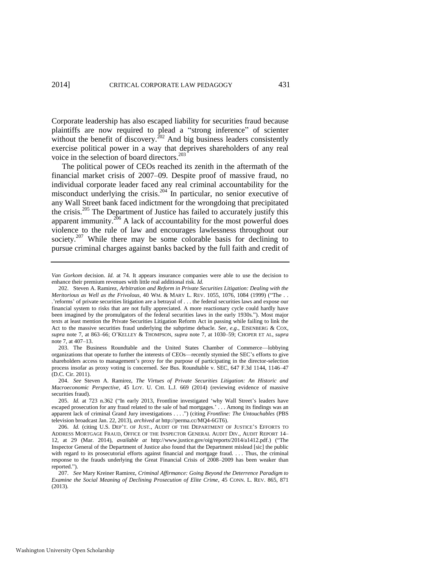Corporate leadership has also escaped liability for securities fraud because plaintiffs are now required to plead a "strong inference" of scienter without the benefit of discovery.<sup>202</sup> And big business leaders consistently exercise political power in a way that deprives shareholders of any real voice in the selection of board directors.<sup>203</sup>

The political power of CEOs reached its zenith in the aftermath of the financial market crisis of 2007–09. Despite proof of massive fraud, no individual corporate leader faced any real criminal accountability for the misconduct underlying the crisis.<sup>204</sup> In particular, no senior executive of any Wall Street bank faced indictment for the wrongdoing that precipitated the crisis.<sup>205</sup> The Department of Justice has failed to accurately justify this apparent immunity.<sup>206</sup> A lack of accountability for the most powerful does violence to the rule of law and encourages lawlessness throughout our society.<sup>207</sup> While there may be some colorable basis for declining to pursue criminal charges against banks backed by the full faith and credit of

203. The Business Roundtable and the United States Chamber of Commerce—lobbying organizations that operate to further the interests of CEOs—recently stymied the SEC's efforts to give shareholders access to management's proxy for the purpose of participating in the director-selection process insofar as proxy voting is concerned. *See* Bus. Roundtable v. SEC, 647 F.3d 1144, 1146–47 (D.C. Cir. 2011).

204. *See* Steven A. Ramirez, *The Virtues of Private Securities Litigation: An Historic and Macroeconomic Perspective*, 45 LOY. U. CHI. L.J. 669 (2014) (reviewing evidence of massive securities fraud).

205. *Id.* at 723 n.362 ("In early 2013, Frontline investigated 'why Wall Street's leaders have escaped prosecution for any fraud related to the sale of bad mortgages.' . . . Among its findings was an apparent lack of criminal Grand Jury investigations . . . .") (citing *Frontline: The Untouchables* (PBS television broadcast Jan. 22, 2013), *archived at* [http://perma.cc/MQ4-6GT6\)](http://perma.cc/MQ4-6GT6).

206. *Id.* (citing U.S. DEP'T. OF JUST., AUDIT OF THE DEPARTMENT OF JUSTICE'S EFFORTS TO ADDRESS MORTGAGE FRAUD, OFFICE OF THE INSPECTOR GENERAL AUDIT DIV., AUDIT REPORT 14– 12, at 29 (Mar. 2014), *available at* [http://www.justice.gov/oig/reports/2014/a1412.pdf.\)](http://www.justice.gov/oig/reports/2014/a1412.pdf) ("The Inspector General of the Department of Justice also found that the Department mislead [sic] the public with regard to its prosecutorial efforts against financial and mortgage fraud. . . . Thus, the criminal response to the frauds underlying the Great Financial Crisis of 2008–2009 has been weaker than reported.").

207. *See* Mary Kreiner Ramirez, *Criminal Affirmance: Going Beyond the Deterrence Paradigm to Examine the Social Meaning of Declining Prosecution of Elite Crime*, 45 CONN. L. REV. 865, 871 (2013).

*Van Gorkom* decision. *Id.* at 74. It appears insurance companies were able to use the decision to enhance their premium revenues with little real additional risk. *Id.* 

<sup>202.</sup> Steven A. Ramirez, *Arbitration and Reform in Private Securities Litigation: Dealing with the Meritorious as Well as the Frivolous*, 40 WM. & MARY L. REV. 1055, 1076, 1084 (1999) ("The . . .'reforms' of private securities litigation are a betrayal of . . . the federal securities laws and expose our financial system to risks that are not fully appreciated. A more reactionary cycle could hardly have been imagined by the promulgators of the federal securities laws in the early 1930s."). Most major texts at least mention the Private Securities Litigation Reform Act in passing while failing to link the Act to the massive securities fraud underlying the subprime debacle. *See, e.g.*, EISENBERG & COX, *supra* not[e 7,](#page-2-1) at 863–66; O'KELLEY & THOMPSON, *supra* note [7,](#page-2-1) at 1030–59; CHOPER ET AL, *supra* note [7,](#page-2-1) at 407–13.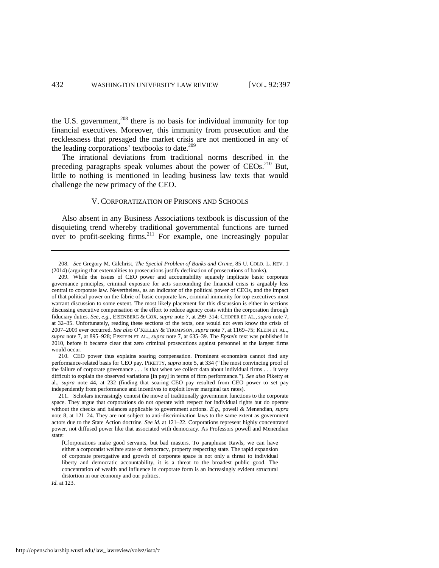the U.S. government,<sup>208</sup> there is no basis for individual immunity for top financial executives. Moreover, this immunity from prosecution and the recklessness that presaged the market crisis are not mentioned in any of the leading corporations' textbooks to date.<sup>209</sup>

The irrational deviations from traditional norms described in the preceding paragraphs speak volumes about the power of  $CEOs$ <sup>210</sup> But. little to nothing is mentioned in leading business law texts that would challenge the new primacy of the CEO.

#### V. CORPORATIZATION OF PRISONS AND SCHOOLS

Also absent in any Business Associations textbook is discussion of the disquieting trend whereby traditional governmental functions are turned over to profit-seeking firms.<sup>211</sup> For example, one increasingly popular

210. CEO power thus explains soaring compensation. Prominent economists cannot find any performance-related basis for CEO pay. PIKETTY, *supra* not[e 5,](#page-2-0) at 334 ("The most convincing proof of the failure of corporate governance . . . is that when we collect data about individual firms . . . it very difficult to explain the observed variations [in pay] in terms of firm performance."). *See also* Piketty et al., *supra* note [44,](#page-10-0) at 232 (finding that soaring CEO pay resulted from CEO power to set pay independently from performance and incentives to exploit lower marginal tax rates).

*Id.* at 123.

<sup>208.</sup> *See* Gregory M. Gilchrist, *The Special Problem of Banks and Crime*, 85 U. COLO. L. REV. 1 (2014) (arguing that externalities to prosecutions justify declination of prosecutions of banks).

<sup>209.</sup> While the issues of CEO power and accountability squarely implicate basic corporate governance principles, criminal exposure for acts surrounding the financial crisis is arguably less central to corporate law. Nevertheless, as an indicator of the political power of CEOs, and the impact of that political power on the fabric of basic corporate law, criminal immunity for top executives must warrant discussion to some extent. The most likely placement for this discussion is either in sections discussing executive compensation or the effort to reduce agency costs within the corporation through fiduciary duties. *See, e.g.*, EISENBERG & COX, *supra* not[e 7,](#page-2-1) at 299–314; CHOPER ET AL., *supra* not[e 7,](#page-2-1)  at 32–35. Unfortunately, reading these sections of the texts, one would not even know the crisis of 2007–2009 ever occurred. *See also* O'KELLEY & THOMPSON, *supra* not[e 7,](#page-2-1) at 1169–75; KLEIN ET AL., *supra* not[e 7,](#page-2-1) at 895–928; EPSTEIN ET AL., *supra* note [7,](#page-2-1) at 635–39. The *Epstein* text was published in 2010, before it became clear that zero criminal prosecutions against personnel at the largest firms would occur.

<sup>211.</sup> Scholars increasingly contest the move of traditionally government functions to the corporate space. They argue that corporations do not operate with respect for individual rights but do operate without the checks and balances applicable to government actions. *E.g.*, powell & Menendian, *supra* note [8,](#page-2-2) at 121–24. They are not subject to anti-discrimination laws to the same extent as government actors due to the State Action doctrine. *See id.* at 121–22. Corporations represent highly concentrated power, not diffused power like that associated with democracy. As Professors powell and Menendian state:

<sup>[</sup>C]orporations make good servants, but bad masters. To paraphrase Rawls, we can have either a corporatist welfare state or democracy, property respecting state. The rapid expansion of corporate prerogative and growth of corporate space is not only a threat to individual liberty and democratic accountability, it is a threat to the broadest public good. The concentration of wealth and influence in corporate form is an increasingly evident structural distortion in our economy and our politics.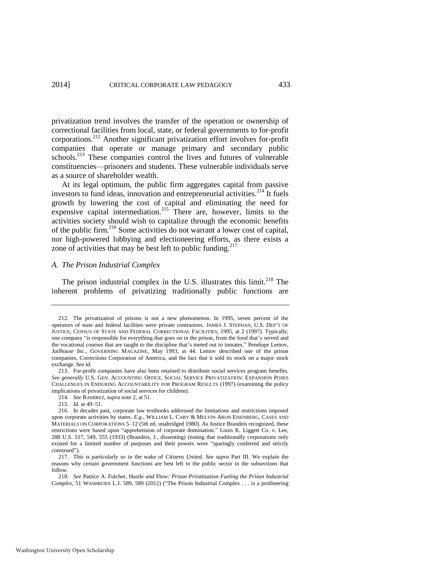<span id="page-37-2"></span>privatization trend involves the transfer of the operation or ownership of correctional facilities from local, state, or federal governments to for-profit corporations.<sup>212</sup> Another significant privatization effort involves for-profit companies that operate or manage primary and secondary public schools.<sup>213</sup> These companies control the lives and futures of vulnerable constituencies—prisoners and students. These vulnerable individuals serve as a source of shareholder wealth.

At its legal optimum, the public firm aggregates capital from passive investors to fund ideas, innovation and entrepreneurial activities.<sup>214</sup> It fuels growth by lowering the cost of capital and eliminating the need for expensive capital intermediation.<sup>215</sup> There are, however, limits to the activities society should wish to capitalize through the economic benefits of the public firm.<sup>216</sup> Some activities do not warrant a lower cost of capital, nor high-powered lobbying and electioneering efforts, as there exists a zone of activities that may be best left to public funding. $217$ 

#### <span id="page-37-1"></span>*A. The Prison Industrial Complex*

<span id="page-37-0"></span>The prison industrial complex in the U.S. illustrates this limit.<sup>218</sup> The inherent problems of privatizing traditionally public functions are

<sup>212.</sup> The privatization of prisons is not a new phenomenon. In 1995, seven percent of the operators of state and federal facilities were private contractors. JAMES J. STEPHAN, U.S. DEP'T OF JUSTICE, CENSUS OF STATE AND FEDERAL CORRECTIONAL FACILITIES, 1995, at 2 (1997). Typically, one company "is responsible for everything that goes on in the prison, from the food that's served and the vocational courses that are taught to the discipline that's meted out to inmates." Penelope Lemov, *Jailhouse Inc.*, GOVERNING MAGAZINE, May 1993, at 44. Lemov described one of the prison companies, Corrections Corporation of America, and the fact that it sold its stock on a major stock exchange. *See id.*

<sup>213.</sup> For-profit companies have also been retained to distribute social services program benefits. *See generally* U.S. GEN. ACCOUNTING OFFICE, SOCIAL SERVICE PRIVATIZATION: EXPANSION POSES CHALLENGES IN ENDURING ACCOUNTABILITY FOR PROGRAM RESULTS (1997) (examining the policy implications of privatization of social services for children).

<sup>214.</sup> *See* RAMIREZ, *supra* not[e 2,](#page-1-2) at 51.

<sup>215.</sup> *Id.* at 49–51.

<sup>216.</sup> In decades past, corporate law textbooks addressed the limitations and restrictions imposed upon corporate activities by states. *E.g.*, WILLIAM L. CARY & MELVIN ARON EISENBERG, CASES AND MATERIALS ON CORPORATIONS 5–12 (5th ed. unabridged 1980). As Justice Brandeis recognized, these restrictions were based upon "apprehension of corporate domination." Louis K. Liggett Co. v. Lee, 288 U.S. 517, 549, 555 (1933) (Brandeis, J., dissenting) (noting that traditionally corporations only existed for a limited number of purposes and their powers were "sparingly conferred and strictly construed").

<sup>217.</sup> This is particularly so in the wake of *Citizens United*. *See supra* Part III. We explain the reasons why certain government functions are best left to the public sector in the subsections that follow.

<sup>218.</sup> *See* Patrice A. Fulcher, Hustle *and* Flow*: Prison Privatization Fueling the Prison Industrial Complex*, 51 WASHBURN L.J. 589, 589 (2012) ("The Prison Industrial Complex . . . is a profiteering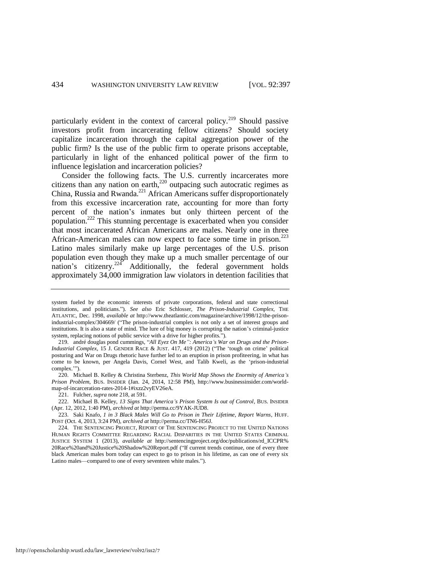<span id="page-38-0"></span>particularly evident in the context of carceral policy.<sup>219</sup> Should passive investors profit from incarcerating fellow citizens? Should society capitalize incarceration through the capital aggregation power of the public firm? Is the use of the public firm to operate prisons acceptable, particularly in light of the enhanced political power of the firm to influence legislation and incarceration policies?

Consider the following facts. The U.S. currently incarcerates more citizens than any nation on earth,<sup>220</sup> outpacing such autocratic regimes as China, Russia and Rwanda.<sup>221</sup> African Americans suffer disproportionately from this excessive incarceration rate, accounting for more than forty percent of the nation's inmates but only thirteen percent of the population.<sup>222</sup> This stunning percentage is exacerbated when you consider that most incarcerated African Americans are males. Nearly one in three African-American males can now expect to face some time in prison.<sup>223</sup> Latino males similarly make up large percentages of the U.S. prison population even though they make up a much smaller percentage of our nation's citizenry.<sup>224</sup> Additionally, the federal government holds approximately 34,000 immigration law violators in detention facilities that

system fueled by the economic interests of private corporations, federal and state correctional institutions, and politicians."). *See also* Eric Schlosser, *The Prison-Industrial Complex*, THE ATLANTIC, Dec. 1998, *available at* [http://www.theatlantic.com/magazine/archive/1998/12/the-prison](http://www.theatlantic.com/magazine/archive/1998/12/the-prison-industrial-complex/304669/)[industrial-complex/304669/](http://www.theatlantic.com/magazine/archive/1998/12/the-prison-industrial-complex/304669/) ("The prison-industrial complex is not only a set of interest groups and institutions. It is also a state of mind. The lure of big money is corrupting the nation's criminal-justice system, replacing notions of public service with a drive for higher profits.").

<sup>219.</sup> andré douglas pond cummings, "*All Eyez On Me": America's War on Drugs and the Prison-Industrial Complex*, 15 J. GENDER RACE & JUST. 417, 419 (2012) ("The 'tough on crime' political posturing and War on Drugs rhetoric have further led to an eruption in prison profiteering, in what has come to be known, per Angela Davis, Cornel West, and Talib Kweli, as the 'prison-industrial complex.'").

<sup>220.</sup> Michael B. Kelley & Christina Sterbenz, *This World Map Shows the Enormity of America's Prison Problem*, BUS. INSIDER (Jan. 24, 2014, 12:58 PM), [http://www.businessinsider.com/world](http://www.businessinsider.com/world-map-of-incarceration-rates-2014-1#ixzz2vyEV26eA)[map-of-incarceration-rates-2014-1#ixzz2vyEV26eA.](http://www.businessinsider.com/world-map-of-incarceration-rates-2014-1#ixzz2vyEV26eA) 

<sup>221.</sup> Fulcher, *supra* not[e 218,](#page-37-0) at 591.

<sup>222.</sup> Michael B. Kelley, *13 Signs That America's Prison System Is out of Control*, BUS. INSIDER (Apr. 12, 2012, 1:40 PM), *archived at* [http://perma.cc/9YAK-JUD8.](http://perma.cc/9YAK-JUD8) 

<sup>223.</sup> Saki Knafo, *1 in 3 Black Males Will Go to Prison in Their Lifetime, Report Warns*, HUFF. POST (Oct. 4, 2013, 3:24 PM), *archived at* [http://perma.cc/TN6-H56J.](http://perma.cc/TN6-H56J)

<sup>224.</sup> THE SENTENCING PROJECT, REPORT OF THE SENTENCING PROJECT TO THE UNITED NATIONS HUMAN RIGHTS COMMITTEE REGARDING RACIAL DISPARITIES IN THE UNITED STATES CRIMINAL JUSTICE SYSTEM 1 (2013), *available at* [http://sentencingproject.org/doc/publications/rd\\_ICCPR%](http://sentencingproject.org/doc/publications/rd_ICCPR%20Race%20and%20Justice%20Shadow%20Report.pdf)  [20Race%20and%20Justice%20Shadow%20Report.pdf](http://sentencingproject.org/doc/publications/rd_ICCPR%20Race%20and%20Justice%20Shadow%20Report.pdf) ("If current trends continue, one of every three black American males born today can expect to go to prison in his lifetime, as can one of every six Latino males—compared to one of every seventeen white males.").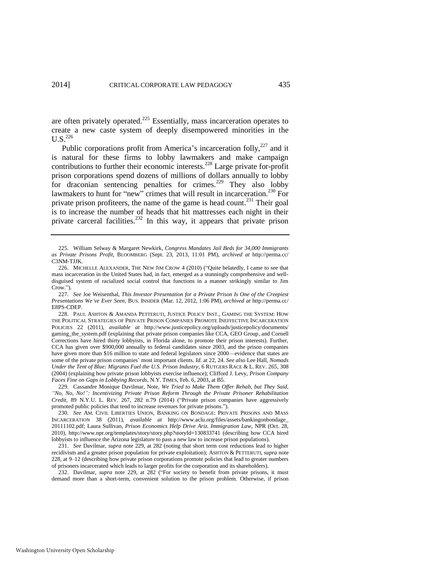are often privately operated.<sup>225</sup> Essentially, mass incarceration operates to create a new caste system of deeply disempowered minorities in the  $U.S.<sup>226</sup>$ 

<span id="page-39-1"></span><span id="page-39-0"></span>Public corporations profit from America's incarceration folly, $227$  and it is natural for these firms to lobby lawmakers and make campaign contributions to further their economic interests.<sup>228</sup> Large private for-profit prison corporations spend dozens of millions of dollars annually to lobby for draconian sentencing penalties for crimes.<sup>229</sup> They also lobby lawmakers to hunt for "new" crimes that will result in incarceration.<sup>230</sup> For private prison profiteers, the name of the game is head count.<sup>231</sup> Their goal is to increase the number of heads that hit mattresses each night in their private carceral facilities.<sup>232</sup> In this way, it appears that private prison

<sup>225.</sup> William Selway & Margaret Newkirk, *Congress Mandates Jail Beds for 34,000 Immigrants as Private Prisons Profit*, BLOOMBERG (Sept. 23, 2013, 11:01 PM), *archived at* [http://perma.cc/](http://perma.cc/C3NM-TJJK)  [C3NM-TJJK.](http://perma.cc/C3NM-TJJK) 

<sup>226.</sup> MICHELLE ALEXANDER, THE NEW JIM CROW 4 (2010) ("Quite belatedly, I came to see that mass incarceration in the United States had, in fact, emerged as a stunningly comprehensive and welldisguised system of racialized social control that functions in a manner strikingly similar to Jim Crow.").

<sup>227.</sup> *See* Joe Weisenthal, *This Investor Presentation for a Private Prison Is One of the Creepiest Presentations We've Ever Seen*, BUS. INSIDER (Mar. 12, 2012, 1:06 PM), *archived at* [http://perma.cc/](http://perma.cc/E8PS-CDEP)  [E8PS-CDEP.](http://perma.cc/E8PS-CDEP) 

<sup>228.</sup> PAUL ASHTON & AMANDA PETTERUTI, JUSTICE POLICY INST., GAMING THE SYSTEM: HOW THE POLITICAL STRATEGIES OF PRIVATE PRISON COMPANIES PROMOTE INEFFECTIVE INCARCERATION POLICIES 22 (2011), *available at* http://www.justicepolicy.org/uploads/justicepolicy/documents/ gaming\_the\_system.pdf (explaining that private prison companies like CCA, GEO Group, and Cornell Corrections have hired thirty lobbyists, in Florida alone, to promote their prison interests). Further, CCA has given over \$900,000 annually to federal candidates since 2003, and the prison companies have given more than \$16 million to state and federal legislators since 2000—evidence that states are some of the private prison companies' most important clients. *Id.* at 22, 24. *See also* Lee Hall, *Nomads Under the Tent of Blue: Migrants Fuel the U.S. Prison Industry*, 6 RUTGERS RACE & L. REV. 265, 308 (2004) (explaining how private prison lobbyists exercise influence); Clifford J. Levy, *Prison Company Faces Fine on Gaps in Lobbying Records*, N.Y. TIMES, Feb. 6, 2003, at B5.

<sup>229.</sup> Cassandre Monique Davilmar, Note, *We Tried to Make Them Offer Rehab, but They Said, "No, No, No!": Incentivizing Private Prison Reform Through the Private Prisoner Rehabilitation Credit,* 89 N.Y.U. L. REV. 267, 282 n.79 (2014) ("Private prison companies have aggressively promoted public policies that tend to increase revenues for private prisons.").

<sup>230.</sup> *See* AM. CIVIL LIBERTIES UNION, BANKING ON BONDAGE: PRIVATE PRISONS AND MASS INCARCERATION 38 (2011), *available at* [http://www.aclu.org/files/assets/bankingonbondage\\_](http://www.aclu.org/files/assets/bankingonbondage_20111102.pdf)  [20111102.pdf;](http://www.aclu.org/files/assets/bankingonbondage_20111102.pdf) Laura Sullivan, *Prison Economics Help Drive Ariz. Immigration Law*, NPR (Oct. 28, 2010), http://www.npr.org/templates/story/story.php?storyId=130833741 (describing how CCA hired lobbyists to influence the Arizona legislature to pass a new law to increase prison populations).

<sup>231.</sup> *See* Davilmar, *supra* note [229,](#page-39-0) at 282 (noting that short term cost reductions lead to higher recidivism and a greater prison population for private exploitation); ASHTON & PETTERUTI, *supra* note [228,](#page-39-1) at 9–12 (describing how private prison corporations promote policies that lead to greater numbers of prisoners incarcerated which leads to larger profits for the corporation and its shareholders).

<sup>232.</sup> Davilmar, *supra* note [229,](#page-39-0) at 282 ("For society to benefit from private prisons, it must demand more than a short-term, convenient solution to the prison problem. Otherwise, if prison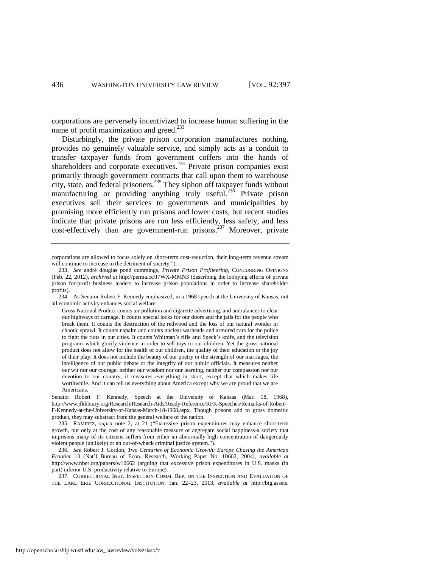corporations are perversely incentivized to increase human suffering in the name of profit maximization and greed.<sup>233</sup>

Disturbingly, the private prison corporation manufactures nothing, provides no genuinely valuable service, and simply acts as a conduit to transfer taxpayer funds from government coffers into the hands of shareholders and corporate executives.<sup>234</sup> Private prison companies exist primarily through government contracts that call upon them to warehouse city, state, and federal prisoners.<sup>235</sup> They siphon off taxpayer funds without manufacturing or providing anything truly useful.<sup>236</sup> Private prison executives sell their services to governments and municipalities by promising more efficiently run prisons and lower costs, but recent studies indicate that private prisons are run less efficiently, less safely, and less cost-effectively than are government-run prisons.<sup>237</sup> Moreover, private

<span id="page-40-0"></span>corporations are allowed to focus solely on short-term cost-reduction, their long-term revenue stream will continue to increase to the detriment of society.").

<sup>233.</sup> *See* andré douglas pond cummings, *Private Prison Profiteering*, CONCURRING OPINIONS (Feb. 22, 2012), *archived at* <http://perma.cc/J7WX-MMN3>(describing the lobbying efforts of private prison for-profit business leaders to increase prison populations in order to increase shareholder profits).

<sup>234.</sup> As Senator Robert F. Kennedy emphasized, in a 1968 speech at the University of Kansas, not all economic activity enhances social welfare:

Gross National Product counts air pollution and cigarette advertising, and ambulances to clear our highways of carnage. It counts special locks for our doors and the jails for the people who break them. It counts the destruction of the redwood and the loss of our natural wonder in chaotic sprawl. It counts napalm and counts nuclear warheads and armored cars for the police to fight the riots in our cities. It counts Whitman's rifle and Speck's knife, and the television programs which glorify violence in order to sell toys to our children. Yet the gross national product does not allow for the health of our children, the quality of their education or the joy of their play. It does not include the beauty of our poetry or the strength of our marriages, the intelligence of our public debate or the integrity of our public officials. It measures neither our wit nor our courage, neither our wisdom nor our learning, neither our compassion nor our devotion to our country, it measures everything in short, except that which makes life worthwhile. And it can tell us everything about America except why we are proud that we are Americans.

Senator Robert F. Kennedy, Speech at the University of Kansas (Mar. 18, 1968), [http://www.jfklibrary.org/Research/Research-Aids/Ready-Reference/RFK-Speeches/Remarks-of-Robert-](http://www.jfklibrary.org/Research/Research-Aids/Ready-Reference/RFK-Speeches/Remarks-of-Robert-F-Kennedy-at-the-University-of-Kansas-March-18-1968.aspx)[F-Kennedy-at-the-University-of-Kansas-March-18-1968.aspx.](http://www.jfklibrary.org/Research/Research-Aids/Ready-Reference/RFK-Speeches/Remarks-of-Robert-F-Kennedy-at-the-University-of-Kansas-March-18-1968.aspx) Though prisons add to gross domestic product, they may substract from the general welfare of the nation.

<sup>235.</sup> RAMIREZ, *supra* note [2,](#page-1-2) at 21 ("Excessive prison expenditures may enhance short-term growth, but only at the cost of any reasonable measure of aggregate social happiness-a society that imprisons many of its citizens suffers from either an abnormally high concentration of dangerously violent people (unlikely) or an out-of-whack criminal justice system.").

<sup>236.</sup> *See* Robert J. Gordon, *Two Centuries of Economic Growth: Europe Chasing the American Frontier* 13 (Nat'l Bureau of Econ. Research, Working Paper No. 10662, 2004), *available at*  http://www.nber.org/papers/w10662 (arguing that excessive prison expenditures in U.S. masks (in part) inferior U.S. productivity relative to Europe).

<sup>237.</sup> CORRECTIONAL INST. INSPECTION COMM. REP. ON THE INSPECTION AND EVALUATION OF THE LAKE ERIE CORRECTIONAL INSTITUTION, Jan. 22–23, 2013, *available at* [http://big.assets.](http://big.assets.huffingtonpost.com/lakeeriereport.pdf)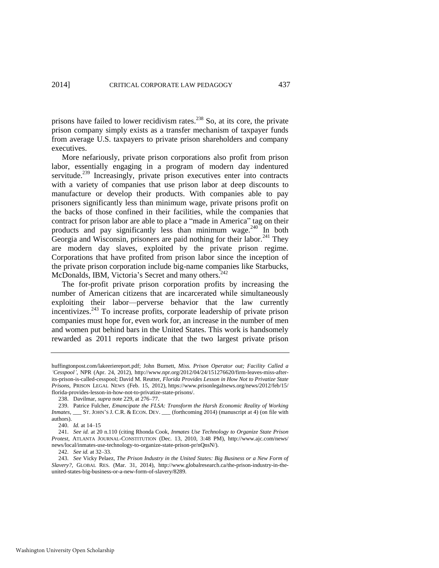prisons have failed to lower recidivism rates.<sup>238</sup> So, at its core, the private prison company simply exists as a transfer mechanism of taxpayer funds from average U.S. taxpayers to private prison shareholders and company executives.

More nefariously, private prison corporations also profit from prison labor, essentially engaging in a program of modern day indentured servitude.<sup>239</sup> Increasingly, private prison executives enter into contracts with a variety of companies that use prison labor at deep discounts to manufacture or develop their products. With companies able to pay prisoners significantly less than minimum wage, private prisons profit on the backs of those confined in their facilities, while the companies that contract for prison labor are able to place a "made in America" tag on their products and pay significantly less than minimum wage. $240$  In both Georgia and Wisconsin, prisoners are paid nothing for their labor.<sup>241</sup> They are modern day slaves, exploited by the private prison regime. Corporations that have profited from prison labor since the inception of the private prison corporation include big-name companies like Starbucks, McDonalds, IBM, Victoria's Secret and many others.<sup>242</sup>

The for-profit private prison corporation profits by increasing the number of American citizens that are incarcerated while simultaneously exploiting their labor—perverse behavior that the law currently incentivizes.<sup>243</sup> To increase profits, corporate leadership of private prison companies must hope for, even work for, an increase in the number of men and women put behind bars in the United States. This work is handsomely rewarded as 2011 reports indicate that the two largest private prison

[huffingtonpost.com/lakeeriereport.pdf;](http://big.assets.huffingtonpost.com/lakeeriereport.pdf) John Burnett, *Miss. Prison Operator out; Facility Called a 'Cesspool'*, NPR (Apr. 24, 2012), [http://www.npr.org/2012/04/24/151276620/firm-leaves-miss-after](http://www.npr.org/2012/04/24/151276620/firm-leaves-miss-after-its-prison-is-called-cesspool)[its-prison-is-called-cesspool;](http://www.npr.org/2012/04/24/151276620/firm-leaves-miss-after-its-prison-is-called-cesspool) David M. Reutter, *Florida Provides Lesson in How Not to Privatize State Prisons*, PRISON LEGAL NEWS (Feb. 15, 2012)[, https://www.prisonlegalnews.org/news/2012/feb/15/](https://www.prisonlegalnews.org/news/2012/feb/15/florida-provides-lesson-in-how-not-to-privatize-state-prisons/)  [florida-provides-lesson-in-how-not-to-privatize-state-prisons/.](https://www.prisonlegalnews.org/news/2012/feb/15/florida-provides-lesson-in-how-not-to-privatize-state-prisons/) 

<sup>238.</sup> Davilmar, *supra* not[e 229,](#page-39-0) at 276–77.

<sup>239.</sup> Patrice Fulcher, *Emancipate the FLSA: Transform the Harsh Economic Reality of Working Inmates*, \_\_\_ ST. JOHN'S J. C.R. & ECON. DEV. \_\_\_ (forthcoming 2014) (manuscript at 4) (on file with authors).

<sup>240.</sup> *Id.* at 14–15

<sup>241.</sup> *See id.* at 20 n.110 (citing Rhonda Cook, *Inmates Use Technology to Organize State Prison Protest*, ATLANTA JOURNAL-CONSTITUTION (Dec. 13, 2010, 3:48 PM), [http://www.ajc.com/news/](http://www.ajc.com/news/news/local/inmates-use-technology-to-organize-state-prison-pr/nQnsN/)  [news/local/inmates-use-technology-to-organize-state-prison-pr/nQnsN/\)](http://www.ajc.com/news/news/local/inmates-use-technology-to-organize-state-prison-pr/nQnsN/).

<sup>242.</sup> *See id.* at 32–33.

<sup>243.</sup> *See* Vicky Pelaez, *The Prison Industry in the United States: Big Business or a New Form of Slavery?*, GLOBAL RES. (Mar. 31, 2014), [http://www.globalresearch.ca/the-prison-industry-in-the](http://www.globalresearch.ca/the-prison-industry-in-the-united-states-big-business-or-a-new-form-of-slavery/8289)[united-states-big-business-or-a-new-form-of-slavery/8289.](http://www.globalresearch.ca/the-prison-industry-in-the-united-states-big-business-or-a-new-form-of-slavery/8289)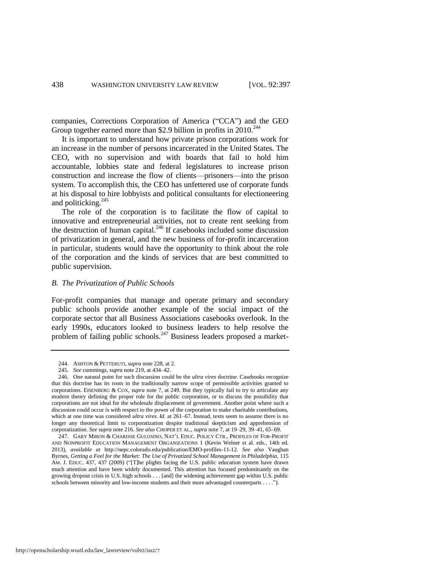companies, Corrections Corporation of America ("CCA") and the GEO Group together earned more than \$2.9 billion in profits in  $2010^{244}$ 

It is important to understand how private prison corporations work for an increase in the number of persons incarcerated in the United States. The CEO, with no supervision and with boards that fail to hold him accountable, lobbies state and federal legislatures to increase prison construction and increase the flow of clients—prisoners—into the prison system. To accomplish this, the CEO has unfettered use of corporate funds at his disposal to hire lobbyists and political consultants for electioneering and politicking.<sup>245</sup>

<span id="page-42-1"></span>The role of the corporation is to facilitate the flow of capital to innovative and entrepreneurial activities, not to create rent seeking from the destruction of human capital. $^{246}$  If casebooks included some discussion of privatization in general, and the new business of for-profit incarceration in particular, students would have the opportunity to think about the role of the corporation and the kinds of services that are best committed to public supervision.

#### *B. The Privatization of Public Schools*

For-profit companies that manage and operate primary and secondary public schools provide another example of the social impact of the corporate sector that all Business Associations casebooks overlook. In the early 1990s, educators looked to business leaders to help resolve the problem of failing public schools.<sup>247</sup> Business leaders proposed a market-

<span id="page-42-0"></span><sup>244.</sup> ASHTON & PETTERUTI, *supra* not[e 228,](#page-39-1) at 2.

<sup>245.</sup> *See* cummings, *supra* not[e 219,](#page-38-0) at 434–42.

<sup>246.</sup> One natural point for such discussion could be the *ultra vires* doctrine. Casebooks recognize that this doctrine has its roots in the traditionally narrow scope of permissible activities granted to corporations. EISENBERG & COX, *supra* note [7,](#page-2-1) at 249. But they typically fail to try to articulate any modern theory defining the proper role for the public corporation, or to discuss the possibility that corporations are not ideal for the wholesale displacement of government. Another point where such a discussion could occur is with respect to the power of the corporation to make charitable contributions, which at one time was considered *ultra vires*. *Id.* at 261–67. Instead, texts seem to assume there is no longer any theoretical limit to corporatization despite traditional skepticism and apprehension of corporatization. *See supra* not[e 216.](#page-37-1) *See also* CHOPER ET AL., *supra* not[e 7,](#page-2-1) at 19–29, 39–41, 65–69.

<sup>247.</sup> GARY MIRON & CHARISSE GULOSINO, NAT'L EDUC. POLICY CTR., PROFILES OF FOR-PROFIT AND NONPROFIT EDUCATION MANAGEMENT ORGANIZATIONS 1 (Kevin Welner et al. eds., 14th ed. 2013), *available at* [http://nepc.colorado.edu/publication/EMO-profiles-11-12.](http://nepc.colorado.edu/publication/EMO-profiles-11-12) *See also* Vaughan Byrnes, *Getting a Feel for the Market: The Use of Privatized School Management in Philadelphia*, 115 AM. J. EDUC. 437, 437 (2009) ("[T]he plights facing the U.S. public education system have drawn much attention and have been widely documented. This attention has focused predominantly on the growing dropout crisis in U.S. high schools . . . [and] the widening achievement gap within U.S. public schools between minority and low-income students and their more advantaged counterparts . . . .").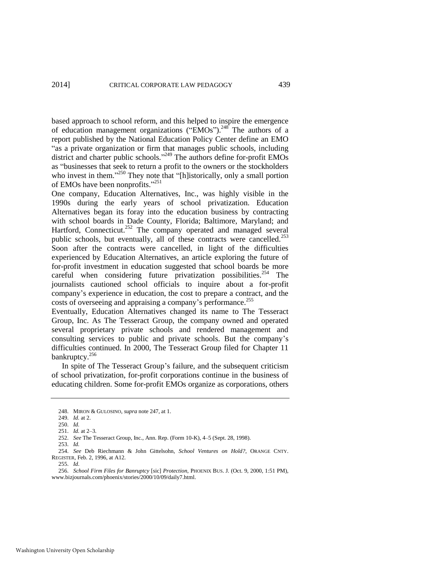based approach to school reform, and this helped to inspire the emergence of education management organizations ("EMOs"). $^{248}$  The authors of a report published by the National Education Policy Center define an EMO "as a private organization or firm that manages public schools, including district and charter public schools." <sup>249</sup> The authors define for-profit EMOs as "businesses that seek to return a profit to the owners or the stockholders who invest in them."<sup>250</sup> They note that "[h]istorically, only a small portion of EMOs have been nonprofits."<sup>251</sup>

One company, Education Alternatives, Inc., was highly visible in the 1990s during the early years of school privatization. Education Alternatives began its foray into the education business by contracting with school boards in Dade County, Florida; Baltimore, Maryland; and Hartford, Connecticut.<sup>252</sup> The company operated and managed several public schools, but eventually, all of these contracts were cancelled.<sup>253</sup> Soon after the contracts were cancelled, in light of the difficulties experienced by Education Alternatives, an article exploring the future of for-profit investment in education suggested that school boards be more careful when considering future privatization possibilities.<sup>254</sup> The journalists cautioned school officials to inquire about a for-profit company's experience in education, the cost to prepare a contract, and the costs of overseeing and appraising a company's performance.<sup>255</sup>

Eventually, Education Alternatives changed its name to The Tesseract Group, Inc. As The Tesseract Group, the company owned and operated several proprietary private schools and rendered management and consulting services to public and private schools. But the company's difficulties continued. In 2000, The Tesseract Group filed for Chapter 11 bankruptcy.<sup>256</sup>

In spite of The Tesseract Group's failure, and the subsequent criticism of school privatization, for-profit corporations continue in the business of educating children. Some for-profit EMOs organize as corporations, others

255. *Id*.

<sup>248.</sup> MIRON & GULOSINO, *supra* not[e 247,](#page-42-0) at 1.

<sup>249.</sup> *Id.* at 2.

<sup>250.</sup> *Id.*

<sup>251.</sup> *Id.* at 2–3.

<sup>252.</sup> *See* The Tesseract Group, Inc., Ann. Rep. (Form 10-K), 4–5 (Sept. 28, 1998).

<sup>253.</sup> *Id.*

<sup>254.</sup> *See* Deb Riechmann & John Gittelsohn, *School Ventures on Hold?*, ORANGE CNTY. REGISTER, Feb. 2, 1996, at A12.

<sup>256.</sup> *School Firm Files for Banruptcy* [sic] *Protection*, PHOENIX BUS. J. (Oct. 9, 2000, 1:51 PM), [www.bizjournals.com/phoenix/stories/2000/10/09/daily7.html.](http://www.bizjournals.com/phoenix/stories/2000/10/09/daily7.html)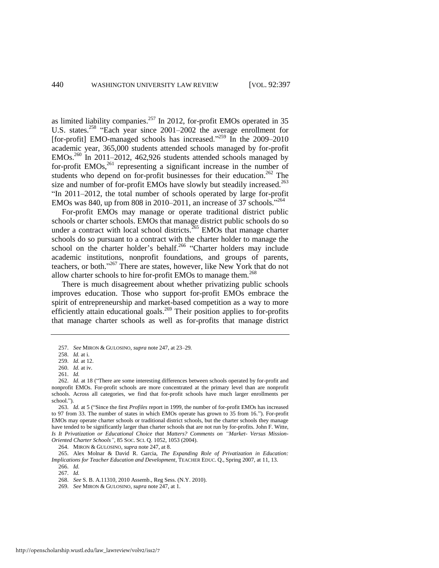as limited liability companies.<sup>257</sup> In 2012, for-profit EMOs operated in 35 U.S. states.<sup>258</sup> "Each year since 2001–2002 the average enrollment for [for-profit] EMO-managed schools has increased."<sup>259</sup> In the 2009–2010 academic year, 365,000 students attended schools managed by for-profit EMOs.<sup>260</sup> In 2011–2012, 462,926 students attended schools managed by for-profit  $EMOs<sub>1</sub><sup>261</sup>$  representing a significant increase in the number of students who depend on for-profit businesses for their education.<sup>262</sup> The size and number of for-profit EMOs have slowly but steadily increased.<sup>263</sup> "In 2011–2012, the total number of schools operated by large for-profit EMOs was 840, up from 808 in 2010–2011, an increase of 37 schools."<sup>264</sup>

<span id="page-44-0"></span>For-profit EMOs may manage or operate traditional district public schools or charter schools. EMOs that manage district public schools do so under a contract with local school districts.<sup>265</sup> EMOs that manage charter schools do so pursuant to a contract with the charter holder to manage the school on the charter holder's behalf.<sup>266</sup> "Charter holders may include academic institutions, nonprofit foundations, and groups of parents, teachers, or both." <sup>267</sup> There are states, however, like New York that do not allow charter schools to hire for-profit EMOs to manage them.<sup>268</sup>

There is much disagreement about whether privatizing public schools improves education. Those who support for-profit EMOs embrace the spirit of entrepreneurship and market-based competition as a way to more efficiently attain educational goals.<sup>269</sup> Their position applies to for-profits that manage charter schools as well as for-profits that manage district

<sup>257.</sup> *See* MIRON & GULOSINO*, supra* note [247,](#page-42-0) at 23–29*.*

<sup>258.</sup> *Id.* at i.

<sup>259.</sup> *Id.* at 12.

<sup>260.</sup> *Id.* at iv.

<sup>261.</sup> *Id.*

<sup>262.</sup> *Id.* at 18 ("There are some interesting differences between schools operated by for-profit and nonprofit EMOs. For-profit schools are more concentrated at the primary level than are nonprofit schools. Across all categories, we find that for-profit schools have much larger enrollments per school.").

<sup>263.</sup> *Id.* at 5 ("Since the first *Profiles* report in 1999, the number of for-profit EMOs has increased to 97 from 33. The number of states in which EMOs operate has grown to 35 from 16."). For-profit EMOs may operate charter schools or traditional district schools, but the charter schools they manage have tended to be significantly larger than charter schools that are not run by for-profits. John F. Witte, *Is It Privatization or Educational Choice that Matters? Comments on "Market- Versus Mission-Oriented Charter Schools"*, 85 SOC. SCI. Q. 1052, 1053 (2004).

<sup>264.</sup> MIRON & GULOSINO, *supra* not[e 247,](#page-42-0) at 8.

<sup>265.</sup> Alex Molnar & David R. Garcia, *The Expanding Role of Privatization in Education: Implications for Teacher Education and Development*, TEACHER EDUC. Q., Spring 2007, at 11, 13.

<sup>266.</sup> *Id.*

<sup>267.</sup> *Id.*

<sup>268.</sup> *See* S. B. A.11310, 2010 Assemb., Reg Sess. (N.Y. 2010).

<sup>269.</sup> *See* MIRON & GULOSINO, *supra* note [247,](#page-42-0) at 1.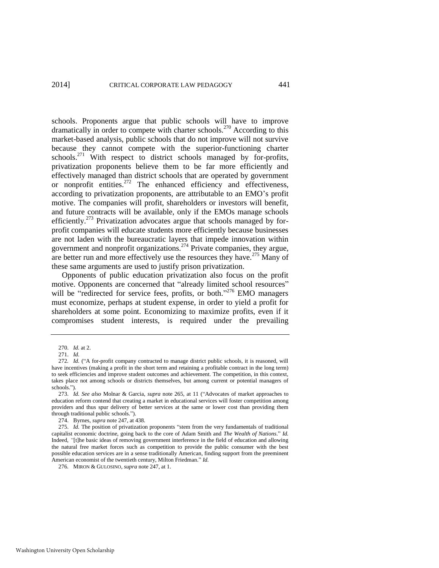schools. Proponents argue that public schools will have to improve dramatically in order to compete with charter schools.<sup>270</sup> According to this market-based analysis, public schools that do not improve will not survive because they cannot compete with the superior-functioning charter schools.<sup>271</sup> With respect to district schools managed by for-profits, privatization proponents believe them to be far more efficiently and effectively managed than district schools that are operated by government or nonprofit entities. $272$  The enhanced efficiency and effectiveness, according to privatization proponents, are attributable to an EMO's profit motive. The companies will profit, shareholders or investors will benefit, and future contracts will be available, only if the EMOs manage schools efficiently.<sup>273</sup> Privatization advocates argue that schools managed by forprofit companies will educate students more efficiently because businesses are not laden with the bureaucratic layers that impede innovation within government and nonprofit organizations.<sup>274</sup> Private companies, they argue, are better run and more effectively use the resources they have.<sup>275</sup> Many of these same arguments are used to justify prison privatization.

Opponents of public education privatization also focus on the profit motive. Opponents are concerned that "already limited school resources" will be "redirected for service fees, profits, or both."<sup>276</sup> EMO managers must economize, perhaps at student expense, in order to yield a profit for shareholders at some point. Economizing to maximize profits, even if it compromises student interests, is required under the prevailing

<sup>270.</sup> *Id.* at 2.

<sup>271.</sup> *Id.*

<sup>272</sup>*. Id.* ("A for-profit company contracted to manage district public schools, it is reasoned, will have incentives (making a profit in the short term and retaining a profitable contract in the long term) to seek efficiencies and improve student outcomes and achievement. The competition, in this context, takes place not among schools or districts themselves, but among current or potential managers of schools.").

<sup>273.</sup> *Id. See also* Molnar & Garcia, *supra* note [265,](#page-44-0) at 11 ("Advocates of market approaches to education reform contend that creating a market in educational services will foster competition among providers and thus spur delivery of better services at the same or lower cost than providing them through traditional public schools.").

<sup>274.</sup> Byrnes*, supra* note [247,](#page-42-0) at 438*.*

<sup>275.</sup> *Id.* The position of privatization proponents "stem from the very fundamentals of traditional capitalist economic doctrine, going back to the core of Adam Smith and *The Wealth of Nations*." *Id.*  Indeed, *"*[t]he basic ideas of removing government interference in the field of education and allowing the natural free market forces such as competition to provide the public consumer with the best possible education services are in a sense traditionally American, finding support from the preeminent American economist of the twentieth century, Milton Friedman." *Id.*

<sup>276</sup>*.* MIRON & GULOSINO*, supra* not[e 247,](#page-42-0) at 1.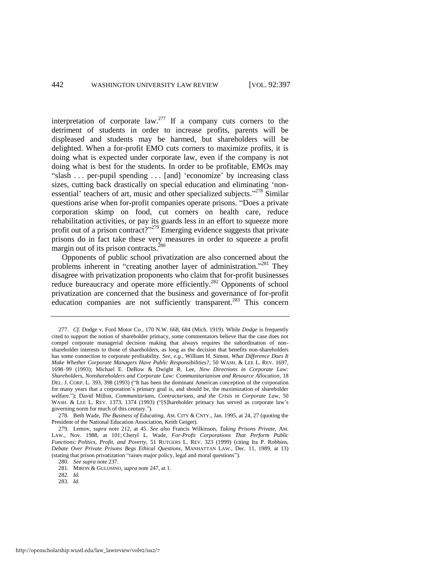interpretation of corporate  $law<sup>277</sup>$  If a company cuts corners to the detriment of students in order to increase profits, parents will be displeased and students may be harmed, but shareholders will be delighted. When a for-profit EMO cuts corners to maximize profits, it is doing what is expected under corporate law, even if the company is not doing what is best for the students. In order to be profitable, EMOs may "slash . . . per-pupil spending . . . [and] 'economize' by increasing class sizes, cutting back drastically on special education and eliminating 'nonessential' teachers of art, music and other specialized subjects."<sup>278</sup> Similar questions arise when for-profit companies operate prisons. "Does a private corporation skimp on food, cut corners on health care, reduce rehabilitation activities, or pay its guards less in an effort to squeeze more profit out of a prison contract?"<sup>279</sup> Emerging evidence suggests that private prisons do in fact take these very measures in order to squeeze a profit margin out of its prison contracts.<sup>280</sup>

<span id="page-46-0"></span>Opponents of public school privatization are also concerned about the problems inherent in "creating another layer of administration."<sup>281</sup> They disagree with privatization proponents who claim that for-profit businesses reduce bureaucracy and operate more efficiently.<sup>282</sup> Opponents of school privatization are concerned that the business and governance of for-profit education companies are not sufficiently transparent.<sup>283</sup> This concern

<sup>277.</sup> *Cf.* Dodge v. Ford Motor Co., 170 N.W. 668, 684 (Mich. 1919). While *Dodge* is frequently cited to support the notion of shareholder primacy, some commentators believe that the case does not compel corporate managerial decision making that always requires the subordination of nonshareholder interests to those of shareholders, as long as the decision that benefits non-shareholders has some connection to corporate profitability. *See, e.g.*, William H. Simon, *What Difference Does It Make Whether Corporate Managers Have Public Responsibilities?*, 50 WASH. & LEE L. REV. 1697, 1698–99 (1993); Michael E. DeBow & Dwight R. Lee, *New Directions in Corporate Law: Shareholders, Nonshareholders and Corporate Law: Communitarianism and Resource Allocation*, 18 DEL. J. CORP. L. 393, 398 (1993) ("It has been the dominant American conception of the corporation for many years that a corporation's primary goal is, and should be, the maximization of shareholder welfare."); David Millon, *Communitarians, Contractarians, and the Crisis in Corporate Law,* 50 WASH. & LEE L. REV. 1373, 1374 (1993) ("[S]hareholder primacy has served as corporate law's governing norm for much of this century.").

<sup>278.</sup> Beth Wade, *The Business of Educating,* AM. CITY & CNTY., Jan. 1995, at 24, 27 (quoting the President of the National Education Association, Keith Geiger).

<sup>279.</sup> Lemov, *supra* note [212,](#page-37-2) at 45*. See also* Francis Wilkinson, *Taking Prisons Private*, AM. LAW., Nov. 1988, at 101; Cheryl L. Wade, *For-Profit Corporations That Perform Public Functions: Politics, Profit, and Poverty*, 51 RUTGERS L. REV. 323 (1999) (citing Ira P. Robbins, *Debate Over Private Prisons Begs Ethical Questions*, MANHATTAN LAW., Dec. 11, 1989, at 13) (stating that prison privatization "raises major policy, legal and moral questions").

<sup>280.</sup> *See supra* not[e 237.](#page-40-0) 

<sup>281.</sup> MIRON & GULOSINO*, supra* note [247,](#page-42-0) at 1.

<sup>282.</sup> *Id.* 

<sup>283.</sup> *Id.*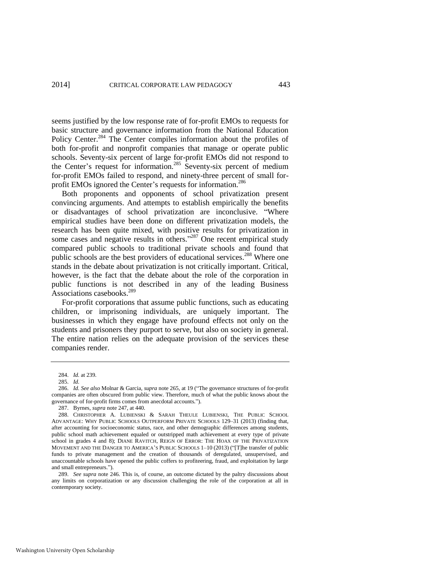seems justified by the low response rate of for-profit EMOs to requests for basic structure and governance information from the National Education Policy Center.<sup>284</sup> The Center compiles information about the profiles of both for-profit and nonprofit companies that manage or operate public schools. Seventy-six percent of large for-profit EMOs did not respond to the Center's request for information.<sup>285</sup> Seventy-six percent of medium for-profit EMOs failed to respond, and ninety-three percent of small forprofit EMOs ignored the Center's requests for information.<sup>286</sup>

Both proponents and opponents of school privatization present convincing arguments. And attempts to establish empirically the benefits or disadvantages of school privatization are inconclusive. "Where empirical studies have been done on different privatization models, the research has been quite mixed, with positive results for privatization in some cases and negative results in others."<sup>287</sup> One recent empirical study compared public schools to traditional private schools and found that public schools are the best providers of educational services.<sup>288</sup> Where one stands in the debate about privatization is not critically important. Critical, however, is the fact that the debate about the role of the corporation in public functions is not described in any of the leading Business Associations casebooks.<sup>289</sup>

For-profit corporations that assume public functions, such as educating children, or imprisoning individuals, are uniquely important. The businesses in which they engage have profound effects not only on the students and prisoners they purport to serve, but also on society in general. The entire nation relies on the adequate provision of the services these companies render.

<sup>284.</sup> *Id.* at 239.

<sup>285.</sup> *Id.*

<sup>286.</sup> *Id. See also* Molnar & Garcia*, supra* note [265,](#page-44-0) at 19 ("The governance structures of for-profit companies are often obscured from public view. Therefore, much of what the public knows about the governance of for-profit firms comes from anecdotal accounts.").

<sup>287.</sup> Byrnes*, supra* not[e 247,](#page-42-0) at 440.

<sup>288.</sup> CHRISTOPHER A. LUBIENSKI & SARAH THEULE LUBIENSKI, THE PUBLIC SCHOOL ADVANTAGE: WHY PUBLIC SCHOOLS OUTPERFORM PRIVATE SCHOOLS 129–31 (2013) (finding that, after accounting for socioeconomic status, race, and other demographic differences among students, public school math achievement equaled or outstripped math achievement at every type of private school in grades 4 and 8); DIANE RAVITCH, REIGN OF ERROR: THE HOAX OF THE PRIVATIZATION MOVEMENT AND THE DANGER TO AMERICA'S PUBLIC SCHOOLS 1–10 (2013) ("[T]he transfer of public funds to private management and the creation of thousands of deregulated, unsupervised, and unaccountable schools have opened the public coffers to profiteering, fraud, and exploitation by large and small entrepreneurs.").

<sup>289.</sup> *See supra* note [246.](#page-42-1) This is, of course, an outcome dictated by the paltry discussions about any limits on corporatization or any discussion challenging the role of the corporation at all in contemporary society.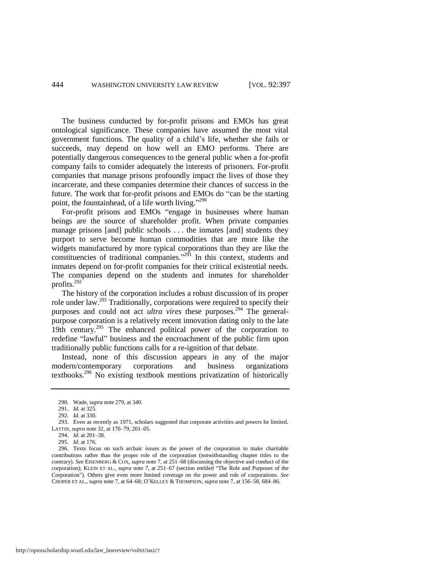The business conducted by for-profit prisons and EMOs has great ontological significance. These companies have assumed the most vital government functions. The quality of a child's life, whether she fails or succeeds, may depend on how well an EMO performs. There are potentially dangerous consequences to the general public when a for-profit company fails to consider adequately the interests of prisoners. For-profit companies that manage prisons profoundly impact the lives of those they incarcerate, and these companies determine their chances of success in the future. The work that for-profit prisons and EMOs do "can be the starting point, the fountainhead, of a life worth living."<sup>290</sup>

For-profit prisons and EMOs "engage in businesses where human beings are the source of shareholder profit. When private companies manage prisons [and] public schools . . . the inmates [and] students they purport to serve become human commodities that are more like the widgets manufactured by more typical corporations than they are like the constituencies of traditional companies."<sup>291</sup> In this context, students and inmates depend on for-profit companies for their critical existential needs. The companies depend on the students and inmates for shareholder profits.<sup>292</sup>

The history of the corporation includes a robust discussion of its proper role under law.<sup>293</sup> Traditionally, corporations were required to specify their purposes and could not act *ultra vires* these purposes.<sup>294</sup> The generalpurpose corporation is a relatively recent innovation dating only to the late 19th century.<sup>295</sup> The enhanced political power of the corporation to redefine "lawful" business and the encroachment of the public firm upon traditionally public functions calls for a re-ignition of that debate.

Instead, none of this discussion appears in any of the major modern/contemporary corporations and business organizations textbooks.<sup>296</sup> No existing textbook mentions privatization of historically

http://openscholarship.wustl.edu/law\_lawreview/vol92/iss2/7

<sup>290.</sup> Wade, *supra* not[e 279,](#page-46-0) at 340.

<sup>291.</sup> *Id.* at 325.

<sup>292.</sup> *Id.* at 330.

<sup>293.</sup> Even as recently as 1971, scholars suggested that corporate activities and powers be limited. LATTIN, *supra* not[e 32,](#page-8-1) at 170–79, 201–05.

<sup>294.</sup> *Id.* at 201–38.

<sup>295.</sup> *Id.* at 176.

<sup>296.</sup> Texts focus on such archaic issues as the power of the corporation to make charitable contributions rather than the proper role of the corporation (notwithstanding chapter titles to the contrary). *See* EISENBERG & COX, *supra* not[e 7,](#page-2-1) at 251–68 (discussing the objective and conduct of the corporation); KLEIN ET AL., *supra* note [7,](#page-2-1) at 251–67 (section entitled "The Role and Purposes of the Corporation"). Others give even more limited coverage on the power and role of corporations. *See*  CHOPER ET AL., *supra* not[e 7,](#page-2-1) at 64–68; O'KELLEY & THOMPSON, *supra* not[e 7,](#page-2-1) at 156–58, 684–86.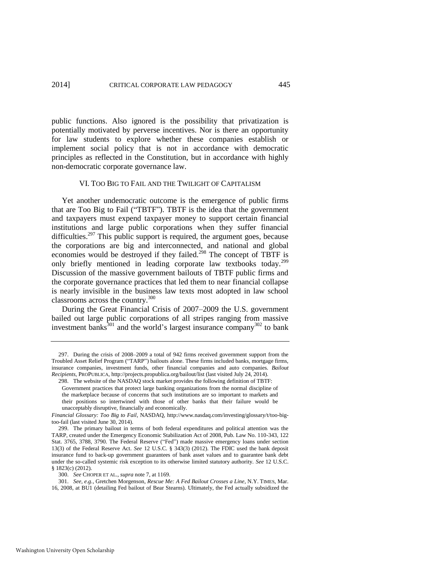public functions. Also ignored is the possibility that privatization is potentially motivated by perverse incentives. Nor is there an opportunity for law students to explore whether these companies establish or implement social policy that is not in accordance with democratic principles as reflected in the Constitution, but in accordance with highly non-democratic corporate governance law.

#### VI. TOO BIG TO FAIL AND THE TWILIGHT OF CAPITALISM

Yet another undemocratic outcome is the emergence of public firms that are Too Big to Fail ("TBTF"). TBTF is the idea that the government and taxpayers must expend taxpayer money to support certain financial institutions and large public corporations when they suffer financial difficulties.<sup>297</sup> This public support is required, the argument goes, because the corporations are big and interconnected, and national and global economies would be destroyed if they failed.<sup>298</sup> The concept of TBTF is only briefly mentioned in leading corporate law textbooks today.<sup>299</sup> Discussion of the massive government bailouts of TBTF public firms and the corporate governance practices that led them to near financial collapse is nearly invisible in the business law texts most adopted in law school classrooms across the country.<sup>300</sup>

During the Great Financial Crisis of 2007–2009 the U.S. government bailed out large public corporations of all stripes ranging from massive investment banks $301$  and the world's largest insurance company $302$  to bank

301. *See, e.g.*, Gretchen Morgenson, *Rescue Me: A Fed Bailout Crosses a Line*, N.Y. TIMES, Mar. 16, 2008, at BU1 (detailing Fed bailout of Bear Stearns). Ultimately, the Fed actually subsidized the

<sup>297.</sup> During the crisis of 2008–2009 a total of 942 firms received government support from the Troubled Asset Relief Program ("TARP") bailouts alone. These firms included banks, mortgage firms, insurance companies, investment funds, other financial companies and auto companies. *Bailout Recipients*, PROPUBLICA[, http://projects.propublica.org/bailout/list](http://projects.propublica.org/bailout/list) (last visited July 24, 2014).

<sup>298.</sup> The website of the NASDAQ stock market provides the following definition of TBTF: Government practices that protect large banking organizations from the normal discipline of the marketplace because of concerns that such institutions are so important to markets and their positions so intertwined with those of other banks that their failure would be unacceptably disruptive, financially and economically.

*Financial Glossary: Too Big to Fail*, NASDAQ, [http://www.nasdaq.com/investing/glossary/t/too-big](http://www.nasdaq.com/investing/glossary/t/too-big-too-fail)[too-fail \(](http://www.nasdaq.com/investing/glossary/t/too-big-too-fail)last visited June 30, 2014).

<sup>299.</sup> The primary bailout in terms of both federal expenditures and political attention was the TARP, created under the Emergency Economic Stabilization Act of 2008, Pub. Law No. 110-343, 122 Stat. 3765, 3788, 3790. The Federal Reserve ("Fed") made massive emergency loans under section 13(3) of the Federal Reserve Act. *See* 12 U.S.C. § 343(3) (2012). The FDIC used the bank deposit insurance fund to back-up government guarantees of bank asset values and to guarantee bank debt under the so-called systemic risk exception to its otherwise limited statutory authority. *See* 12 U.S.C. § 1823(c) (2012).

<sup>300.</sup> *See* CHOPER ET AL., *supra* note [7,](#page-2-1) at 1169.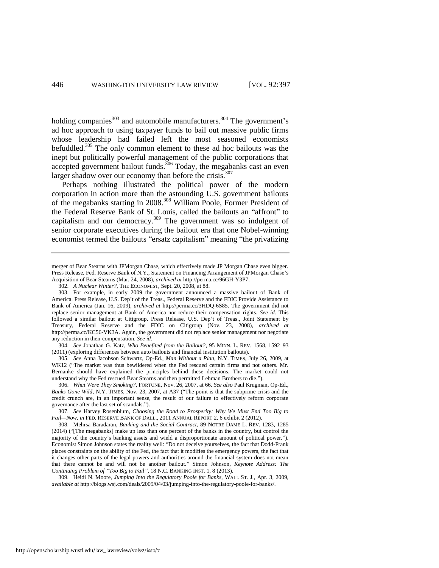holding companies<sup>303</sup> and automobile manufacturers.<sup>304</sup> The government's ad hoc approach to using taxpayer funds to bail out massive public firms whose leadership had failed left the most seasoned economists befuddled.<sup>305</sup> The only common element to these ad hoc bailouts was the inept but politically powerful management of the public corporations that accepted government bailout funds.<sup>306</sup> Today, the megabanks cast an even larger shadow over our economy than before the crisis. $307$ 

<span id="page-50-1"></span><span id="page-50-0"></span>Perhaps nothing illustrated the political power of the modern corporation in action more than the astounding U.S. government bailouts of the megabanks starting in 2008.<sup>308</sup> William Poole, Former President of the Federal Reserve Bank of St. Louis, called the bailouts an "affront" to capitalism and our democracy.<sup>309</sup> The government was so indulgent of senior corporate executives during the bailout era that one Nobel-winning economist termed the bailouts "ersatz capitalism" meaning "the privatizing

305. *See* Anna Jacobson Schwartz, Op-Ed., *Man Without a Plan*, N.Y. TIMES, July 26, 2009, at WK12 ("The market was thus bewildered when the Fed rescued certain firms and not others. Mr. Bernanke should have explained the principles behind these decisions. The market could not understand why the Fed rescued Bear Stearns and then permitted Lehman Brothers to die.").

306. *What Were They Smoking?*, FORTUNE, Nov. 26, 2007, at 66. *See also* Paul Krugman, Op-Ed., *Banks Gone Wild*, N.Y. TIMES, Nov. 23, 2007, at A37 ("The point is that the subprime crisis and the credit crunch are, in an important sense, the result of our failure to effectively reform corporate governance after the last set of scandals.").

307. *See* Harvey Rosenblum, *Choosing the Road to Prosperity: Why We Must End Too Big to Fail—Now*, *in* FED. RESERVE BANK OF DALL., 2011 ANNUAL REPORT 2, 6 exhibit 2 (2012).

308. Mehrsa Baradaran, *Banking and the Social Contract*, 89 NOTRE DAME L. REV. 1283, 1285 (2014) ("[The megabanks] make up less than one percent of the banks in the country, but control the majority of the country's banking assets and wield a disproportionate amount of political power."). Economist Simon Johnson states the reality well: "Do not deceive yourselves, the fact that Dodd-Frank places constraints on the ability of the Fed, the fact that it modifies the emergency powers, the fact that it changes other parts of the legal powers and authorities around the financial system does not mean that there cannot be and will not be another bailout." Simon Johnson, *Keynote Address: The Continuing Problem of "Too Big to Fail"*, 18 N.C. BANKING INST. 1, 8 (2013).

309. Heidi N. Moore, *Jumping Into the Regulatory Poole for Banks*, WALL ST. J., Apr. 3, 2009, *available at* [http://blogs.wsj.com/deals/2009/04/03/jumping-into-the-regulatory-poole-for-banks/.](http://blogs.wsj.com/deals/2009/04/03/jumping-into-the-regulatory-poole-for-banks/) 

merger of Bear Stearns with JPMorgan Chase, which effectively made JP Morgan Chase even bigger. Press Release, Fed. Reserve Bank of N.Y., Statement on Financing Arrangement of JPMorgan Chase's Acquisition of Bear Stearns (Mar. 24, 2008), *archived at* [http://perma.cc/96GH-Y3P7.](http://perma.cc/96GH-Y3P7) 

<sup>302.</sup> *A Nuclear Winter?*, THE ECONOMIST, Sept. 20, 2008, at 88.

<sup>303.</sup> For example, in early 2009 the government announced a massive bailout of Bank of America. Press Release, U.S. Dep't of the Treas., Federal Reserve and the FDIC Provide Assistance to Bank of America (Jan. 16, 2009), *archived at* [http://perma.cc/3HDQ-6S85.](http://perma.cc/3HDQ-6S85) The government did not replace senior management at Bank of America nor reduce their compensation rights. *See id.* This followed a similar bailout at Citigroup. Press Release, U.S. Dep't of Treas., Joint Statement by Treasury, Federal Reserve and the FDIC on Citigroup (Nov. 23, 2008), *archived at* [http://perma.cc/KC56-VK3A.](http://perma.cc/KC56-VK3A) Again, the government did not replace senior management nor negotiate any reduction in their compensation. *See id.* 

<sup>304.</sup> *See* Jonathan G. Katz, *Who Benefited from the Bailout?*, 95 MINN. L. REV. 1568, 1592–93 (2011) (exploring differences between auto bailouts and financial institution bailouts).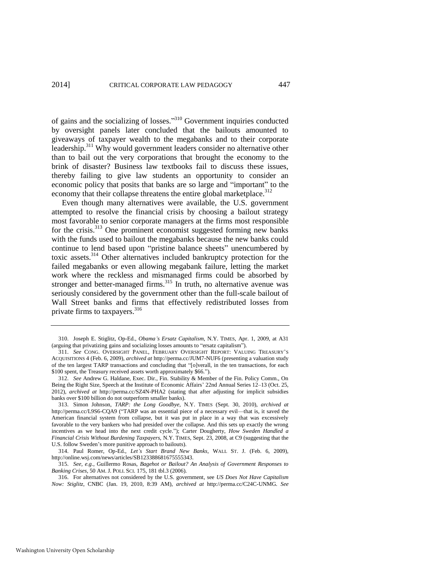of gains and the socializing of losses."<sup>310</sup> Government inquiries conducted by oversight panels later concluded that the bailouts amounted to giveaways of taxpayer wealth to the megabanks and to their corporate leadership.<sup>311</sup> Why would government leaders consider no alternative other than to bail out the very corporations that brought the economy to the brink of disaster? Business law textbooks fail to discuss these issues, thereby failing to give law students an opportunity to consider an economic policy that posits that banks are so large and "important" to the economy that their collapse threatens the entire global marketplace.<sup>312</sup>

Even though many alternatives were available, the U.S. government attempted to resolve the financial crisis by choosing a bailout strategy most favorable to senior corporate managers at the firms most responsible for the crisis. $313$  One prominent economist suggested forming new banks with the funds used to bailout the megabanks because the new banks could continue to lend based upon "pristine balance sheets" unencumbered by toxic assets.<sup>314</sup> Other alternatives included bankruptcy protection for the failed megabanks or even allowing megabank failure, letting the market work where the reckless and mismanaged firms could be absorbed by stronger and better-managed firms.<sup>315</sup> In truth, no alternative avenue was seriously considered by the government other than the full-scale bailout of Wall Street banks and firms that effectively redistributed losses from private firms to taxpayers.<sup>316</sup>

<sup>310.</sup> Joseph E. Stiglitz, Op-Ed., *Obama's Ersatz Capitalism*, N.Y. TIMES, Apr. 1, 2009, at A31 (arguing that privatizing gains and socializing losses amounts to "ersatz capitalism").

<sup>311.</sup> *See* CONG. OVERSIGHT PANEL, FEBRUARY OVERSIGHT REPORT: VALUING TREASURY'S ACQUISITIONS 4 (Feb. 6, 2009), *archived at* [http://perma.cc/JUM7-NUF6 \(](http://perma.cc/JUM7-NUF6)presenting a valuation study of the ten largest TARP transactions and concluding that "[o]verall, in the ten transactions, for each \$100 spent, the Treasury received assets worth approximately \$66.").

<sup>312.</sup> *See* Andrew G. Haldane, Exec. Dir., Fin. Stability & Member of the Fin. Policy Comm., On Being the Right Size, Speech at the Institute of Economic Affairs' 22nd Annual Series 12–13 (Oct. 25, 2012), *archived at* <http://perma.cc/SZ4N-PHA2>(stating that after adjusting for implicit subsidies banks over \$100 billion do not outperform smaller banks).

<sup>313.</sup> Simon Johnson, *TARP: the Long Goodbye*, N.Y. TIMES (Sept. 30, 2010), *archived at*  [http://perma.cc/L9S6-CQA9 \(](http://perma.cc/L9S6-CQA9)"TARP was an essential piece of a necessary evil—that is, it saved the American financial system from collapse, but it was put in place in a way that was excessively favorable to the very bankers who had presided over the collapse. And this sets up exactly the wrong incentives as we head into the next credit cycle."); Carter Dougherty, *How Sweden Handled a Financial Crisis Without Burdening Taxpayers,* N.Y. TIMES, Sept. 23, 2008, at C9 (suggesting that the U.S. follow Sweden's more punitive approach to bailouts).

<sup>314.</sup> Paul Romer, Op-Ed., *Let's Start Brand New Banks*, WALL ST. J. (Feb. 6, 2009), [http://online.wsj.com/news/articles/SB123388681675555343.](http://online.wsj.com/news/articles/SB123388681675555343)

<sup>315.</sup> *See, e.g.*, Guillermo Rosas, *Bagehot or Bailout? An Analysis of Government Responses to Banking Crises*, 50 AM. J. POLI. SCI. 175, 181 tbl.3 (2006).

<sup>316.</sup> For alternatives not considered by the U.S. government, see *US Does Not Have Capitalism Now: Stiglitz*, CNBC (Jan. 19, 2010, 8:39 AM), *archived at* [http://perma.cc/C24C-UNMG.](http://perma.cc/C24C-UNMG) *See*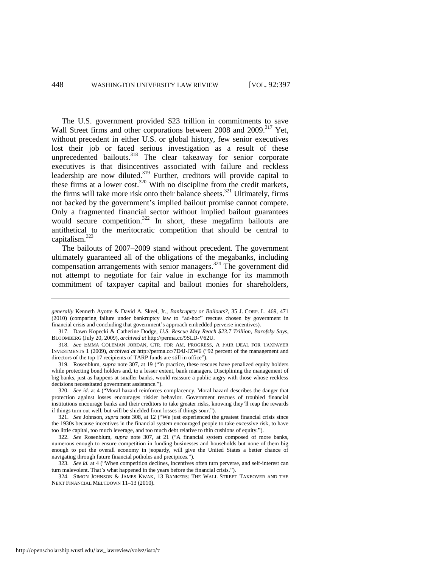The U.S. government provided \$23 trillion in commitments to save Wall Street firms and other corporations between 2008 and 2009.<sup>317</sup> Yet, without precedent in either U.S. or global history, few senior executives lost their job or faced serious investigation as a result of these unprecedented bailouts.<sup>318</sup> The clear takeaway for senior corporate executives is that disincentives associated with failure and reckless leadership are now diluted.<sup>319</sup> Further, creditors will provide capital to these firms at a lower cost.<sup>320</sup> With no discipline from the credit markets, the firms will take more risk onto their balance sheets.<sup>321</sup> Ultimately, firms not backed by the government's implied bailout promise cannot compete. Only a fragmented financial sector without implied bailout guarantees would secure competition.<sup>322</sup> In short, these megafirm bailouts are antithetical to the meritocratic competition that should be central to capitalism.<sup>323</sup>

<span id="page-52-0"></span>The bailouts of 2007–2009 stand without precedent. The government ultimately guaranteed all of the obligations of the megabanks, including compensation arrangements with senior managers.<sup>324</sup> The government did not attempt to negotiate for fair value in exchange for its mammoth commitment of taxpayer capital and bailout monies for shareholders,

*generally* Kenneth Ayotte & David A. Skeel, Jr., *Bankruptcy or Bailouts?,* 35 J. CORP. L. 469, 471 (2010) (comparing failure under bankruptcy law to "ad-hoc" rescues chosen by government in financial crisis and concluding that government's approach embedded perverse incentives).

<sup>317.</sup> Dawn Kopecki & Catherine Dodge, *U.S. Rescue May Reach \$23.7 Trillion, Barofsky Says*, BLOOMBERG (July 20, 2009), *archived at* [http://perma.cc/9SLD-V62U.](http://perma.cc/9SLD-V62U) 

<sup>318.</sup> *See* EMMA COLEMAN JORDAN, CTR. FOR AM. PROGRESS, A FAIR DEAL FOR TAXPAYER INVESTMENTS 1 (2009), *archived at* <http://perma.cc/7D4J-JZW6>("92 percent of the management and directors of the top 17 recipients of TARP funds are still in office").

<sup>319.</sup> Rosenblum, *supra* note [307,](#page-50-0) at 19 ("In practice, these rescues have penalized equity holders while protecting bond holders and, to a lesser extent, bank managers. Disciplining the management of big banks, just as happens at smaller banks, would reassure a public angry with those whose reckless decisions necessitated government assistance.").

<sup>320.</sup> *See id.* at 4 ("Moral hazard reinforces complacency. Moral hazard describes the danger that protection against losses encourages riskier behavior. Government rescues of troubled financial institutions encourage banks and their creditors to take greater risks, knowing they'll reap the rewards if things turn out well, but will be shielded from losses if things sour.").

<sup>321.</sup> *See* Johnson, *supra* note [308,](#page-50-1) at 12 ("We just experienced the greatest financial crisis since the 1930s because incentives in the financial system encouraged people to take excessive risk, to have too little capital, too much leverage, and too much debt relative to thin cushions of equity.").

<sup>322.</sup> *See* Rosenblum, *supra* note [307,](#page-50-0) at 21 ("A financial system composed of more banks, numerous enough to ensure competition in funding businesses and households but none of them big enough to put the overall economy in jeopardy, will give the United States a better chance of navigating through future financial potholes and precipices.").

<sup>323.</sup> *See id.* at 4 ("When competition declines, incentives often turn perverse, and self-interest can turn malevolent. That's what happened in the years before the financial crisis.").

<sup>324.</sup> SIMON JOHNSON & JAMES KWAK, 13 BANKERS: THE WALL STREET TAKEOVER AND THE NEXT FINANCIAL MELTDOWN 11–13 (2010).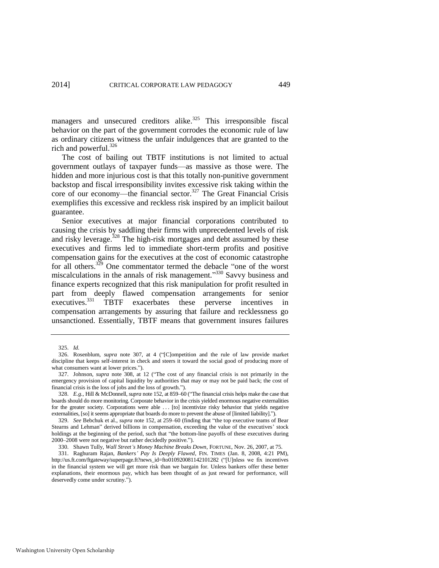managers and unsecured creditors alike.<sup>325</sup> This irresponsible fiscal behavior on the part of the government corrodes the economic rule of law as ordinary citizens witness the unfair indulgences that are granted to the rich and powerful.<sup>326</sup>

The cost of bailing out TBTF institutions is not limited to actual government outlays of taxpayer funds—as massive as those were. The hidden and more injurious cost is that this totally non-punitive government backstop and fiscal irresponsibility invites excessive risk taking within the  $\frac{1}{2}$  core of our economy—the financial sector.<sup>327</sup> The Great Financial Crisis exemplifies this excessive and reckless risk inspired by an implicit bailout guarantee.

Senior executives at major financial corporations contributed to causing the crisis by saddling their firms with unprecedented levels of risk and risky leverage.<sup>328</sup> The high-risk mortgages and debt assumed by these executives and firms led to immediate short-term profits and positive compensation gains for the executives at the cost of economic catastrophe for all others.<sup>329</sup> One commentator termed the debacle "one of the worst" miscalculations in the annals of risk management."<sup>330</sup> Savvy business and finance experts recognized that this risk manipulation for profit resulted in part from deeply flawed compensation arrangements for senior executives.<sup>331</sup> TBTF exacerbates these perverse incentives in exacerbates these perverse incentives in compensation arrangements by assuring that failure and recklessness go unsanctioned. Essentially, TBTF means that government insures failures

<sup>325.</sup> *Id.*

<sup>326.</sup> Rosenblum, *supra* note [307,](#page-50-0) at 4 ("[C]ompetition and the rule of law provide market discipline that keeps self-interest in check and steers it toward the social good of producing more of what consumers want at lower prices.").

<sup>327.</sup> Johnson, *supra* note [308,](#page-50-1) at 12 ("The cost of any financial crisis is not primarily in the emergency provision of capital liquidity by authorities that may or may not be paid back; the cost of financial crisis is the loss of jobs and the loss of growth.").

<sup>328.</sup> *E.g.*, Hill & McDonnell, *supra* not[e 152,](#page-27-0) at 859–60 ("The financial crisis helps make the case that boards should do more monitoring. Corporate behavior in the crisis yielded enormous negative externalities for the greater society. Corporations were able . . . [to] incentivize risky behavior that yields negative externalities, [so] it seems appropriate that boards do more to prevent the abuse of [limited liability].").

<sup>329.</sup> *See* Bebchuk et al., *supra* not[e 152,](#page-27-0) at 259–60 (finding that "the top executive teams of Bear Stearns and Lehman" derived billions in compensation, exceeding the value of the executives' stock holdings at the beginning of the period, such that "the bottom-line payoffs of these executives during 2000–2008 were not negative but rather decidedly positive.").

<sup>330.</sup> Shawn Tully, *Wall Street's Money Machine Breaks Down*, FORTUNE, Nov. 26, 2007, at 75.

<sup>331.</sup> Raghuram Rajan, *Bankers' Pay Is Deeply Flawed*, FIN. TIMES (Jan. 8, 2008, 4:21 PM), [http://us.ft.com/ftgateway/superpage.ft?news\\_id=fto010920081142101282](http://us.ft.com/ftgateway/superpage.ft?news_id=fto010920081142101282) ("[U]nless we fix incentives in the financial system we will get more risk than we bargain for. Unless bankers offer these better explanations, their enormous pay, which has been thought of as just reward for performance, will deservedly come under scrutiny.").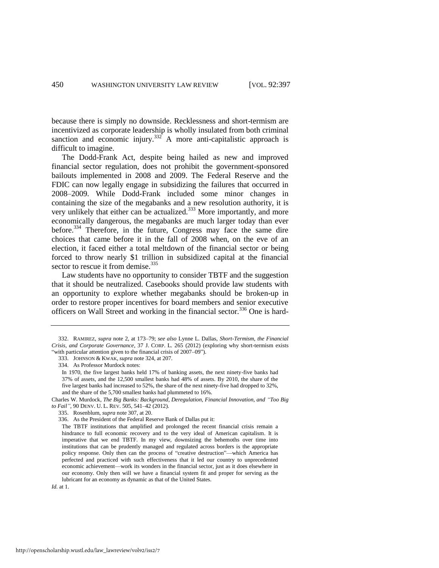because there is simply no downside. Recklessness and short-termism are incentivized as corporate leadership is wholly insulated from both criminal sanction and economic injury.<sup>332</sup> A more anti-capitalistic approach is difficult to imagine.

The Dodd-Frank Act, despite being hailed as new and improved financial sector regulation, does not prohibit the government-sponsored bailouts implemented in 2008 and 2009. The Federal Reserve and the FDIC can now legally engage in subsidizing the failures that occurred in 2008–2009. While Dodd-Frank included some minor changes in containing the size of the megabanks and a new resolution authority, it is very unlikely that either can be actualized.<sup>333</sup> More importantly, and more economically dangerous, the megabanks are much larger today than ever before.<sup>334</sup> Therefore, in the future, Congress may face the same dire choices that came before it in the fall of 2008 when, on the eve of an election, it faced either a total meltdown of the financial sector or being forced to throw nearly \$1 trillion in subsidized capital at the financial sector to rescue it from demise.<sup>335</sup>

Law students have no opportunity to consider TBTF and the suggestion that it should be neutralized. Casebooks should provide law students with an opportunity to explore whether megabanks should be broken-up in order to restore proper incentives for board members and senior executive officers on Wall Street and working in the financial sector.<sup>336</sup> One is hard-

<sup>332.</sup> RAMIREZ, *supra* note [2,](#page-1-2) at 173–79; *see also* Lynne L. Dallas, *Short-Termism, the Financial Crisis, and Corporate Governance*, 37 J. CORP. L. 265 (2012) (exploring why short-termism exists "with particular attention given to the financial crisis of 2007–09").

<sup>333.</sup> JOHNSON & KWAK, *supra* note [324,](#page-52-0) at 207.

<sup>334.</sup> As Professor Murdock notes:

In 1970, the five largest banks held 17% of banking assets, the next ninety-five banks had 37% of assets, and the 12,500 smallest banks had 48% of assets. By 2010, the share of the five largest banks had increased to 52%, the share of the next ninety-five had dropped to 32%, and the share of the 5,700 smallest banks had plummeted to 16%.

Charles W. Murdock, *The Big Banks: Background, Deregulation, Financial Innovation, and "Too Big to Fail"*, 90 DENV. U. L. REV. 505, 541–42 (2012).

<sup>335.</sup> Rosenblum, *supra* not[e 307,](#page-50-0) at 20.

<sup>336.</sup> As the President of the Federal Reserve Bank of Dallas put it:

The TBTF institutions that amplified and prolonged the recent financial crisis remain a hindrance to full economic recovery and to the very ideal of American capitalism. It is imperative that we end TBTF. In my view, downsizing the behemoths over time into institutions that can be prudently managed and regulated across borders is the appropriate policy response. Only then can the process of "creative destruction"—which America has perfected and practiced with such effectiveness that it led our country to unprecedented economic achievement—work its wonders in the financial sector, just as it does elsewhere in our economy. Only then will we have a financial system fit and proper for serving as the lubricant for an economy as dynamic as that of the United States.

*Id.* at 1.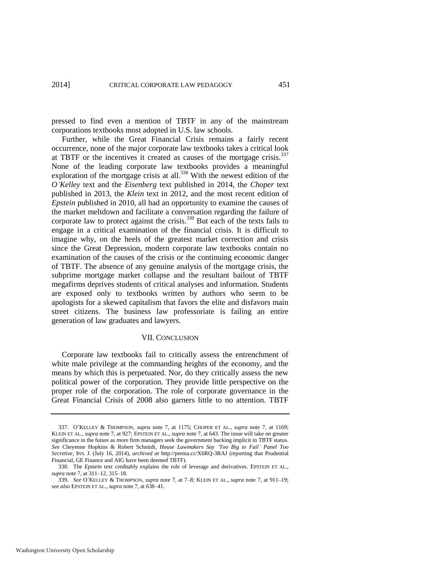pressed to find even a mention of TBTF in any of the mainstream corporations textbooks most adopted in U.S. law schools.

Further, while the Great Financial Crisis remains a fairly recent occurrence, none of the major corporate law textbooks takes a critical look at TBTF or the incentives it created as causes of the mortgage crisis.<sup>337</sup> None of the leading corporate law textbooks provides a meaningful exploration of the mortgage crisis at all.<sup>338</sup> With the newest edition of the *O'Kelley* text and the *Eisenberg* text published in 2014, the *Choper* text published in 2013, the *Klein* text in 2012, and the most recent edition of *Epstein* published in 2010, all had an opportunity to examine the causes of the market meltdown and facilitate a conversation regarding the failure of corporate law to protect against the crisis.<sup>339</sup> But each of the texts fails to engage in a critical examination of the financial crisis. It is difficult to imagine why, on the heels of the greatest market correction and crisis since the Great Depression, modern corporate law textbooks contain no examination of the causes of the crisis or the continuing economic danger of TBTF. The absence of any genuine analysis of the mortgage crisis, the subprime mortgage market collapse and the resultant bailout of TBTF megafirms deprives students of critical analyses and information. Students are exposed only to textbooks written by authors who seem to be apologists for a skewed capitalism that favors the elite and disfavors main street citizens. The business law professoriate is failing an entire generation of law graduates and lawyers.

#### VII. CONCLUSION

Corporate law textbooks fail to critically assess the entrenchment of white male privilege at the commanding heights of the economy, and the means by which this is perpetuated. Nor, do they critically assess the new political power of the corporation. They provide little perspective on the proper role of the corporation. The role of corporate governance in the Great Financial Crisis of 2008 also garners little to no attention. TBTF

<sup>337.</sup> O'KELLEY & THOMPSON, *supra* note [7,](#page-2-1) at 1175; CHOPER ET AL., *supra* note [7,](#page-2-1) at 1169; KLEIN ET AL., *supra* not[e 7,](#page-2-1) at 927; EPSTEIN ET AL., *supra* not[e 7,](#page-2-1) at 643. The issue will take on greater significance in the future as more firm managers seek the government backing implicit in TBTF status. *See* Cheyenne Hopkins & Robert Schmidt, *House Lawmakers Say 'Too Big to Fail' Panel Too Secretive*, INS. J. (July 16, 2014), *archived at* <http://perma.cc/X6RQ-3RAJ>(reporting that Prudential Financial, GE Finance and AIG have been deemed TBTF).

<sup>338.</sup> The *Epstein* text creditably explains the role of leverage and derivatives. EPSTEIN ET AL., *supra* not[e 7,](#page-2-1) at 311–12, 315–18.

<sup>339.</sup> *See* O'KELLEY & THOMPSON, *supra* note [7,](#page-2-1) at 7–8; KLEIN ET AL., *supra* note [7,](#page-2-1) at 911–19; *see also* EPSTEIN ET AL., *supra* not[e 7,](#page-2-1) at 638–41.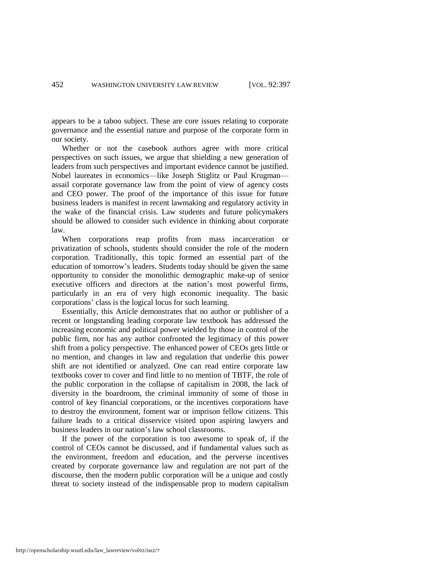appears to be a taboo subject. These are core issues relating to corporate governance and the essential nature and purpose of the corporate form in our society.

Whether or not the casebook authors agree with more critical perspectives on such issues, we argue that shielding a new generation of leaders from such perspectives and important evidence cannot be justified. Nobel laureates in economics—like Joseph Stiglitz or Paul Krugman assail corporate governance law from the point of view of agency costs and CEO power. The proof of the importance of this issue for future business leaders is manifest in recent lawmaking and regulatory activity in the wake of the financial crisis. Law students and future policymakers should be allowed to consider such evidence in thinking about corporate law.

When corporations reap profits from mass incarceration or privatization of schools, students should consider the role of the modern corporation. Traditionally, this topic formed an essential part of the education of tomorrow's leaders. Students today should be given the same opportunity to consider the monolithic demographic make-up of senior executive officers and directors at the nation's most powerful firms, particularly in an era of very high economic inequality. The basic corporations' class is the logical locus for such learning.

Essentially, this Article demonstrates that no author or publisher of a recent or longstanding leading corporate law textbook has addressed the increasing economic and political power wielded by those in control of the public firm, nor has any author confronted the legitimacy of this power shift from a policy perspective. The enhanced power of CEOs gets little or no mention, and changes in law and regulation that underlie this power shift are not identified or analyzed. One can read entire corporate law textbooks cover to cover and find little to no mention of TBTF, the role of the public corporation in the collapse of capitalism in 2008, the lack of diversity in the boardroom, the criminal immunity of some of those in control of key financial corporations, or the incentives corporations have to destroy the environment, foment war or imprison fellow citizens. This failure leads to a critical disservice visited upon aspiring lawyers and business leaders in our nation's law school classrooms.

If the power of the corporation is too awesome to speak of, if the control of CEOs cannot be discussed, and if fundamental values such as the environment, freedom and education, and the perverse incentives created by corporate governance law and regulation are not part of the discourse, then the modern public corporation will be a unique and costly threat to society instead of the indispensable prop to modern capitalism